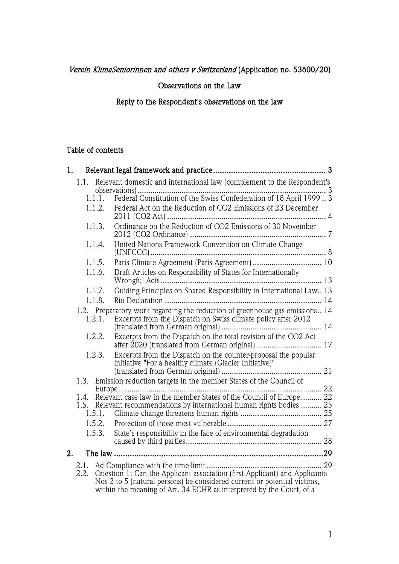# Verein KlimaSeniorinnen and others v Switzerland (Application no. 53600/20)

## Observations on the Law

# Reply to the Respondent's observations on the law

### Table of contents

| 1.                                                                                                                                                                                                                                     |        |                                                                                                                                                   |  |
|----------------------------------------------------------------------------------------------------------------------------------------------------------------------------------------------------------------------------------------|--------|---------------------------------------------------------------------------------------------------------------------------------------------------|--|
|                                                                                                                                                                                                                                        |        | 1.1. Relevant domestic and international law (complement to the Respondent's                                                                      |  |
|                                                                                                                                                                                                                                        | 1.1.1. |                                                                                                                                                   |  |
|                                                                                                                                                                                                                                        | 1.1.2. | Federal Act on the Reduction of CO2 Emissions of 23 December                                                                                      |  |
|                                                                                                                                                                                                                                        |        |                                                                                                                                                   |  |
|                                                                                                                                                                                                                                        | 1.1.3. | Ordinance on the Reduction of CO2 Emissions of 30 November                                                                                        |  |
|                                                                                                                                                                                                                                        | 1.1.4. | United Nations Framework Convention on Climate Change                                                                                             |  |
|                                                                                                                                                                                                                                        | 1.1.5. |                                                                                                                                                   |  |
|                                                                                                                                                                                                                                        | 1.1.6. | Draft Articles on Responsibility of States for Internationally                                                                                    |  |
|                                                                                                                                                                                                                                        | 1.1.7. | Guiding Principles on Shared Responsibility in International Law 13                                                                               |  |
|                                                                                                                                                                                                                                        | 1.1.8. |                                                                                                                                                   |  |
|                                                                                                                                                                                                                                        | 1.2.1. | 1.2. Preparatory work regarding the reduction of greenhouse gas emissions 14<br>Excerpts from the Dispatch on Swiss climate policy after 2012     |  |
|                                                                                                                                                                                                                                        | 1.2.2. | Excerpts from the Dispatch on the total revision of the CO2 Act<br>after 2020 (translated from German original)  17                               |  |
|                                                                                                                                                                                                                                        | 1.2.3. | Excerpts from the Dispatch on the counter-proposal the popular                                                                                    |  |
|                                                                                                                                                                                                                                        |        |                                                                                                                                                   |  |
|                                                                                                                                                                                                                                        |        | 1.3. Emission reduction targets in the member States of the Council of<br>22                                                                      |  |
|                                                                                                                                                                                                                                        |        | 1.4. Relevant case law in the member States of the Council of Europe 22<br>1.5. Relevant recommendations by international human rights bodies  25 |  |
|                                                                                                                                                                                                                                        | 1.5.1. |                                                                                                                                                   |  |
|                                                                                                                                                                                                                                        | 1.5.3. | State's responsibility in the face of environmental degradation                                                                                   |  |
|                                                                                                                                                                                                                                        |        |                                                                                                                                                   |  |
| 2.                                                                                                                                                                                                                                     |        |                                                                                                                                                   |  |
|                                                                                                                                                                                                                                        |        |                                                                                                                                                   |  |
| Question 1: Can the Applicant association (first Applicant) and Applicants<br>2.2.<br>Nos 2 to 5 (natural persons) be considered current or potential victims,<br>within the meaning of Art. 34 ECHR as interpreted by the Court, of a |        |                                                                                                                                                   |  |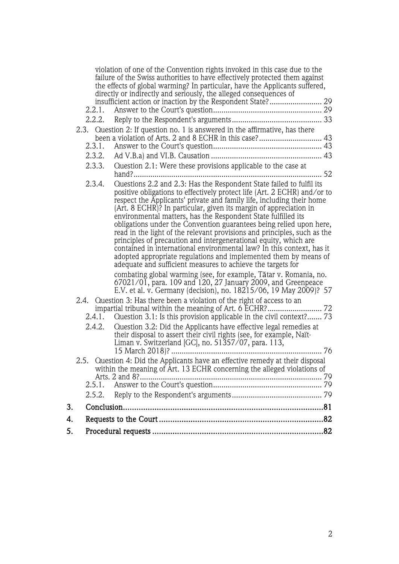|    |        | violation of one of the Convention rights invoked in this case due to the<br>failure of the Swiss authorities to have effectively protected them against                                                                                                                                                                                                                                                                                                                                                                                                                                                                                                                                                                                                                                           |  |
|----|--------|----------------------------------------------------------------------------------------------------------------------------------------------------------------------------------------------------------------------------------------------------------------------------------------------------------------------------------------------------------------------------------------------------------------------------------------------------------------------------------------------------------------------------------------------------------------------------------------------------------------------------------------------------------------------------------------------------------------------------------------------------------------------------------------------------|--|
|    |        | the effects of global warming? In particular, have the Applicants suffered,<br>directly or indirectly and seriously, the alleged consequences of                                                                                                                                                                                                                                                                                                                                                                                                                                                                                                                                                                                                                                                   |  |
|    |        | insufficient action or inaction by the Respondent State? 29                                                                                                                                                                                                                                                                                                                                                                                                                                                                                                                                                                                                                                                                                                                                        |  |
|    | 2.2.1. |                                                                                                                                                                                                                                                                                                                                                                                                                                                                                                                                                                                                                                                                                                                                                                                                    |  |
|    |        |                                                                                                                                                                                                                                                                                                                                                                                                                                                                                                                                                                                                                                                                                                                                                                                                    |  |
|    |        | 2.3. Question 2: If question no. 1 is answered in the affirmative, has there                                                                                                                                                                                                                                                                                                                                                                                                                                                                                                                                                                                                                                                                                                                       |  |
|    | 2.3.1. |                                                                                                                                                                                                                                                                                                                                                                                                                                                                                                                                                                                                                                                                                                                                                                                                    |  |
|    | 2.3.2. |                                                                                                                                                                                                                                                                                                                                                                                                                                                                                                                                                                                                                                                                                                                                                                                                    |  |
|    | 2.3.3. | Question 2.1: Were these provisions applicable to the case at                                                                                                                                                                                                                                                                                                                                                                                                                                                                                                                                                                                                                                                                                                                                      |  |
|    | 2.3.4. | Questions 2.2 and 2.3: Has the Respondent State failed to fulfil its<br>positive obligations to effectively protect life (Art. 2 ECHR) and/or to<br>respect the Applicants' private and family life, including their home<br>(Art. 8 ECHR)? In particular, given its margin of appreciation in<br>environmental matters, has the Respondent State fulfilled its<br>obligations under the Convention guarantees being relied upon here,<br>read in the light of the relevant provisions and principles, such as the<br>principles of precaution and intergenerational equity, which are<br>contained in international environmental law? In this context, has it<br>adopted appropriate regulations and implemented them by means of<br>adequate and sufficient measures to achieve the targets for |  |
|    |        | combating global warming (see, for example, Tătar v. Romania, no.<br>67021/01, para. 109 and 120, 27 January 2009, and Greenpeace<br>E.V. et al. v. Germany (decision), no. 18215/06, 19 May 2009)? 57                                                                                                                                                                                                                                                                                                                                                                                                                                                                                                                                                                                             |  |
|    | 2.4.1. | 2.4. Question 3: Has there been a violation of the right of access to an<br>Question 3.1: Is this provision applicable in the civil context? 73                                                                                                                                                                                                                                                                                                                                                                                                                                                                                                                                                                                                                                                    |  |
|    | 2.4.2. | Question 3.2: Did the Applicants have effective legal remedies at<br>their disposal to assert their civil rights (see, for example, Naït-<br>Liman v. Switzerland [GC], no. $51\overline{3}57/07$ , para. 113,                                                                                                                                                                                                                                                                                                                                                                                                                                                                                                                                                                                     |  |
|    |        | 2.5. Ouestion 4: Did the Applicants have an effective remedy at their disposal                                                                                                                                                                                                                                                                                                                                                                                                                                                                                                                                                                                                                                                                                                                     |  |
|    |        | within the meaning of Art. 13 ECHR concerning the alleged violations of<br>Arts. 2 and 8?.                                                                                                                                                                                                                                                                                                                                                                                                                                                                                                                                                                                                                                                                                                         |  |
|    | 2.5.1. |                                                                                                                                                                                                                                                                                                                                                                                                                                                                                                                                                                                                                                                                                                                                                                                                    |  |
|    | 2.5.2. |                                                                                                                                                                                                                                                                                                                                                                                                                                                                                                                                                                                                                                                                                                                                                                                                    |  |
| 3. |        |                                                                                                                                                                                                                                                                                                                                                                                                                                                                                                                                                                                                                                                                                                                                                                                                    |  |
| 4. |        |                                                                                                                                                                                                                                                                                                                                                                                                                                                                                                                                                                                                                                                                                                                                                                                                    |  |
| 5. |        |                                                                                                                                                                                                                                                                                                                                                                                                                                                                                                                                                                                                                                                                                                                                                                                                    |  |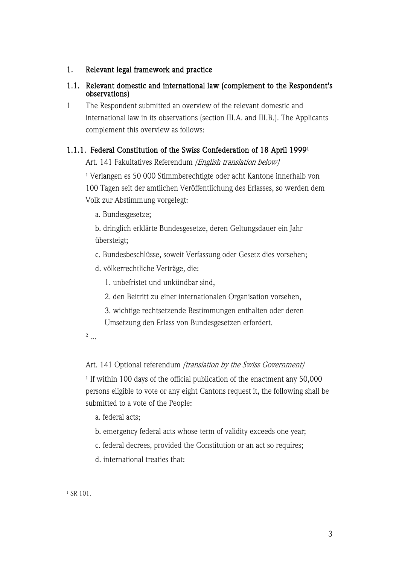# 1. Relevant legal framework and practice

# 1.1. Relevant domestic and international law (complement to the Respondent's observations)

1 The Respondent submitted an overview of the relevant domestic and international law in its observations (section III.A. and III.B.). The Applicants complement this overview as follows:

# 1.1.1. Federal Constitution of the Swiss Confederation of 18 April 19991

Art. 141 Fakultatives Referendum (English translation below)

<sup>1</sup> Verlangen es 50 000 Stimmberechtigte oder acht Kantone innerhalb von 100 Tagen seit der amtlichen Veröffentlichung des Erlasses, so werden dem Volk zur Abstimmung vorgelegt:

a. Bundesgesetze;

b. dringlich erklärte Bundesgesetze, deren Geltungsdauer ein Jahr übersteigt;

c. Bundesbeschlüsse, soweit Verfassung oder Gesetz dies vorsehen;

d. völkerrechtliche Verträge, die:

1. unbefristet und unkündbar sind,

- 2. den Beitritt zu einer internationalen Organisation vorsehen,
- 3. wichtige rechtsetzende Bestimmungen enthalten oder deren Umsetzung den Erlass von Bundesgesetzen erfordert.

<sup>2</sup> ...

# Art. 141 Optional referendum (translation by the Swiss Government)

<sup>1</sup> If within 100 days of the official publication of the enactment any 50,000 persons eligible to vote or any eight Cantons request it, the following shall be submitted to a vote of the People:

a. federal acts;

b. emergency federal acts whose term of validity exceeds one year;

c. federal decrees, provided the Constitution or an act so requires;

d. international treaties that:

<sup>1</sup> SR 101.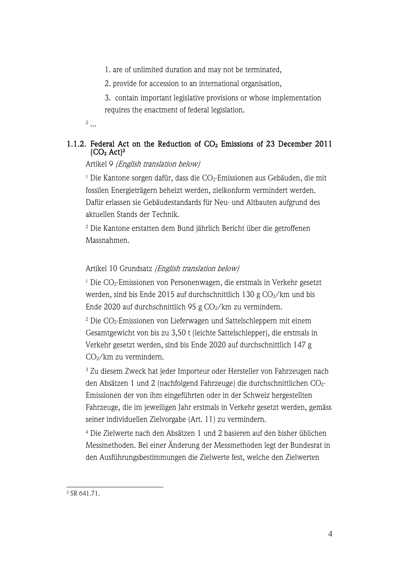1. are of unlimited duration and may not be terminated,

2. provide for accession to an international organisation,

3. contain important legislative provisions or whose implementation requires the enactment of federal legislation.

<sup>2</sup> ...

# 1.1.2. Federal Act on the Reduction of  $CO<sub>2</sub>$  Emissions of 23 December 2011  $\rm (CO_2 \, Act)^2$

Artikel 9 (English translation below)

<sup>1</sup> Die Kantone sorgen dafür, dass die  $CO<sub>2</sub>$ -Emissionen aus Gebäuden, die mit fossilen Energieträgern beheizt werden, zielkonform vermindert werden. Dafür erlassen sie Gebäudestandards für Neu- und Altbauten aufgrund des aktuellen Stands der Technik.

<sup>2</sup> Die Kantone erstatten dem Bund jährlich Bericht über die getroffenen Massnahmen.

Artikel 10 Grundsatz (English translation below)

 $1$  Die CO<sub>2</sub>-Emissionen von Personenwagen, die erstmals in Verkehr gesetzt werden, sind bis Ende 2015 auf durchschnittlich 130 g  $CO<sub>2</sub>/km$  und bis Ende 2020 auf durchschnittlich 95 g  $CO<sub>2</sub>/km$  zu vermindern.

<sup>2</sup> Die CO2-Emissionen von Lieferwagen und Sattelschleppern mit einem Gesamtgewicht von bis zu 3,50 t (leichte Sattelschlepper), die erstmals in Verkehr gesetzt werden, sind bis Ende 2020 auf durchschnittlich 147 g CO2/km zu vermindern.

<sup>3</sup> Zu diesem Zweck hat jeder Importeur oder Hersteller von Fahrzeugen nach den Absätzen 1 und 2 (nachfolgend Fahrzeuge) die durchschnittlichen CO2- Emissionen der von ihm eingeführten oder in der Schweiz hergestellten Fahrzeuge, die im jeweiligen Jahr erstmals in Verkehr gesetzt werden, gemäss seiner individuellen Zielvorgabe (Art. 11) zu vermindern.

<sup>4</sup> Die Zielwerte nach den Absätzen 1 und 2 basieren auf den bisher üblichen Messmethoden. Bei einer Änderung der Messmethoden legt der Bundesrat in den Ausführungsbestimmungen die Zielwerte fest, welche den Zielwerten

<sup>2</sup> SR 641.71.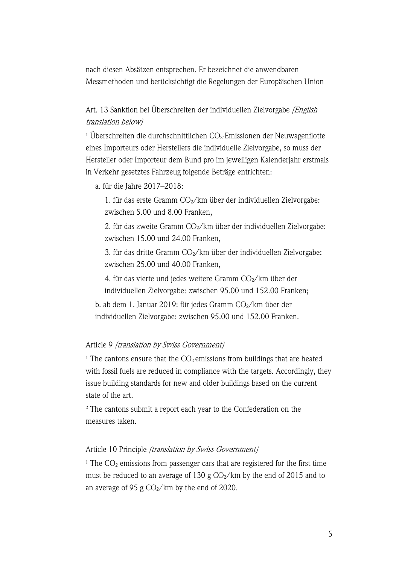nach diesen Absätzen entsprechen. Er bezeichnet die anwendbaren Messmethoden und berücksichtigt die Regelungen der Europäischen Union

Art. 13 Sanktion bei Überschreiten der individuellen Zielvorgabe (English translation below)

<sup>1</sup> Überschreiten die durchschnittlichen  $CO<sub>2</sub>$ -Emissionen der Neuwagenflotte eines Importeurs oder Herstellers die individuelle Zielvorgabe, so muss der Hersteller oder Importeur dem Bund pro im jeweiligen Kalenderjahr erstmals in Verkehr gesetztes Fahrzeug folgende Beträge entrichten:

a. für die Jahre 2017–2018:

1. für das erste Gramm  $CO<sub>2</sub>/km$  über der individuellen Zielvorgabe: zwischen 5.00 und 8.00 Franken,

2. für das zweite Gramm  $CO<sub>2</sub>/km$  über der individuellen Zielvorgabe: zwischen 15.00 und 24.00 Franken,

3. für das dritte Gramm  $CO<sub>2</sub>/km$  über der individuellen Zielvorgabe: zwischen 25.00 und 40.00 Franken,

4. für das vierte und jedes weitere Gramm  $CO<sub>2</sub>/km$  über der individuellen Zielvorgabe: zwischen 95.00 und 152.00 Franken;

b. ab dem 1. Januar 2019: für jedes Gramm  $CO<sub>2</sub>/km$  über der individuellen Zielvorgabe: zwischen 95.00 und 152.00 Franken.

### Article 9 (translation by Swiss Government)

<sup>1</sup> The cantons ensure that the  $CO<sub>2</sub>$  emissions from buildings that are heated with fossil fuels are reduced in compliance with the targets. Accordingly, they issue building standards for new and older buildings based on the current state of the art.

<sup>2</sup> The cantons submit a report each year to the Confederation on the measures taken.

### Article 10 Principle (translation by Swiss Government)

<sup>1</sup> The  $CO<sub>2</sub>$  emissions from passenger cars that are registered for the first time must be reduced to an average of 130 g  $CO<sub>2</sub>/km$  by the end of 2015 and to an average of 95 g  $CO<sub>2</sub>/km$  by the end of 2020.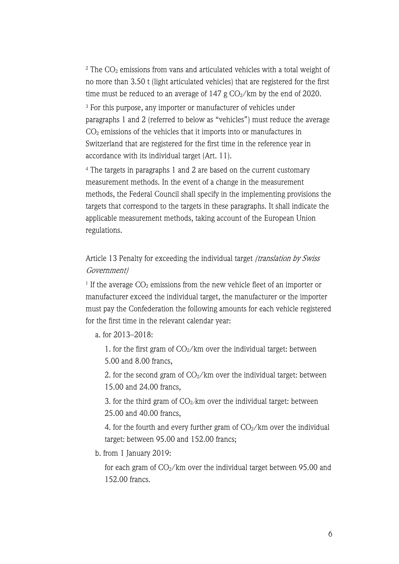$2$  The  $CO<sub>2</sub>$  emissions from vans and articulated vehicles with a total weight of no more than 3.50 t (light articulated vehicles) that are registered for the first time must be reduced to an average of  $147$  g  $CO<sub>2</sub>/km$  by the end of 2020.

<sup>3</sup> For this purpose, any importer or manufacturer of vehicles under paragraphs 1 and 2 (referred to below as "vehicles") must reduce the average CO2 emissions of the vehicles that it imports into or manufactures in Switzerland that are registered for the first time in the reference year in accordance with its individual target (Art. 11).

<sup>4</sup> The targets in paragraphs 1 and 2 are based on the current customary measurement methods. In the event of a change in the measurement methods, the Federal Council shall specify in the implementing provisions the targets that correspond to the targets in these paragraphs. It shall indicate the applicable measurement methods, taking account of the European Union regulations.

# Article 13 Penalty for exceeding the individual target (translation by Swiss Government)

<sup>1</sup> If the average  $CO<sub>2</sub>$  emissions from the new vehicle fleet of an importer or manufacturer exceed the individual target, the manufacturer or the importer must pay the Confederation the following amounts for each vehicle registered for the first time in the relevant calendar year:

a. for 2013–2018:

1. for the first gram of  $CO_2/km$  over the individual target: between 5.00 and 8.00 francs,

2. for the second gram of  $CO<sub>2</sub>/km$  over the individual target: between 15.00 and 24.00 francs,

3. for the third gram of  $CO<sub>2</sub>/km$  over the individual target: between 25.00 and 40.00 francs,

4. for the fourth and every further gram of  $CO<sub>2</sub>/km$  over the individual target: between 95.00 and 152.00 francs;

b. from 1 January 2019:

for each gram of  $CO<sub>2</sub>/km$  over the individual target between 95.00 and 152.00 francs.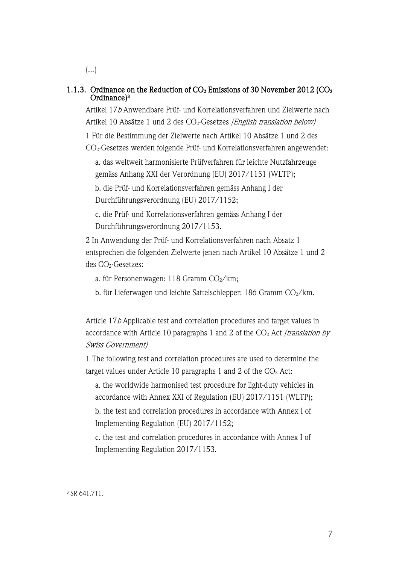$\left(\ldots\right)$ 

# 1.1.3. Ordinance on the Reduction of  $CO<sub>2</sub>$  Emissions of 30 November 2012 ( $CO<sub>2</sub>$ ) Ordinance)3

Artikel 17b Anwendbare Prüf- und Korrelationsverfahren und Zielwerte nach Artikel 10 Absätze 1 und 2 des CO<sub>2</sub>-Gesetzes (English translation below)

1 Für die Bestimmung der Zielwerte nach Artikel 10 Absätze 1 und 2 des CO2-Gesetzes werden folgende Prüf- und Korrelationsverfahren angewendet:

a. das weltweit harmonisierte Prüfverfahren für leichte Nutzfahrzeuge gemäss Anhang XXI der Verordnung (EU) 2017/1151 (WLTP);

b. die Prüf- und Korrelationsverfahren gemäss Anhang I der Durchführungsverordnung (EU) 2017/1152;

c. die Prüf- und Korrelationsverfahren gemäss Anhang I der Durchführungsverordnung 2017/1153.

2 In Anwendung der Prüf- und Korrelationsverfahren nach Absatz 1 entsprechen die folgenden Zielwerte jenen nach Artikel 10 Absätze 1 und 2 des CO<sub>2</sub>-Gesetzes:

- a. für Personenwagen: 118 Gramm  $CO<sub>2</sub>/km$ ;
- b. für Lieferwagen und leichte Sattelschlepper: 186 Gramm CO<sub>2</sub>/km.

Article 17b Applicable test and correlation procedures and target values in accordance with Article 10 paragraphs 1 and 2 of the  $CO<sub>2</sub>$  Act *(translation by* Swiss Government)

1 The following test and correlation procedures are used to determine the target values under Article 10 paragraphs 1 and 2 of the  $CO<sub>2</sub>$  Act:

a. the worldwide harmonised test procedure for light-duty vehicles in accordance with Annex XXI of Regulation (EU) 2017/1151 (WLTP);

b. the test and correlation procedures in accordance with Annex I of Implementing Regulation (EU) 2017/1152;

c. the test and correlation procedures in accordance with Annex I of Implementing Regulation 2017/1153.

<sup>3</sup> SR 641.711.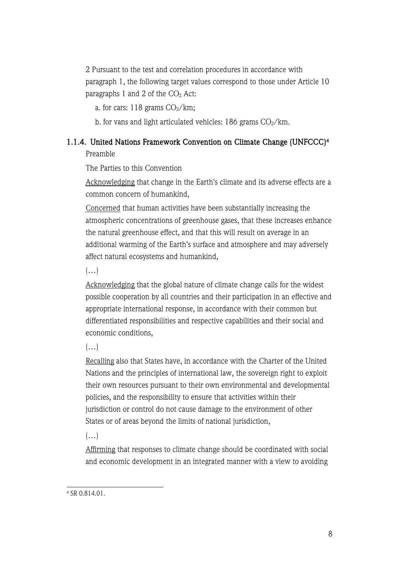2 Pursuant to the test and correlation procedures in accordance with paragraph 1, the following target values correspond to those under Article 10 paragraphs 1 and 2 of the  $CO<sub>2</sub>$  Act:

a. for cars:  $118$  grams  $CO<sub>2</sub>/km$ ;

b. for vans and light articulated vehicles: 186 grams  $CO_2/km$ .

# 1.1.4. United Nations Framework Convention on Climate Change (UNFCCC)4

Preamble

The Parties to this Convention

Acknowledging that change in the Earth's climate and its adverse effects are a common concern of humankind,

Concerned that human activities have been substantially increasing the atmospheric concentrations of greenhouse gases, that these increases enhance the natural greenhouse effect, and that this will result on average in an additional warming of the Earth's surface and atmosphere and may adversely affect natural ecosystems and humankind,

 $(\ldots)$ 

Acknowledging that the global nature of climate change calls for the widest possible cooperation by all countries and their participation in an effective and appropriate international response, in accordance with their common but differentiated responsibilities and respective capabilities and their social and economic conditions,

 $(\ldots)$ 

Recalling also that States have, in accordance with the Charter of the United Nations and the principles of international law, the sovereign right to exploit their own resources pursuant to their own environmental and developmental policies, and the responsibility to ensure that activities within their jurisdiction or control do not cause damage to the environment of other States or of areas beyond the limits of national jurisdiction,

 $(\ldots)$ 

Affirming that responses to climate change should be coordinated with social and economic development in an integrated manner with a view to avoiding

<sup>4</sup> SR 0.814.01.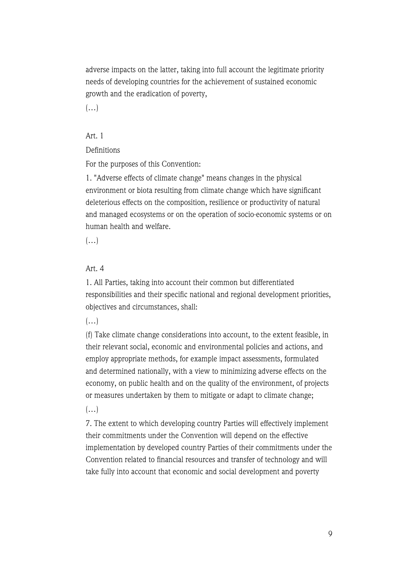adverse impacts on the latter, taking into full account the legitimate priority needs of developing countries for the achievement of sustained economic growth and the eradication of poverty,

 $(\ldots)$ 

## Art. 1

Definitions

For the purposes of this Convention:

1. "Adverse effects of climate change" means changes in the physical environment or biota resulting from climate change which have significant deleterious effects on the composition, resilience or productivity of natural and managed ecosystems or on the operation of socio-economic systems or on human health and welfare.

 $(\ldots)$ 

### Art. 4

1. All Parties, taking into account their common but differentiated responsibilities and their specific national and regional development priorities, objectives and circumstances, shall:

 $\left( \ldots \right)$ 

(f) Take climate change considerations into account, to the extent feasible, in their relevant social, economic and environmental policies and actions, and employ appropriate methods, for example impact assessments, formulated and determined nationally, with a view to minimizing adverse effects on the economy, on public health and on the quality of the environment, of projects or measures undertaken by them to mitigate or adapt to climate change;

 $(\ldots)$ 

7. The extent to which developing country Parties will effectively implement their commitments under the Convention will depend on the effective implementation by developed country Parties of their commitments under the Convention related to financial resources and transfer of technology and will take fully into account that economic and social development and poverty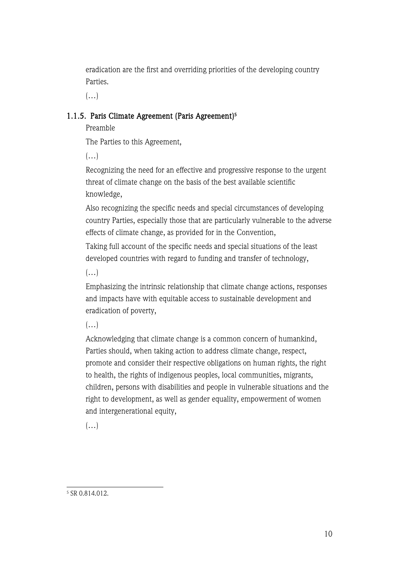eradication are the first and overriding priorities of the developing country Parties.

 $(\ldots)$ 

# 1.1.5. Paris Climate Agreement (Paris Agreement)<sup>5</sup>

Preamble

The Parties to this Agreement,

 $(\ldots)$ 

Recognizing the need for an effective and progressive response to the urgent threat of climate change on the basis of the best available scientific knowledge,

Also recognizing the specific needs and special circumstances of developing country Parties, especially those that are particularly vulnerable to the adverse effects of climate change, as provided for in the Convention,

Taking full account of the specific needs and special situations of the least developed countries with regard to funding and transfer of technology,

 $(\ldots)$ 

Emphasizing the intrinsic relationship that climate change actions, responses and impacts have with equitable access to sustainable development and eradication of poverty,

 $(\ldots)$ 

Acknowledging that climate change is a common concern of humankind, Parties should, when taking action to address climate change, respect, promote and consider their respective obligations on human rights, the right to health, the rights of indigenous peoples, local communities, migrants, children, persons with disabilities and people in vulnerable situations and the right to development, as well as gender equality, empowerment of women and intergenerational equity,

 $(\ldots)$ 

<sup>5</sup> SR 0.814.012.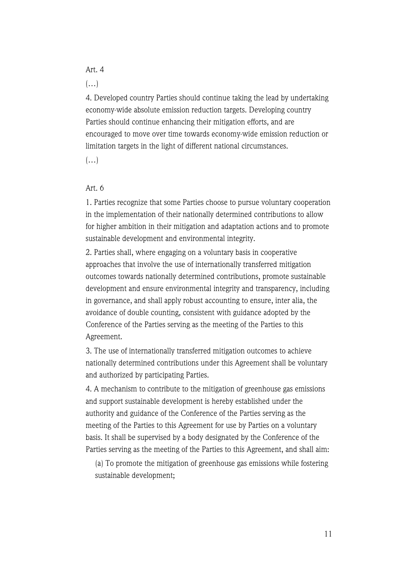### Art. 4

 $(\ldots)$ 

4. Developed country Parties should continue taking the lead by undertaking economy-wide absolute emission reduction targets. Developing country Parties should continue enhancing their mitigation efforts, and are encouraged to move over time towards economy-wide emission reduction or limitation targets in the light of different national circumstances.

 $(\ldots)$ 

### Art. 6

1. Parties recognize that some Parties choose to pursue voluntary cooperation in the implementation of their nationally determined contributions to allow for higher ambition in their mitigation and adaptation actions and to promote sustainable development and environmental integrity.

2. Parties shall, where engaging on a voluntary basis in cooperative approaches that involve the use of internationally transferred mitigation outcomes towards nationally determined contributions, promote sustainable development and ensure environmental integrity and transparency, including in governance, and shall apply robust accounting to ensure, inter alia, the avoidance of double counting, consistent with guidance adopted by the Conference of the Parties serving as the meeting of the Parties to this Agreement.

3. The use of internationally transferred mitigation outcomes to achieve nationally determined contributions under this Agreement shall be voluntary and authorized by participating Parties.

4. A mechanism to contribute to the mitigation of greenhouse gas emissions and support sustainable development is hereby established under the authority and guidance of the Conference of the Parties serving as the meeting of the Parties to this Agreement for use by Parties on a voluntary basis. It shall be supervised by a body designated by the Conference of the Parties serving as the meeting of the Parties to this Agreement, and shall aim:

(a) To promote the mitigation of greenhouse gas emissions while fostering sustainable development;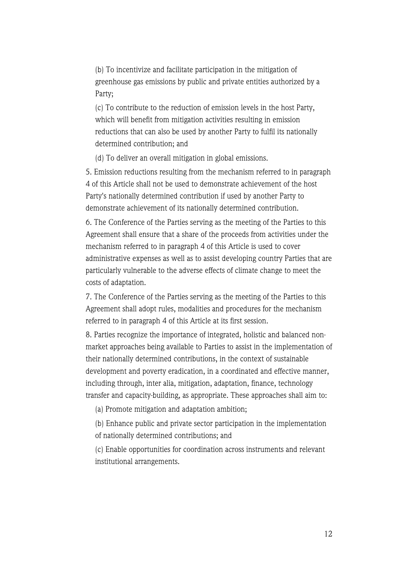(b) To incentivize and facilitate participation in the mitigation of greenhouse gas emissions by public and private entities authorized by a Party;

(c) To contribute to the reduction of emission levels in the host Party, which will benefit from mitigation activities resulting in emission reductions that can also be used by another Party to fulfil its nationally determined contribution; and

(d) To deliver an overall mitigation in global emissions.

5. Emission reductions resulting from the mechanism referred to in paragraph 4 of this Article shall not be used to demonstrate achievement of the host Party's nationally determined contribution if used by another Party to demonstrate achievement of its nationally determined contribution.

6. The Conference of the Parties serving as the meeting of the Parties to this Agreement shall ensure that a share of the proceeds from activities under the mechanism referred to in paragraph 4 of this Article is used to cover administrative expenses as well as to assist developing country Parties that are particularly vulnerable to the adverse effects of climate change to meet the costs of adaptation.

7. The Conference of the Parties serving as the meeting of the Parties to this Agreement shall adopt rules, modalities and procedures for the mechanism referred to in paragraph 4 of this Article at its first session.

8. Parties recognize the importance of integrated, holistic and balanced nonmarket approaches being available to Parties to assist in the implementation of their nationally determined contributions, in the context of sustainable development and poverty eradication, in a coordinated and effective manner, including through, inter alia, mitigation, adaptation, finance, technology transfer and capacity-building, as appropriate. These approaches shall aim to:

(a) Promote mitigation and adaptation ambition;

(b) Enhance public and private sector participation in the implementation of nationally determined contributions; and

(c) Enable opportunities for coordination across instruments and relevant institutional arrangements.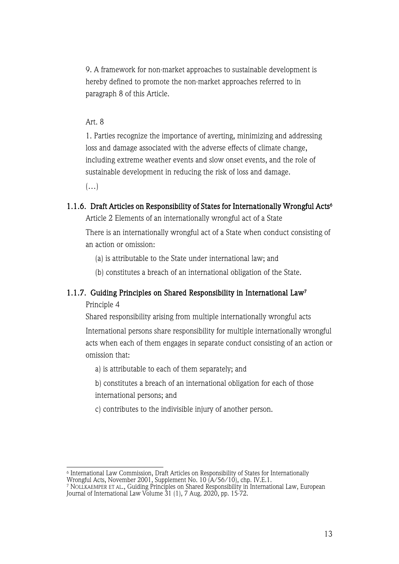9. A framework for non-market approaches to sustainable development is hereby defined to promote the non-market approaches referred to in paragraph 8 of this Article.

### Art. 8

1. Parties recognize the importance of averting, minimizing and addressing loss and damage associated with the adverse effects of climate change, including extreme weather events and slow onset events, and the role of sustainable development in reducing the risk of loss and damage.

 $(\ldots)$ 

### 1.1.6. Draft Articles on Responsibility of States for Internationally Wrongful Acts<sup>6</sup>

Article 2 Elements of an internationally wrongful act of a State There is an internationally wrongful act of a State when conduct consisting of an action or omission:

(a) is attributable to the State under international law; and

(b) constitutes a breach of an international obligation of the State.

# 1.1.7. Guiding Principles on Shared Responsibility in International Law7

Principle 4

Shared responsibility arising from multiple internationally wrongful acts

International persons share responsibility for multiple internationally wrongful acts when each of them engages in separate conduct consisting of an action or omission that:

a) is attributable to each of them separately; and

b) constitutes a breach of an international obligation for each of those international persons; and

c) contributes to the indivisible injury of another person.

 $^{\rm 6}$  International Law Commission, Draft Articles on Responsibility of States for Internationally

Wrongful Acts, November 2001, Supplement No. 10 (A/56/10), chp. IV.E.1.

 $^7$  NOLLKAEMPER ET AL., Guiding Principles on Shared Responsibility in International Law, European  $^7$ Journal of International Law Volume 31 (1), 7 Aug. 2020, pp. 15-72.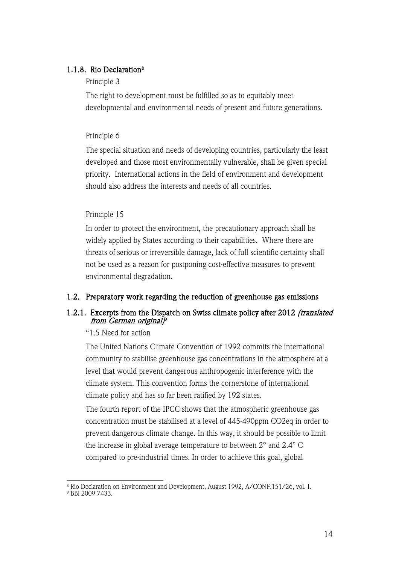## 1.1.8. Rio Declaration<sup>8</sup>

### Principle 3

The right to development must be fulfilled so as to equitably meet developmental and environmental needs of present and future generations.

### Principle 6

The special situation and needs of developing countries, particularly the least developed and those most environmentally vulnerable, shall be given special priority. International actions in the field of environment and development should also address the interests and needs of all countries.

### Principle 15

In order to protect the environment, the precautionary approach shall be widely applied by States according to their capabilities. Where there are threats of serious or irreversible damage, lack of full scientific certainty shall not be used as a reason for postponing cost-effective measures to prevent environmental degradation.

### 1.2. Preparatory work regarding the reduction of greenhouse gas emissions

### 1.2.1. Excerpts from the Dispatch on Swiss climate policy after 2012 (translated from German original)<sup>p</sup>

### "1.5 Need for action

The United Nations Climate Convention of 1992 commits the international community to stabilise greenhouse gas concentrations in the atmosphere at a level that would prevent dangerous anthropogenic interference with the climate system. This convention forms the cornerstone of international climate policy and has so far been ratified by 192 states.

The fourth report of the IPCC shows that the atmospheric greenhouse gas concentration must be stabilised at a level of 445-490ppm CO2eq in order to prevent dangerous climate change. In this way, it should be possible to limit the increase in global average temperature to between 2° and 2.4° C compared to pre-industrial times. In order to achieve this goal, global

<sup>8</sup> Rio Declaration on Environment and Development, August 1992, A/CONF.151/26, vol. I.

<sup>9</sup> BBl 2009 7433.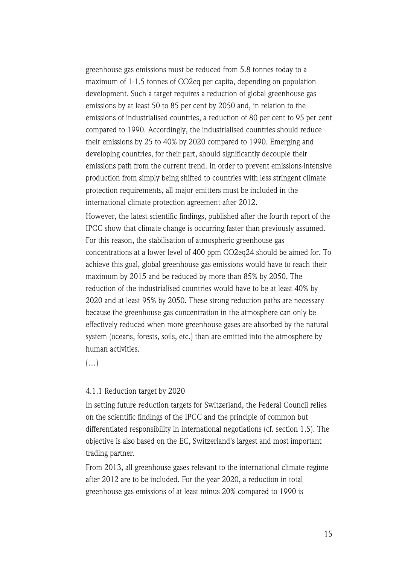greenhouse gas emissions must be reduced from 5.8 tonnes today to a maximum of 1-1.5 tonnes of CO2eq per capita, depending on population development. Such a target requires a reduction of global greenhouse gas emissions by at least 50 to 85 per cent by 2050 and, in relation to the emissions of industrialised countries, a reduction of 80 per cent to 95 per cent compared to 1990. Accordingly, the industrialised countries should reduce their emissions by 25 to 40% by 2020 compared to 1990. Emerging and developing countries, for their part, should significantly decouple their emissions path from the current trend. In order to prevent emissions-intensive production from simply being shifted to countries with less stringent climate protection requirements, all major emitters must be included in the international climate protection agreement after 2012.

However, the latest scientific findings, published after the fourth report of the IPCC show that climate change is occurring faster than previously assumed. For this reason, the stabilisation of atmospheric greenhouse gas concentrations at a lower level of 400 ppm CO2eq24 should be aimed for. To achieve this goal, global greenhouse gas emissions would have to reach their maximum by 2015 and be reduced by more than 85% by 2050. The reduction of the industrialised countries would have to be at least 40% by 2020 and at least 95% by 2050. These strong reduction paths are necessary because the greenhouse gas concentration in the atmosphere can only be effectively reduced when more greenhouse gases are absorbed by the natural system (oceans, forests, soils, etc.) than are emitted into the atmosphere by human activities.

 $(\ldots)$ 

#### 4.1.1 Reduction target by 2020

In setting future reduction targets for Switzerland, the Federal Council relies on the scientific findings of the IPCC and the principle of common but differentiated responsibility in international negotiations (cf. section 1.5). The objective is also based on the EC, Switzerland's largest and most important trading partner.

From 2013, all greenhouse gases relevant to the international climate regime after 2012 are to be included. For the year 2020, a reduction in total greenhouse gas emissions of at least minus 20% compared to 1990 is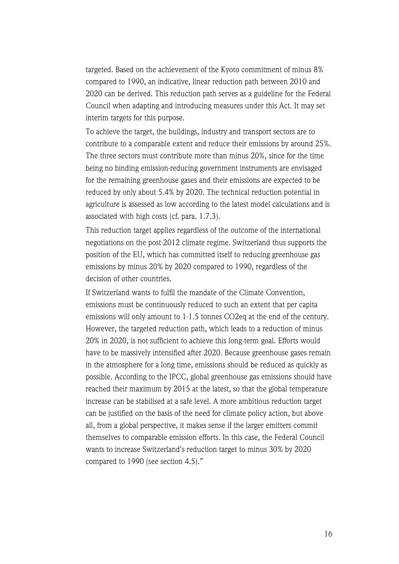targeted. Based on the achievement of the Kyoto commitment of minus 8% compared to 1990, an indicative, linear reduction path between 2010 and 2020 can be derived. This reduction path serves as a guideline for the Federal Council when adapting and introducing measures under this Act. It may set interim targets for this purpose.

To achieve the target, the buildings, industry and transport sectors are to contribute to a comparable extent and reduce their emissions by around 25%. The three sectors must contribute more than minus 20%, since for the time being no binding emission-reducing government instruments are envisaged for the remaining greenhouse gases and their emissions are expected to be reduced by only about 5.4% by 2020. The technical reduction potential in agriculture is assessed as low according to the latest model calculations and is associated with high costs (cf. para. 1.7.3).

This reduction target applies regardless of the outcome of the international negotiations on the post-2012 climate regime. Switzerland thus supports the position of the EU, which has committed itself to reducing greenhouse gas emissions by minus 20% by 2020 compared to 1990, regardless of the decision of other countries.

If Switzerland wants to fulfil the mandate of the Climate Convention, emissions must be continuously reduced to such an extent that per capita emissions will only amount to 1-1.5 tonnes CO2eq at the end of the century. However, the targeted reduction path, which leads to a reduction of minus 20% in 2020, is not sufficient to achieve this long-term goal. Efforts would have to be massively intensified after 2020. Because greenhouse gases remain in the atmosphere for a long time, emissions should be reduced as quickly as possible. According to the IPCC, global greenhouse gas emissions should have reached their maximum by 2015 at the latest, so that the global temperature increase can be stabilised at a safe level. A more ambitious reduction target can be justified on the basis of the need for climate policy action, but above all, from a global perspective, it makes sense if the larger emitters commit themselves to comparable emission efforts. In this case, the Federal Council wants to increase Switzerland's reduction target to minus 30% by 2020 compared to 1990 (see section 4.5)."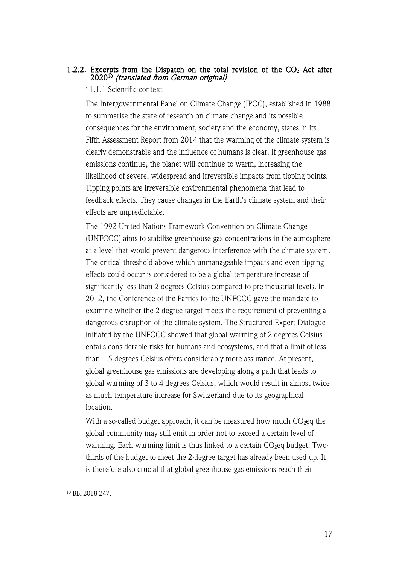### 1.2.2. Excerpts from the Dispatch on the total revision of the  $CO<sub>2</sub>$  Act after 202010 (translated from German original)

### "1.1.1 Scientific context

The Intergovernmental Panel on Climate Change (IPCC), established in 1988 to summarise the state of research on climate change and its possible consequences for the environment, society and the economy, states in its Fifth Assessment Report from 2014 that the warming of the climate system is clearly demonstrable and the influence of humans is clear. If greenhouse gas emissions continue, the planet will continue to warm, increasing the likelihood of severe, widespread and irreversible impacts from tipping points. Tipping points are irreversible environmental phenomena that lead to feedback effects. They cause changes in the Earth's climate system and their effects are unpredictable.

The 1992 United Nations Framework Convention on Climate Change (UNFCCC) aims to stabilise greenhouse gas concentrations in the atmosphere at a level that would prevent dangerous interference with the climate system. The critical threshold above which unmanageable impacts and even tipping effects could occur is considered to be a global temperature increase of significantly less than 2 degrees Celsius compared to pre-industrial levels. In 2012, the Conference of the Parties to the UNFCCC gave the mandate to examine whether the 2-degree target meets the requirement of preventing a dangerous disruption of the climate system. The Structured Expert Dialogue initiated by the UNFCCC showed that global warming of 2 degrees Celsius entails considerable risks for humans and ecosystems, and that a limit of less than 1.5 degrees Celsius offers considerably more assurance. At present, global greenhouse gas emissions are developing along a path that leads to global warming of 3 to 4 degrees Celsius, which would result in almost twice as much temperature increase for Switzerland due to its geographical location.

With a so-called budget approach, it can be measured how much  $CO<sub>2</sub>$ eg the global community may still emit in order not to exceed a certain level of warming. Each warming limit is thus linked to a certain  $CO<sub>2</sub>$ eq budget. Twothirds of the budget to meet the 2-degree target has already been used up. It is therefore also crucial that global greenhouse gas emissions reach their

<sup>10</sup> BBl 2018 247.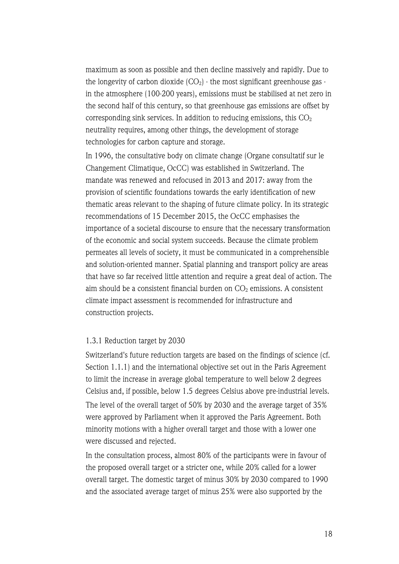maximum as soon as possible and then decline massively and rapidly. Due to the longevity of carbon dioxide  $(CO_2)$  - the most significant greenhouse gas in the atmosphere (100-200 years), emissions must be stabilised at net zero in the second half of this century, so that greenhouse gas emissions are offset by corresponding sink services. In addition to reducing emissions, this  $CO<sub>2</sub>$ neutrality requires, among other things, the development of storage technologies for carbon capture and storage.

In 1996, the consultative body on climate change (Organe consultatif sur le Changement Climatique, OcCC) was established in Switzerland. The mandate was renewed and refocused in 2013 and 2017: away from the provision of scientific foundations towards the early identification of new thematic areas relevant to the shaping of future climate policy. In its strategic recommendations of 15 December 2015, the OcCC emphasises the importance of a societal discourse to ensure that the necessary transformation of the economic and social system succeeds. Because the climate problem permeates all levels of society, it must be communicated in a comprehensible and solution-oriented manner. Spatial planning and transport policy are areas that have so far received little attention and require a great deal of action. The aim should be a consistent financial burden on  $CO<sub>2</sub>$  emissions. A consistent climate impact assessment is recommended for infrastructure and construction projects.

### 1.3.1 Reduction target by 2030

Switzerland's future reduction targets are based on the findings of science (cf. Section 1.1.1) and the international objective set out in the Paris Agreement to limit the increase in average global temperature to well below 2 degrees Celsius and, if possible, below 1.5 degrees Celsius above pre-industrial levels. The level of the overall target of 50% by 2030 and the average target of 35% were approved by Parliament when it approved the Paris Agreement. Both minority motions with a higher overall target and those with a lower one were discussed and rejected.

In the consultation process, almost 80% of the participants were in favour of the proposed overall target or a stricter one, while 20% called for a lower overall target. The domestic target of minus 30% by 2030 compared to 1990 and the associated average target of minus 25% were also supported by the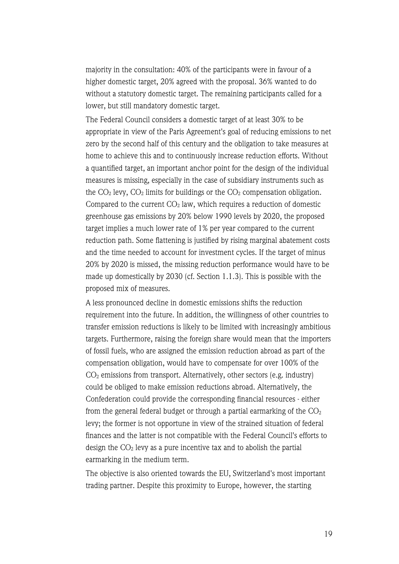majority in the consultation: 40% of the participants were in favour of a higher domestic target, 20% agreed with the proposal. 36% wanted to do without a statutory domestic target. The remaining participants called for a lower, but still mandatory domestic target.

The Federal Council considers a domestic target of at least 30% to be appropriate in view of the Paris Agreement's goal of reducing emissions to net zero by the second half of this century and the obligation to take measures at home to achieve this and to continuously increase reduction efforts. Without a quantified target, an important anchor point for the design of the individual measures is missing, especially in the case of subsidiary instruments such as the  $CO<sub>2</sub>$  levy,  $CO<sub>2</sub>$  limits for buildings or the  $CO<sub>2</sub>$  compensation obligation. Compared to the current  $CO<sub>2</sub>$  law, which requires a reduction of domestic greenhouse gas emissions by 20% below 1990 levels by 2020, the proposed target implies a much lower rate of 1% per year compared to the current reduction path. Some flattening is justified by rising marginal abatement costs and the time needed to account for investment cycles. If the target of minus 20% by 2020 is missed, the missing reduction performance would have to be made up domestically by 2030 (cf. Section 1.1.3). This is possible with the proposed mix of measures.

A less pronounced decline in domestic emissions shifts the reduction requirement into the future. In addition, the willingness of other countries to transfer emission reductions is likely to be limited with increasingly ambitious targets. Furthermore, raising the foreign share would mean that the importers of fossil fuels, who are assigned the emission reduction abroad as part of the compensation obligation, would have to compensate for over 100% of the  $CO<sub>2</sub>$  emissions from transport. Alternatively, other sectors (e.g. industry) could be obliged to make emission reductions abroad. Alternatively, the Confederation could provide the corresponding financial resources - either from the general federal budget or through a partial earmarking of the  $CO<sub>2</sub>$ levy; the former is not opportune in view of the strained situation of federal finances and the latter is not compatible with the Federal Council's efforts to design the  $CO<sub>2</sub>$  levy as a pure incentive tax and to abolish the partial earmarking in the medium term.

The objective is also oriented towards the EU, Switzerland's most important trading partner. Despite this proximity to Europe, however, the starting

19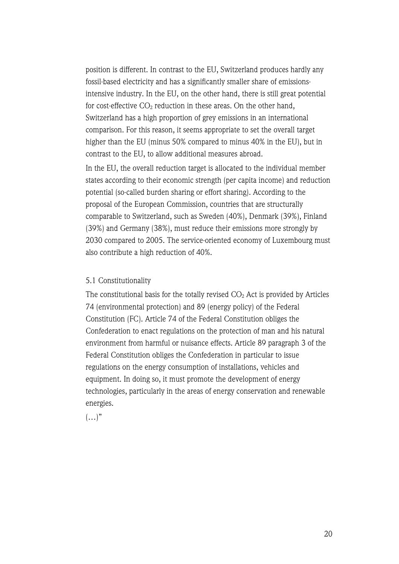position is different. In contrast to the EU, Switzerland produces hardly any fossil-based electricity and has a significantly smaller share of emissionsintensive industry. In the EU, on the other hand, there is still great potential for cost-effective  $CO<sub>2</sub>$  reduction in these areas. On the other hand, Switzerland has a high proportion of grey emissions in an international comparison. For this reason, it seems appropriate to set the overall target higher than the EU (minus 50% compared to minus 40% in the EU), but in contrast to the EU, to allow additional measures abroad.

In the EU, the overall reduction target is allocated to the individual member states according to their economic strength (per capita income) and reduction potential (so-called burden sharing or effort sharing). According to the proposal of the European Commission, countries that are structurally comparable to Switzerland, such as Sweden (40%), Denmark (39%), Finland (39%) and Germany (38%), must reduce their emissions more strongly by 2030 compared to 2005. The service-oriented economy of Luxembourg must also contribute a high reduction of 40%.

### 5.1 Constitutionality

The constitutional basis for the totally revised  $CO<sub>2</sub>$  Act is provided by Articles 74 (environmental protection) and 89 (energy policy) of the Federal Constitution (FC). Article 74 of the Federal Constitution obliges the Confederation to enact regulations on the protection of man and his natural environment from harmful or nuisance effects. Article 89 paragraph 3 of the Federal Constitution obliges the Confederation in particular to issue regulations on the energy consumption of installations, vehicles and equipment. In doing so, it must promote the development of energy technologies, particularly in the areas of energy conservation and renewable energies.

 $(\ldots)$ "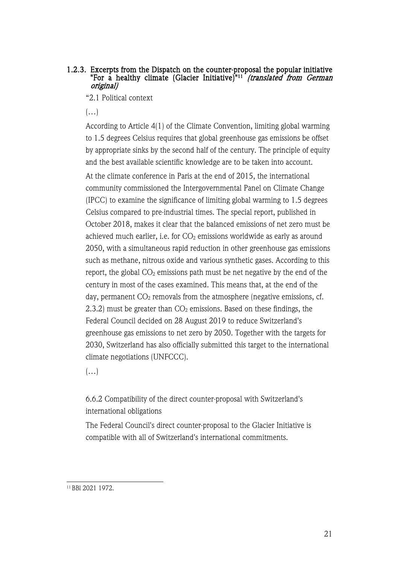### 1.2.3. Excerpts from the Dispatch on the counter-proposal the popular initiative "For a healthy climate (Glacier Initiative)"<sup>11</sup> *(translated from German* original)

"2.1 Political context

 $(\ldots)$ 

According to Article 4(1) of the Climate Convention, limiting global warming to 1.5 degrees Celsius requires that global greenhouse gas emissions be offset by appropriate sinks by the second half of the century. The principle of equity and the best available scientific knowledge are to be taken into account.

At the climate conference in Paris at the end of 2015, the international community commissioned the Intergovernmental Panel on Climate Change (IPCC) to examine the significance of limiting global warming to 1.5 degrees Celsius compared to pre-industrial times. The special report, published in October 2018, makes it clear that the balanced emissions of net zero must be achieved much earlier, i.e. for  $CO<sub>2</sub>$  emissions worldwide as early as around 2050, with a simultaneous rapid reduction in other greenhouse gas emissions such as methane, nitrous oxide and various synthetic gases. According to this report, the global  $CO<sub>2</sub>$  emissions path must be net negative by the end of the century in most of the cases examined. This means that, at the end of the day, permanent  $CO<sub>2</sub>$  removals from the atmosphere (negative emissions, cf. 2.3.2) must be greater than  $CO<sub>2</sub>$  emissions. Based on these findings, the Federal Council decided on 28 August 2019 to reduce Switzerland's greenhouse gas emissions to net zero by 2050. Together with the targets for 2030, Switzerland has also officially submitted this target to the international climate negotiations (UNFCCC).

 $(\ldots)$ 

6.6.2 Compatibility of the direct counter-proposal with Switzerland's international obligations

The Federal Council's direct counter-proposal to the Glacier Initiative is compatible with all of Switzerland's international commitments.

<sup>11</sup> BBl 2021 1972.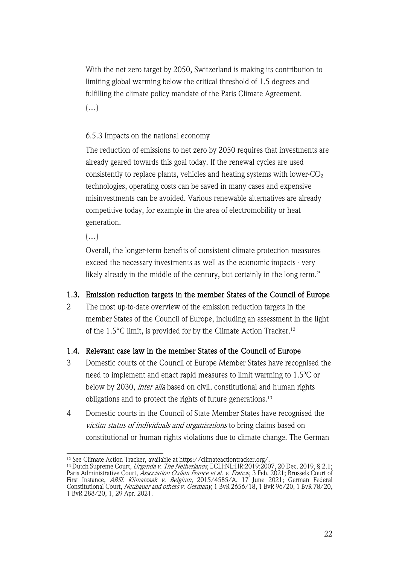With the net zero target by 2050, Switzerland is making its contribution to limiting global warming below the critical threshold of 1.5 degrees and fulfilling the climate policy mandate of the Paris Climate Agreement.

 $(\ldots)$ 

# 6.5.3 Impacts on the national economy

The reduction of emissions to net zero by 2050 requires that investments are already geared towards this goal today. If the renewal cycles are used consistently to replace plants, vehicles and heating systems with lower- $CO<sub>2</sub>$ technologies, operating costs can be saved in many cases and expensive misinvestments can be avoided. Various renewable alternatives are already competitive today, for example in the area of electromobility or heat generation.

 $(\ldots)$ 

Overall, the longer-term benefits of consistent climate protection measures exceed the necessary investments as well as the economic impacts - very likely already in the middle of the century, but certainly in the long term."

# 1.3. Emission reduction targets in the member States of the Council of Europe

2 The most up-to-date overview of the emission reduction targets in the member States of the Council of Europe, including an assessment in the light of the 1.5°C limit, is provided for by the Climate Action Tracker.12

# 1.4. Relevant case law in the member States of the Council of Europe

- 3 Domestic courts of the Council of Europe Member States have recognised the need to implement and enact rapid measures to limit warming to 1.5ºC or below by 2030, inter alia based on civil, constitutional and human rights obligations and to protect the rights of future generations.13
- 4 Domestic courts in the Council of State Member States have recognised the victim status of individuals and organisations to bring claims based on constitutional or human rights violations due to climate change. The German

<sup>&</sup>lt;sup>12</sup> See Climate Action Tracker, available at https://climateactiontracker.org/.<br><sup>13</sup> Dutch Supreme Court, *Urgenda v. The Netherlands*, ECLI:NL:HR:2019:2007, 20 Dec. 2019, § 2.1; Paris Administrative Court, *Association Oxfam France et al. v. France*, 3 Feb. 2021; Brussels Court of First Instance, *ABSL Klimatzaak v. Belgium*, 2015/4585/A, 17 June 2021; German Federal Constitutional Court, Neubauer and others v. Germany, 1 BvR 2656/18, 1 BvR 96/20, 1 BvR 78/20, 1 BvR 288/20, 1, 29 Apr. 2021.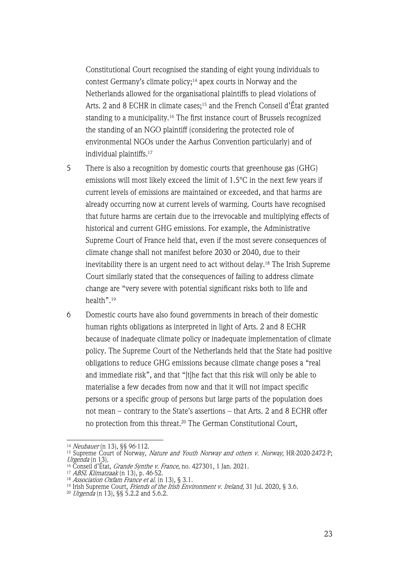Constitutional Court recognised the standing of eight young individuals to contest Germany's climate policy;<sup>14</sup> apex courts in Norway and the Netherlands allowed for the organisational plaintiffs to plead violations of Arts. 2 and 8 ECHR in climate cases;<sup>15</sup> and the French Conseil d'État granted standing to a municipality.16 The first instance court of Brussels recognized the standing of an NGO plaintiff (considering the protected role of environmental NGOs under the Aarhus Convention particularly) and of individual plaintiffs.17

- 5 There is also a recognition by domestic courts that greenhouse gas (GHG) emissions will most likely exceed the limit of 1.5ºC in the next few years if current levels of emissions are maintained or exceeded, and that harms are already occurring now at current levels of warming. Courts have recognised that future harms are certain due to the irrevocable and multiplying effects of historical and current GHG emissions. For example, the Administrative Supreme Court of France held that, even if the most severe consequences of climate change shall not manifest before 2030 or 2040, due to their inevitability there is an urgent need to act without delay.<sup>18</sup> The Irish Supreme Court similarly stated that the consequences of failing to address climate change are "very severe with potential significant risks both to life and health".19
- 6 Domestic courts have also found governments in breach of their domestic human rights obligations as interpreted in light of Arts. 2 and 8 ECHR because of inadequate climate policy or inadequate implementation of climate policy. The Supreme Court of the Netherlands held that the State had positive obligations to reduce GHG emissions because climate change poses a "real and immediate risk", and that "[t]he fact that this risk will only be able to materialise a few decades from now and that it will not impact specific persons or a specific group of persons but large parts of the population does not mean – contrary to the State's assertions – that Arts. 2 and 8 ECHR offer no protection from this threat.<sup>20</sup> The German Constitutional Court,

<sup>14</sup> Neubauer (n 13), §§ 96-112.

<sup>&</sup>lt;sup>15</sup> Supreme Court of Norway, *Nature and Youth Norway and others v. Norway*, HR-2020-2472-P; Urgenda  $(n\ 13)$ .

 $^{16}$  Conseil d'État, *Grande Synthe v. France*, no. 427301, 1 Jan. 2021.

<sup>17</sup> ABSL Klimatzaak (n 13), p. 46-52.

 $^{18}$  Association Oxfam France et al.  $(n\ 13),\ \S\ 3.1.$ 

<sup>&</sup>lt;sup>19</sup> Irish Supreme Court, *Friends of the Irish Environment v. Ireland,* 31 Jul. 2020, § 3.6.

<sup>&</sup>lt;sup>20</sup> *Urgenda* (n 13), §§ 5.2.2 and 5.6.2.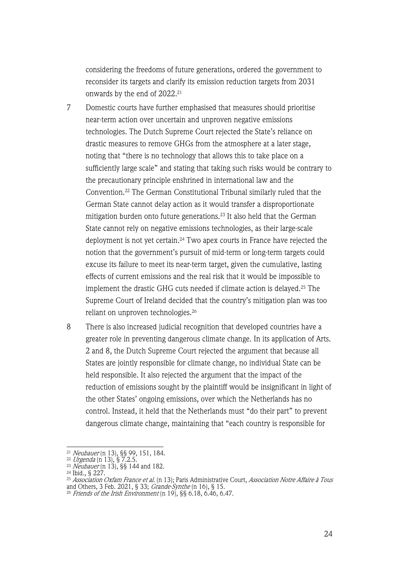considering the freedoms of future generations, ordered the government to reconsider its targets and clarify its emission reduction targets from 2031 onwards by the end of 2022.<sup>21</sup>

- 7 Domestic courts have further emphasised that measures should prioritise near-term action over uncertain and unproven negative emissions technologies. The Dutch Supreme Court rejected the State's reliance on drastic measures to remove GHGs from the atmosphere at a later stage, noting that "there is no technology that allows this to take place on a sufficiently large scale" and stating that taking such risks would be contrary to the precautionary principle enshrined in international law and the Convention.22 The German Constitutional Tribunal similarly ruled that the German State cannot delay action as it would transfer a disproportionate mitigation burden onto future generations.23 It also held that the German State cannot rely on negative emissions technologies, as their large-scale deployment is not yet certain.<sup>24</sup> Two apex courts in France have rejected the notion that the government's pursuit of mid-term or long-term targets could excuse its failure to meet its near-term target, given the cumulative, lasting effects of current emissions and the real risk that it would be impossible to implement the drastic GHG cuts needed if climate action is delayed.25 The Supreme Court of Ireland decided that the country's mitigation plan was too reliant on unproven technologies.26
- 8 There is also increased judicial recognition that developed countries have a greater role in preventing dangerous climate change. In its application of Arts. 2 and 8, the Dutch Supreme Court rejected the argument that because all States are jointly responsible for climate change, no individual State can be held responsible. It also rejected the argument that the impact of the reduction of emissions sought by the plaintiff would be insignificant in light of the other States' ongoing emissions, over which the Netherlands has no control. Instead, it held that the Netherlands must "do their part" to prevent dangerous climate change, maintaining that "each country is responsible for

<sup>&</sup>lt;sup>21</sup> Neubauer (n 13), §§ 99, 151, 184.

<sup>&</sup>lt;sup>22</sup> *Urgenda* (n 13), § 7.2.5.

<sup>&</sup>lt;sup>23</sup> *Neubauer* (n 13), §§ 144 and 182.

<sup>24</sup> Ibid., § 227.

<sup>&</sup>lt;sup>25</sup> *Association Oxfam France et al.* (n 13); Paris Administrative Court, *Association Notre Affaire à Tous* and Others, 3 Feb. 2021, § 33; *Grande-Synthe* (n 16), § 15.

<sup>26</sup> Friends of the Irish Environment (n 19), §§ 6.18, 6.46, 6.47.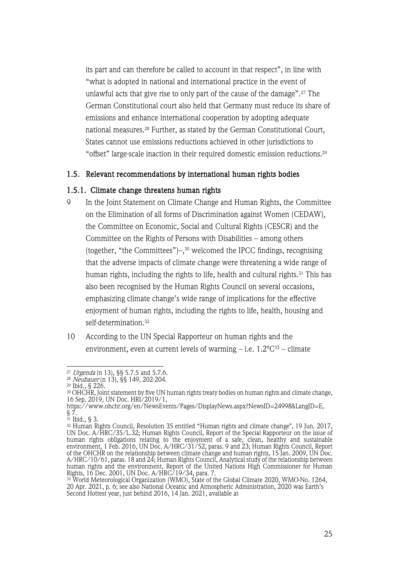its part and can therefore be called to account in that respect", in line with "what is adopted in national and international practice in the event of unlawful acts that give rise to only part of the cause of the damage".27 The German Constitutional court also held that Germany must reduce its share of emissions and enhance international cooperation by adopting adequate national measures.28 Further, as stated by the German Constitutional Court, States cannot use emissions reductions achieved in other jurisdictions to "offset" large-scale inaction in their required domestic emission reductions.29

### 1.5. Relevant recommendations by international human rights bodies

### 1.5.1. Climate change threatens human rights

- 9 In the Joint Statement on Climate Change and Human Rights, the Committee on the Elimination of all forms of Discrimination against Women (CEDAW), the Committee on Economic, Social and Cultural Rights (CESCR) and the Committee on the Rights of Persons with Disabilities – among others (together, "the Committees")–, <sup>30</sup> welcomed the IPCC findings, recognising that the adverse impacts of climate change were threatening a wide range of human rights, including the rights to life, health and cultural rights.<sup>31</sup> This has also been recognised by the Human Rights Council on several occasions, emphasizing climate change's wide range of implications for the effective enjoyment of human rights, including the rights to life, health, housing and self-determination.32
- 10 According to the UN Special Rapporteur on human rights and the environment, even at current levels of warming – i.e.  $1.2^{\circ}C^{33}$  – climate

<sup>&</sup>lt;sup>27</sup> *Urgenda* (n 13), §§ 5.7.5 and 5.7.6.<br><sup>28</sup> *Neubauer* (n 13), §§ 149, 202-204.

<sup>29</sup> Ibid., § 226.

 $\rm{^{30}OHCHR}$ , Joint statement by five UN human rights treaty bodies on human rights and climate change, 16 Sep. 2019, UN Doc. HRI/2019/1,

https://www.ohchr.org/en/NewsEvents/Pages/DisplayNews.aspx?NewsID=24998&LangID=E, § 7.

<sup>31</sup> Ibid., § 3.<br><sup>31</sup> Ibid., § 3.<br><sup>32</sup> Human Rights Council, Resolution 35 entitled "Human rights and climate change", 19 Jun. 2017, <sup>32</sup> Human Rights Council, Resolution 35 entitled "Human rights and climate change", 19 Jun. 2017, UN Doc. A/HRC/35/L.32; Human Rights Council, Report of the Special Rapporteur on the issue of human rights obligations relating to the enjoyment of a safe, clean, healthy and sustainable environment, 1 Feb. 2016, UN Doc. A/HRC/31/52, paras. 9 and 23; Human Rights Council, Report of the OHCHR on the relationship between climate change and human rights, 15 Jan. 2009, UN Doc. A/HRC/10/61, paras. 18 and 24; Human Rights Council, Analytical study of the relationship between human rights and the environment, Report of the United Nations High Commissioner for Human Rights, 16 Dec. 2001, UN Doc. A/HRC/19/34, para. 7.

<sup>33</sup> World Meteorological Organization (WMO), State of the Global Climate 2020, WMO-No. 1264, 20 Apr. 2021, p. 6; see also National Oceanic and Atmospheric Administration, 2020 was Earth's Second Hottest year, just behind 2016, 14 Jan. 2021, available at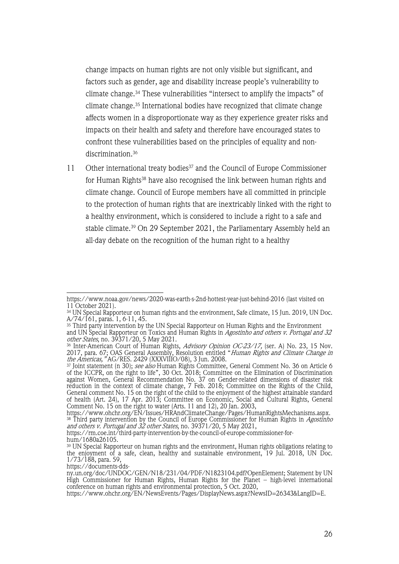change impacts on human rights are not only visible but significant, and factors such as gender, age and disability increase people's vulnerability to climate change.34 These vulnerabilities "intersect to amplify the impacts" of climate change.35 International bodies have recognized that climate change affects women in a disproportionate way as they experience greater risks and impacts on their health and safety and therefore have encouraged states to confront these vulnerabilities based on the principles of equality and nondiscrimination.<sup>36</sup>

11 Other international treaty bodies<sup>37</sup> and the Council of Europe Commissioner for Human Rights<sup>38</sup> have also recognised the link between human rights and climate change. Council of Europe members have all committed in principle to the protection of human rights that are inextricably linked with the right to a healthy environment, which is considered to include a right to a safe and stable climate.39 On 29 September 2021, the Parliamentary Assembly held an all-day debate on the recognition of the human right to a healthy

https://www.noaa.gov/news/2020-was-earth-s-2nd-hottest-year-just-behind-2016 (last visited on 11 October 2021).

<sup>34</sup> UN Special Rapporteur on human rights and the environment, Safe climate, 15 Jun. 2019, UN Doc. A/74/161, paras. 1, 6-11, 45.

<sup>35</sup> Third party intervention by the UN Special Rapporteur on Human Rights and the Environment and UN Special Rapporteur on Toxics and Human Rights in *Agostinho and others v. Portugal and 32* 

*other States*, no. 39371/20, 5 May 2021.<br><sup>36</sup> Inter-American Court of Human Rights, *Advisory Opinion OC-23/17,* (ser. A) No. 23, 15 Nov. 2017, para. 67; OAS General Assembly, Resolution entitled "*Human Rights and Climate Change in* the Americas," AG/RES. 2429 (XXXVIIIO/08), 3 Jun. 2008.

<sup>&</sup>lt;sup>37</sup> Joint statement (n 30); *see also* Human Rights Committee, General Comment No. 36 on Article 6 of the ICCPR, on the right to life", 30 Oct. 2018; Committee on the Elimination of Discrimination against Women, General Recommendation No. 37 on Gender-related dimensions of disaster risk reduction in the context of climate change, 7 Feb. 2018; Committee on the Rights of the Child, General comment No. 15 on the right of the child to the enjoyment of the highest attainable standard of health (Art. 24), 17 Apr. 2013; Committee on Economic, Social and Cultural Rights, General Comment No. 15 on the right to water (Arts. 11 and 12), 20 Jan. 2003,

https://www.ohchr.org/EN/Issues/HRAndClimateChange/Pages/HumanRightsMechanisms.aspx. <sup>38</sup> Third party intervention by the Council of Europe Commissioner for Human Rights in *Agostinho* and others v. Portugal and 32 other States, no. 39371/20, 5 May 2021,

https://rm.coe.int/third-party-intervention-by-the-council-of-europe-commissioner-for-<br>hum/1680a26105.

 $\rm^{39}$  UN Special Rapporteur on human rights and the environment, Human rights obligations relating to the enjoyment of a safe, clean, healthy and sustainable environment, 19 Jul. 2018, UN Doc. 1/73/188, para. 59,

https://documents-dds-

ny.un.org/doc/UNDOC/GEN/N18/231/04/PDF/N1823104.pdf?OpenElement; Statement by UN High Commissioner for Human Rights, Human Rights for the Planet – high-level international conference on human rights and environmental protection, 5 Oct. 2020,

https://www.ohchr.org/EN/NewsEvents/Pages/DisplayNews.aspx?NewsID=26343&LangID=E.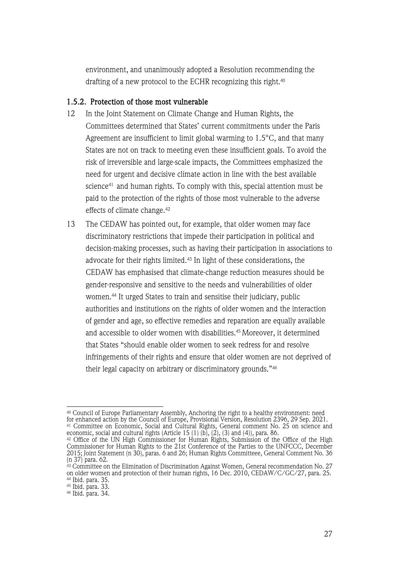environment, and unanimously adopted a Resolution recommending the drafting of a new protocol to the ECHR recognizing this right.40

### 1.5.2. Protection of those most vulnerable

- 12 In the Joint Statement on Climate Change and Human Rights, the Committees determined that States' current commitments under the Paris Agreement are insufficient to limit global warming to 1.5°C, and that many States are not on track to meeting even these insufficient goals. To avoid the risk of irreversible and large-scale impacts, the Committees emphasized the need for urgent and decisive climate action in line with the best available science41 and human rights. To comply with this, special attention must be paid to the protection of the rights of those most vulnerable to the adverse effects of climate change.42
- 13 The CEDAW has pointed out, for example, that older women may face discriminatory restrictions that impede their participation in political and decision-making processes, such as having their participation in associations to advocate for their rights limited.43 In light of these considerations, the CEDAW has emphasised that climate-change reduction measures should be gender-responsive and sensitive to the needs and vulnerabilities of older women.44 It urged States to train and sensitise their judiciary, public authorities and institutions on the rights of older women and the interaction of gender and age, so effective remedies and reparation are equally available and accessible to older women with disabilities.45 Moreover, it determined that States "should enable older women to seek redress for and resolve infringements of their rights and ensure that older women are not deprived of their legal capacity on arbitrary or discriminatory grounds."46

<sup>40</sup> Council of Europe Parliamentary Assembly, Anchoring the right to a healthy environment: need for enhanced action by the Council of Europe, Provisional Version, Resolution 2396, 29 Sep. 2021. <sup>41</sup> Committee on Economic, Social and Cultural Rights, General comment No. 25 on science and economic, social and cultural rights (Article 15 (1) (b), (2), (3) and (4)), para. 86.

 $42$  Office of the UN High Commissioner for Human Rights, Submission of the Office of the High Commissioner for Human Rights to the 21st Conference of the Parties to the UNFCCC, December 2015; Joint Statement (n 30), paras. 6 and 26; Human Rights Committeee, General Comment No. 36 (n 37) para. 62.

 $\frac{43}{43}$  Committee on the Elimination of Discrimination Against Women, General recommendation No. 27 on older women and protection of their human rights, 16 Dec. 2010, CEDAW/C/GC/27, para. 25. <sup>44</sup> Ibid. para. 35.

<sup>45</sup> Ibid. para. 33.

<sup>46</sup> Ibid. para. 34.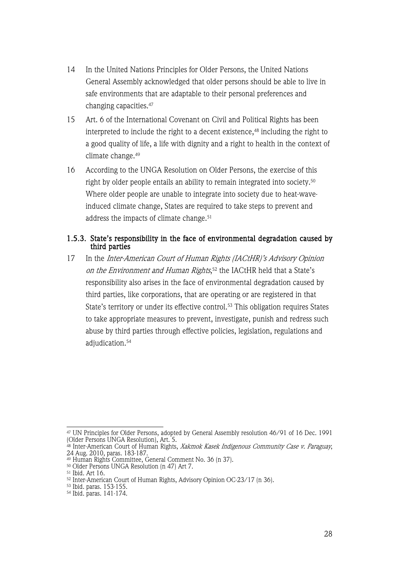- 14 In the United Nations Principles for Older Persons, the United Nations General Assembly acknowledged that older persons should be able to live in safe environments that are adaptable to their personal preferences and changing capacities.47
- 15 Art. 6 of the International Covenant on Civil and Political Rights has been interpreted to include the right to a decent existence,<sup>48</sup> including the right to a good quality of life, a life with dignity and a right to health in the context of climate change.49
- 16 According to the UNGA Resolution on Older Persons, the exercise of this right by older people entails an ability to remain integrated into society.50 Where older people are unable to integrate into society due to heat-waveinduced climate change, States are required to take steps to prevent and address the impacts of climate change.<sup>51</sup>

### 1.5.3. State's responsibility in the face of environmental degradation caused by third parties

17 In the *Inter-American Court of Human Rights (IACtHR)'s Advisory Opinion on the Environment and Human Rights*,<sup>52</sup> the IACtHR held that a State's responsibility also arises in the face of environmental degradation caused by third parties, like corporations, that are operating or are registered in that State's territory or under its effective control.<sup>53</sup> This obligation requires States to take appropriate measures to prevent, investigate, punish and redress such abuse by third parties through effective policies, legislation, regulations and adjudication.54

 $^{47}$  UN Principles for Older Persons, adopted by General Assembly resolution 46/91 of 16 Dec. 1991 (Older Persons UNGA Resolution), Art. 5.

<sup>&</sup>lt;sup>48</sup> Inter-American Court of Human Rights, *Xakmok Kasek Indigenous Community Case v. Paraguay*, 24 Aug. 2010, paras. 183-187.

<sup>49</sup> Human Rights Committee, General Comment No. 36 (n 37).

<sup>50</sup> Older Persons UNGA Resolution (n 47) Art 7.

<sup>51</sup> Ibid. Art 16. 52 Inter-American Court of Human Rights, Advisory Opinion OC-23/17 (n 36). 53 Ibid. paras. 153-155.

<sup>54</sup> Ibid. paras. 141-174.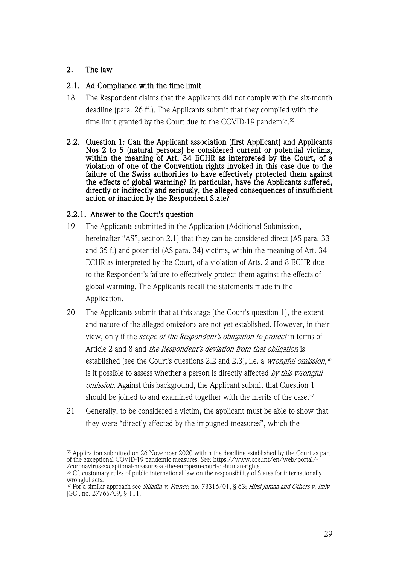# 2. The law

# 2.1. Ad Compliance with the time-limit

- 18 The Respondent claims that the Applicants did not comply with the six-month deadline (para. 26 ff.). The Applicants submit that they complied with the time limit granted by the Court due to the COVID-19 pandemic.<sup>55</sup>
- 2.2. Question 1: Can the Applicant association (first Applicant) and Applicants Nos 2 to 5 (natural persons) be considered current or potential victims, within the meaning of Art. 34 ECHR as interpreted by the Court, of a violation of one of the Convention rights invoked in this case due to the failure of the Swiss authorities to have effectively protected them against the effects of global warming? In particular, have the Applicants suffered, directly or indirectly and seriously, the alleged consequences of insufficient action or inaction by the Respondent State?

# 2.2.1. Answer to the Court's question

- 19 The Applicants submitted in the Application (Additional Submission, hereinafter "AS", section 2.1) that they can be considered direct (AS para. 33 and 35 f.) and potential (AS para. 34) victims, within the meaning of Art. 34 ECHR as interpreted by the Court, of a violation of Arts. 2 and 8 ECHR due to the Respondent's failure to effectively protect them against the effects of global warming. The Applicants recall the statements made in the Application.
- 20 The Applicants submit that at this stage (the Court's question 1), the extent and nature of the alleged omissions are not yet established. However, in their view, only if the scope of the Respondent's obligation to protect in terms of Article 2 and 8 and the Respondent's deviation from that obligation is established (see the Court's questions 2.2 and 2.3), i.e. a *wrongful omission,*56 is it possible to assess whether a person is directly affected by this wrongful omission. Against this background, the Applicant submit that Question 1 should be joined to and examined together with the merits of the case.<sup>57</sup>
- 21 Generally, to be considered a victim, the applicant must be able to show that they were "directly affected by the impugned measures", which the

<sup>&</sup>lt;sup>55</sup> Application submitted on 26 November 2020 within the deadline established by the Court as part of the exceptional COVID-19 pandemic measures. See: https://www.coe.int/en/web/portal/-

<sup>/</sup>coronavirus-exceptional-measures-at-the-european-court-of-human-rights.<br><sup>56</sup> Cf. customary rules of public international law on the responsibility of States for internationally wrongful acts.

 $57$  For a similar approach see *Siliadin v. France*, no. 73316/01, § 63; *Hirsi Jamaa and Others v. Italy* [GC], no. 27765/09, § 111.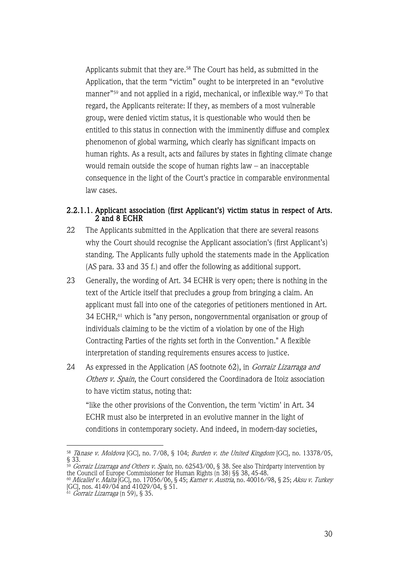Applicants submit that they are.<sup>58</sup> The Court has held, as submitted in the Application, that the term "victim" ought to be interpreted in an "evolutive manner"59 and not applied in a rigid, mechanical, or inflexible way. <sup>60</sup> To that regard, the Applicants reiterate: If they, as members of a most vulnerable group, were denied victim status, it is questionable who would then be entitled to this status in connection with the imminently diffuse and complex phenomenon of global warming, which clearly has significant impacts on human rights. As a result, acts and failures by states in fighting climate change would remain outside the scope of human rights law – an inacceptable consequence in the light of the Court's practice in comparable environmental law cases.

### 2.2.1.1. Applicant association (first Applicant's) victim status in respect of Arts. 2 and 8 ECHR

- 22 The Applicants submitted in the Application that there are several reasons why the Court should recognise the Applicant association's (first Applicant's) standing. The Applicants fully uphold the statements made in the Application (AS para. 33 and 35 f.) and offer the following as additional support.
- 23 Generally, the wording of Art. 34 ECHR is very open; there is nothing in the text of the Article itself that precludes a group from bringing a claim. An applicant must fall into one of the categories of petitioners mentioned in Art. 34 ECHR, <sup>61</sup> which is "any person, nongovernmental organisation or group of individuals claiming to be the victim of a violation by one of the High Contracting Parties of the rights set forth in the Convention." A flexible interpretation of standing requirements ensures access to justice.
- 24 As expressed in the Application (AS footnote 62), in *Gorraiz Lizarraga and* Others v. Spain, the Court considered the Coordinadora de Itoiz association to have victim status, noting that:

"like the other provisions of the Convention, the term 'victim' in Art. 34 ECHR must also be interpreted in an evolutive manner in the light of conditions in contemporary society. And indeed, in modern-day societies,

<sup>58</sup> <sup>T</sup>*ă*nase v. Moldova [GC], no. 7/08, § 104; Burden v. the United Kingdom [GC], no. 13378/05, § 33.

 $^{59}$  *Gorraiz Lizarraga and Others v. Spain*, no. 62543/00, § 38. See also Thirdparty intervention by the Council of Europe Commissioner for Human Rights (n 38) §§ 38, 45-48.

<sup>&</sup>lt;sup>60</sup> *Micallef v. Malta* [GC], no. 17056/06, § 45; *Karner v. Austria*, no. 40016/98, § 25; *Aksu v. Turkey* [GC], nos. 4149/04 and 41029/04, § 51.

 $61$  Gorraiz Lizarraga (n 59), § 35.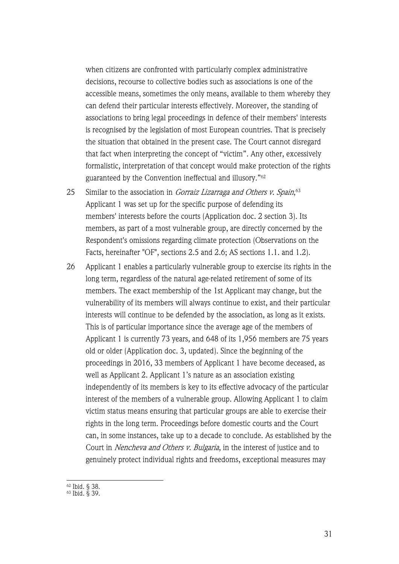when citizens are confronted with particularly complex administrative decisions, recourse to collective bodies such as associations is one of the accessible means, sometimes the only means, available to them whereby they can defend their particular interests effectively. Moreover, the standing of associations to bring legal proceedings in defence of their members' interests is recognised by the legislation of most European countries. That is precisely the situation that obtained in the present case. The Court cannot disregard that fact when interpreting the concept of "victim". Any other, excessively formalistic, interpretation of that concept would make protection of the rights guaranteed by the Convention ineffectual and illusory."62

- 25 Similar to the association in *Gorraiz Lizarraga and Others v. Spain*,<sup>63</sup> Applicant 1 was set up for the specific purpose of defending its members' interests before the courts (Application doc. 2 section 3). Its members, as part of a most vulnerable group, are directly concerned by the Respondent's omissions regarding climate protection (Observations on the Facts, hereinafter "OF", sections 2.5 and 2.6; AS sections 1.1. and 1.2).
- 26 Applicant 1 enables a particularly vulnerable group to exercise its rights in the long term, regardless of the natural age-related retirement of some of its members. The exact membership of the 1st Applicant may change, but the vulnerability of its members will always continue to exist, and their particular interests will continue to be defended by the association, as long as it exists. This is of particular importance since the average age of the members of Applicant 1 is currently 73 years, and 648 of its 1,956 members are 75 years old or older (Application doc. 3, updated). Since the beginning of the proceedings in 2016, 33 members of Applicant 1 have become deceased, as well as Applicant 2. Applicant 1's nature as an association existing independently of its members is key to its effective advocacy of the particular interest of the members of a vulnerable group. Allowing Applicant 1 to claim victim status means ensuring that particular groups are able to exercise their rights in the long term. Proceedings before domestic courts and the Court can, in some instances, take up to a decade to conclude. As established by the Court in Nencheva and Others v. Bulgaria, in the interest of justice and to genuinely protect individual rights and freedoms, exceptional measures may

<sup>62</sup> Ibid. § 38.

<sup>63</sup> Ibid. § 39.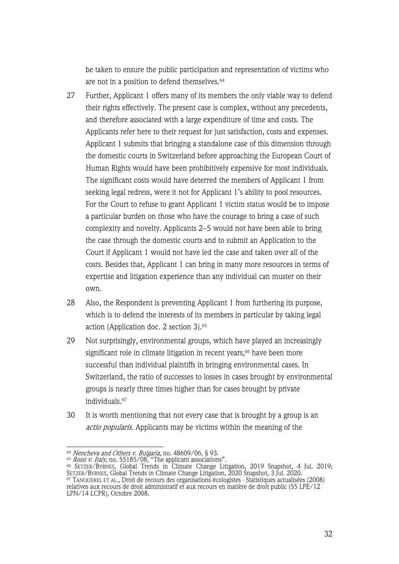be taken to ensure the public participation and representation of victims who are not in a position to defend themselves.<sup>64</sup>

- 27 Further, Applicant 1 offers many of its members the only viable way to defend their rights effectively. The present case is complex, without any precedents, and therefore associated with a large expenditure of time and costs. The Applicants refer here to their request for just satisfaction, costs and expenses. Applicant 1 submits that bringing a standalone case of this dimension through the domestic courts in Switzerland before approaching the European Court of Human Rights would have been prohibitively expensive for most individuals. The significant costs would have deterred the members of Applicant 1 from seeking legal redress, were it not for Applicant 1's ability to pool resources. For the Court to refuse to grant Applicant 1 victim status would be to impose a particular burden on those who have the courage to bring a case of such complexity and novelty. Applicants 2–5 would not have been able to bring the case through the domestic courts and to submit an Application to the Court if Applicant 1 would not have led the case and taken over all of the costs. Besides that, Applicant 1 can bring in many more resources in terms of expertise and litigation experience than any individual can muster on their own.
- 28 Also, the Respondent is preventing Applicant 1 from furthering its purpose, which is to defend the interests of its members in particular by taking legal action (Application doc. 2 section 3). 65
- 29 Not surprisingly, environmental groups, which have played an increasingly significant role in climate litigation in recent years,<sup>66</sup> have been more successful than individual plaintiffs in bringing environmental cases. In Switzerland, the ratio of successes to losses in cases brought by environmental groups is nearly three times higher than for cases brought by private individuals.67
- 30 It is worth mentioning that not every case that is brought by a group is an actio popularis. Applicants may be victims within the meaning of the

<sup>&</sup>lt;sup>64</sup> *Nencheva and Others v. Bulgaria,* no. 48609/06, § 93.<br><sup>65</sup> *Rossi v. Italy*, no. 55185/08, "The applicant associations".

<sup>66</sup> SETZER/BYRNES, Global Trends in Climate Change Litigation, 2019 Snapshot, 4 Jul. 2019; SETZER/BYRNES, Global Trends in Climate Change Litigation, 2020 Snapshot, 3 Jul. 2020.

 $^\mathrm{67}$  Tan $\alpha$ UEREL ET AL., Droit de recours des organisations écologistes - Statistiques actualisées (2008) relatives aux recours de droit administratif et aux recours en matière de droit public (55 LPE/12 LPN/14 LCPR), Octobre 2008.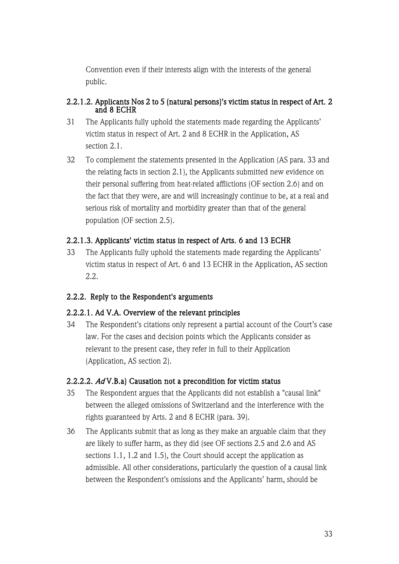Convention even if their interests align with the interests of the general public.

### 2.2.1.2. Applicants Nos 2 to 5 (natural persons)'s victim status in respect of Art. 2 and 8 ECHR

- 31 The Applicants fully uphold the statements made regarding the Applicants' victim status in respect of Art. 2 and 8 ECHR in the Application, AS section 2.1.
- 32 To complement the statements presented in the Application (AS para. 33 and the relating facts in section 2.1), the Applicants submitted new evidence on their personal suffering from heat-related afflictions (OF section 2.6) and on the fact that they were, are and will increasingly continue to be, at a real and serious risk of mortality and morbidity greater than that of the general population (OF section 2.5).

# 2.2.1.3. Applicants' victim status in respect of Arts. 6 and 13 ECHR

33 The Applicants fully uphold the statements made regarding the Applicants' victim status in respect of Art. 6 and 13 ECHR in the Application, AS section 2.2.

# 2.2.2. Reply to the Respondent's arguments

# 2.2.2.1. Ad V.A. Overview of the relevant principles

34 The Respondent's citations only represent a partial account of the Court's case law. For the cases and decision points which the Applicants consider as relevant to the present case, they refer in full to their Application (Application, AS section 2).

# 2.2.2.2. Ad V.B.a) Causation not a precondition for victim status

- 35 The Respondent argues that the Applicants did not establish a "causal link" between the alleged omissions of Switzerland and the interference with the rights guaranteed by Arts. 2 and 8 ECHR (para. 39).
- 36 The Applicants submit that as long as they make an arguable claim that they are likely to suffer harm, as they did (see OF sections 2.5 and 2.6 and AS sections 1.1, 1.2 and 1.5), the Court should accept the application as admissible. All other considerations, particularly the question of a causal link between the Respondent's omissions and the Applicants' harm, should be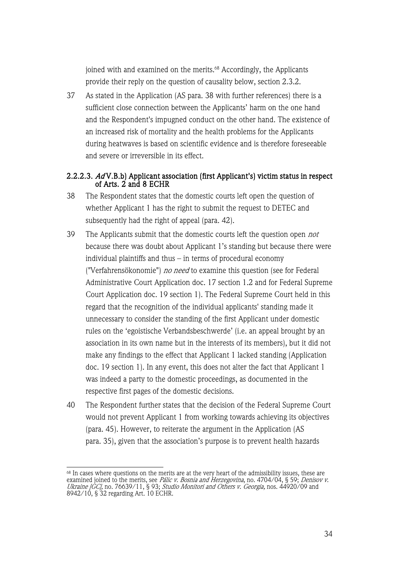joined with and examined on the merits.<sup>68</sup> Accordingly, the Applicants provide their reply on the question of causality below, section 2.3.2.

37 As stated in the Application (AS para. 38 with further references) there is a sufficient close connection between the Applicants' harm on the one hand and the Respondent's impugned conduct on the other hand. The existence of an increased risk of mortality and the health problems for the Applicants during heatwaves is based on scientific evidence and is therefore foreseeable and severe or irreversible in its effect.

### 2.2.2.3. Ad V.B.b) Applicant association (first Applicant's) victim status in respect of Arts. 2 and 8 ECHR

- 38 The Respondent states that the domestic courts left open the question of whether Applicant 1 has the right to submit the request to DETEC and subsequently had the right of appeal (para. 42).
- 39 The Applicants submit that the domestic courts left the question open *not* because there was doubt about Applicant 1's standing but because there were individual plaintiffs and thus – in terms of procedural economy ("Verfahrensökonomie") no need to examine this question (see for Federal Administrative Court Application doc. 17 section 1.2 and for Federal Supreme Court Application doc. 19 section 1). The Federal Supreme Court held in this regard that the recognition of the individual applicants' standing made it unnecessary to consider the standing of the first Applicant under domestic rules on the 'egoistische Verbandsbeschwerde' (i.e. an appeal brought by an association in its own name but in the interests of its members), but it did not make any findings to the effect that Applicant 1 lacked standing (Application doc. 19 section 1). In any event, this does not alter the fact that Applicant 1 was indeed a party to the domestic proceedings, as documented in the respective first pages of the domestic decisions.
- 40 The Respondent further states that the decision of the Federal Supreme Court would not prevent Applicant 1 from working towards achieving its objectives (para. 45). However, to reiterate the argument in the Application (AS para. 35), given that the association's purpose is to prevent health hazards

 $^{68}$  In cases where questions on the merits are at the very heart of the admissibility issues, these are examined joined to the merits, see *Pálic v. Bosnia and Herzegovina*, no. 4704/04, § 59; *Denisov v.* Ukraine [GC], no. 76639/11, § 93; *Studio Monitori and Others v. Georgia*, nos. 44920/09 and 8942/10, § 32 regarding Art. 10 ECHR.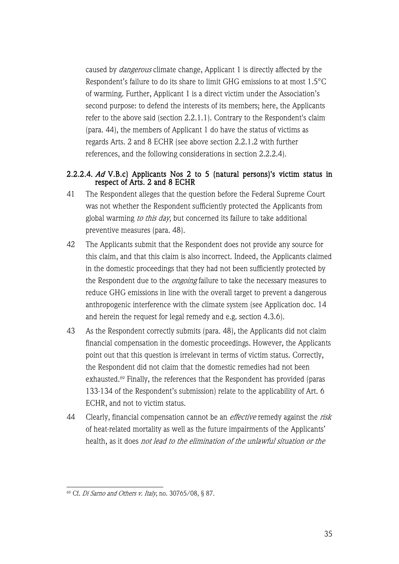caused by dangerous climate change, Applicant 1 is directly affected by the Respondent's failure to do its share to limit GHG emissions to at most 1.5°C of warming. Further, Applicant 1 is a direct victim under the Association's second purpose: to defend the interests of its members; here, the Applicants refer to the above said (section 2.2.1.1). Contrary to the Respondent's claim (para. 44), the members of Applicant 1 do have the status of victims as regards Arts. 2 and 8 ECHR (see above section 2.2.1.2 with further references, and the following considerations in section 2.2.2.4).

### 2.2.2.4. Ad V.B.c) Applicants Nos 2 to 5 (natural persons)'s victim status in respect of Arts. 2 and 8 ECHR

- 41 The Respondent alleges that the question before the Federal Supreme Court was not whether the Respondent sufficiently protected the Applicants from global warming to this day, but concerned its failure to take additional preventive measures (para. 48).
- 42 The Applicants submit that the Respondent does not provide any source for this claim, and that this claim is also incorrect. Indeed, the Applicants claimed in the domestic proceedings that they had not been sufficiently protected by the Respondent due to the *ongoing* failure to take the necessary measures to reduce GHG emissions in line with the overall target to prevent a dangerous anthropogenic interference with the climate system (see Application doc. 14 and herein the request for legal remedy and e.g. section 4.3.6).
- 43 As the Respondent correctly submits (para. 48), the Applicants did not claim financial compensation in the domestic proceedings. However, the Applicants point out that this question is irrelevant in terms of victim status. Correctly, the Respondent did not claim that the domestic remedies had not been exhausted.69 Finally, the references that the Respondent has provided (paras 133-134 of the Respondent's submission) relate to the applicability of Art. 6 ECHR, and not to victim status.
- 44 Clearly, financial compensation cannot be an *effective* remedy against the *risk* of heat-related mortality as well as the future impairments of the Applicants' health, as it does not lead to the elimination of the unlawful situation or the

<sup>69</sup> Cf. Di Sarno and Others v. Italy, no. 30765/08, § 87.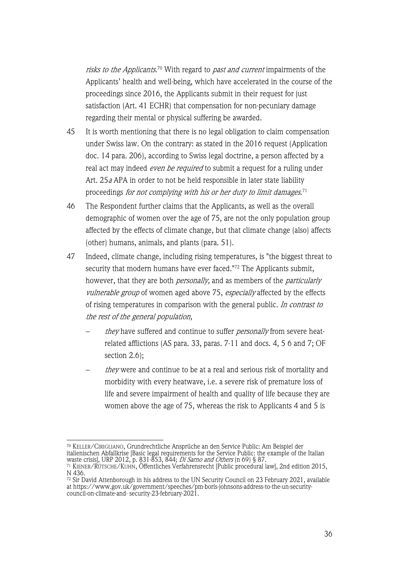*risks to the Applicants*.<sup>70</sup> With regard to *past and current* impairments of the Applicants' health and well-being, which have accelerated in the course of the proceedings since 2016, the Applicants submit in their request for just satisfaction (Art. 41 ECHR) that compensation for non-pecuniary damage regarding their mental or physical suffering be awarded.

- 45 It is worth mentioning that there is no legal obligation to claim compensation under Swiss law. On the contrary: as stated in the 2016 request (Application doc. 14 para. 206), according to Swiss legal doctrine, a person affected by a real act may indeed *even be required* to submit a request for a ruling under Art. 25<sup>a</sup> APA in order to not be held responsible in later state liability proceedings *for not complying with his or her duty to limit damages*.<sup>71</sup>
- 46 The Respondent further claims that the Applicants, as well as the overall demographic of women over the age of 75, are not the only population group affected by the effects of climate change, but that climate change (also) affects (other) humans, animals, and plants (para. 51).
- 47 Indeed, climate change, including rising temperatures, is "the biggest threat to security that modern humans have ever faced."72 The Applicants submit, however, that they are both *personally*, and as members of the *particularly* vulnerable group of women aged above 75, especially affected by the effects of rising temperatures in comparison with the general public. In contrast to the rest of the general population,
	- they have suffered and continue to suffer *personally* from severe heatrelated afflictions (AS para. 33, paras. 7-11 and docs. 4, 5 6 and 7; OF section 2.6);
	- they were and continue to be at a real and serious risk of mortality and morbidity with every heatwave, i.e. a severe risk of premature loss of life and severe impairment of health and quality of life because they are women above the age of 75, whereas the risk to Applicants 4 and 5 is

<sup>70</sup> KELLER/CIRIGLIANO, Grundrechtliche Ansprüche an den Service Public: Am Beispiel der italienischen Abfallkrise [Basic legal requirements for the Service Public: the example of the Italian waste crisis], URP 2012, p. 831-853, 844; *Di Sarno and Others* (n 69) § 87. <sup>71</sup> KIENER/RÜTSCHE/KUHN, Öffentliches Verfahrensrecht [Public procedural law], 2nd edition 2015,

N 436.

 $\frac{72}{2}$  Sir David Attenborough in his address to the UN Security Council on 23 February 2021, available at https://www.gov.uk/government/speeches/pm-boris-johnsons-address-to-the-un-securitycouncil-on-climate-and- security-23-february-2021.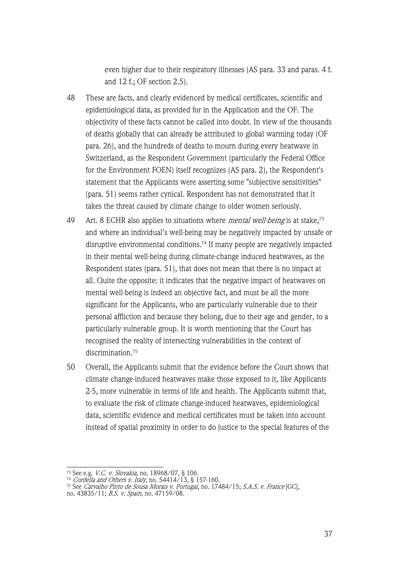even higher due to their respiratory illnesses (AS para. 33 and paras. 4 f. and 12 f.; OF section 2.5).

- 48 These are facts, and clearly evidenced by medical certificates, scientific and epidemiological data, as provided for in the Application and the OF. The objectivity of these facts cannot be called into doubt. In view of the thousands of deaths globally that can already be attributed to global warming today (OF para. 26), and the hundreds of deaths to mourn during every heatwave in Switzerland, as the Respondent Government (particularly the Federal Office for the Environment FOEN) itself recognizes (AS para. 2), the Respondent's statement that the Applicants were asserting some "subjective sensitivities" (para. 51) seems rather cynical. Respondent has not demonstrated that it takes the threat caused by climate change to older women seriously.
- 49 Art. 8 ECHR also applies to situations where *mental well-being* is at stake,<sup>73</sup> and where an individual's well-being may be negatively impacted by unsafe or disruptive environmental conditions.74 If many people are negatively impacted in their mental well-being during climate-change induced heatwaves, as the Respondent states (para. 51), that does not mean that there is no impact at all. Quite the opposite: it indicates that the negative impact of heatwaves on mental well-being is indeed an objective fact, and must be all the more significant for the Applicants, who are particularly vulnerable due to their personal affliction and because they belong, due to their age and gender, to a particularly vulnerable group. It is worth mentioning that the Court has recognised the reality of intersecting vulnerabilities in the context of discrimination.75
- 50 Overall, the Applicants submit that the evidence before the Court shows that climate change-induced heatwaves make those exposed to it, like Applicants 2-5, more vulnerable in terms of life and health. The Applicants submit that, to evaluate the risk of climate change-induced heatwaves, epidemiological data, scientific evidence and medical certificates must be taken into account instead of spatial proximity in order to do justice to the special features of the

<sup>&</sup>lt;sup>73</sup> See e.g. *V.C. v. Slovakia*, no. 18968/07, § 106.

<sup>&</sup>lt;sup>74</sup> *Cordella and Others v. Italy*, no. 54414/13, § 157-160.

<sup>&</sup>lt;sup>75</sup> See *Carvalho Pinto de Sousa Morais v. Portugal*, no. 17484/15; *S.A.S. v. France* [GC], no. 43835/11; B.S. v. Spain, no. 47159/08.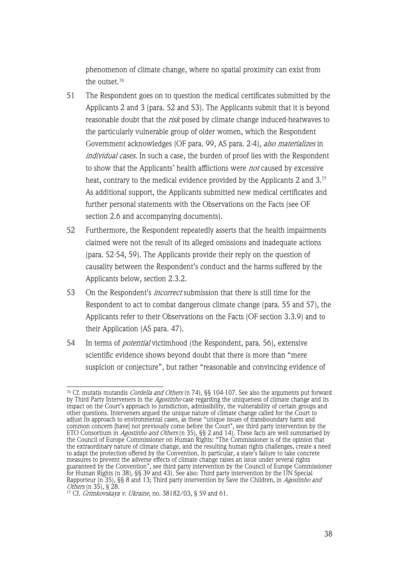phenomenon of climate change, where no spatial proximity can exist from the outset.76

- 51 The Respondent goes on to question the medical certificates submitted by the Applicants 2 and 3 (para. 52 and 53). The Applicants submit that it is beyond reasonable doubt that the risk posed by climate change induced-heatwaves to the particularly vulnerable group of older women, which the Respondent Government acknowledges (OF para. 99, AS para. 2-4), also materializes in individual cases. In such a case, the burden of proof lies with the Respondent to show that the Applicants' health afflictions were *not* caused by excessive heat, contrary to the medical evidence provided by the Applicants 2 and 3.<sup>77</sup> As additional support, the Applicants submitted new medical certificates and further personal statements with the Observations on the Facts (see OF section 2.6 and accompanying documents).
- 52 Furthermore, the Respondent repeatedly asserts that the health impairments claimed were not the result of its alleged omissions and inadequate actions (para. 52-54, 59). The Applicants provide their reply on the question of causality between the Respondent's conduct and the harms suffered by the Applicants below, section 2.3.2.
- 53 On the Respondent's *incorrect* submission that there is still time for the Respondent to act to combat dangerous climate change (para. 55 and 57), the Applicants refer to their Observations on the Facts (OF section 3.3.9) and to their Application (AS para. 47).
- 54 In terms of potential victimhood (the Respondent, para. 56), extensive scientific evidence shows beyond doubt that there is more than "mere suspicion or conjecture", but rather "reasonable and convincing evidence of

<sup>&</sup>lt;sup>76</sup> Cf. mutatis mutandis *Cordella and Others* (n 74), §§ 104-107. See also the arguments put forward by Third Party Interveners in the *Agostinho* case regarding the uniqueness of climate change and its impact on the Court's approach to jurisdiction, admissibility, the vulnerability of certain groups and other questions. Interveners argued the unique nature of climate change called for the Court to adjust its approach to environmental cases, as these "unique issues of transboundary harm and common concern [have] not previously come before the Court", see third party intervention by the ETO Consortium in *Agostinho and Others* (n 35), §§ 2 and 14). These facts are well summarised by the Council of Europe Commissioner on Human Rights: "The Commissioner is of the opinion that the extraordinary nature of climate change, and the resulting human rights challenges, create a need to adapt the protection offered by the Convention. In particular, a state's failure to take concrete measures to prevent the adverse effects of climate change raises an issue under several rights guaranteed by the Convention", see third party intervention by the Council of Europe Commissioner for Human Rights (n 38), §§ 39 and 43). See also: Third party intervention by the UN Special Rapporteur (n 35), §§ 8 and 13; Third party intervention by Save the Children, in *Agostinho and* Others (n 35), § 28.

<sup>&</sup>lt;sup>77</sup> Cf. *Grimkovskaya v. Ukraine*, no.  $38182/03$ , § 59 and 61.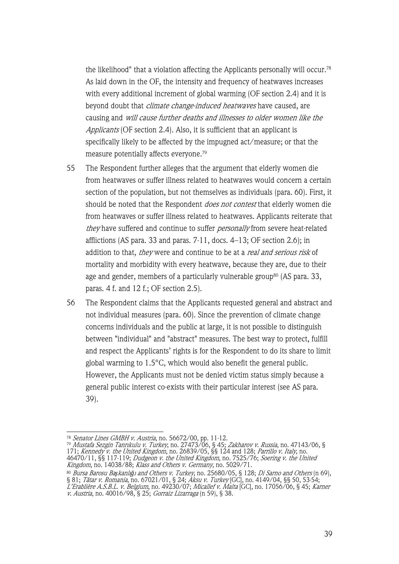the likelihood" that a violation affecting the Applicants personally will occur.78 As laid down in the OF, the intensity and frequency of heatwaves increases with every additional increment of global warming (OF section 2.4) and it is beyond doubt that *climate change-induced heatwaves* have caused, are causing and will cause further deaths and illnesses to older women like the Applicants (OF section 2.4). Also, it is sufficient that an applicant is specifically likely to be affected by the impugned act/measure; or that the measure potentially affects everyone.79

- 55 The Respondent further alleges that the argument that elderly women die from heatwaves or suffer illness related to heatwaves would concern a certain section of the population, but not themselves as individuals (para. 60). First, it should be noted that the Respondent *does not contest* that elderly women die from heatwaves or suffer illness related to heatwaves. Applicants reiterate that they have suffered and continue to suffer personally from severe heat-related afflictions (AS para. 33 and paras. 7-11, docs. 4–13; OF section 2.6); in addition to that, they were and continue to be at a *real and serious risk* of mortality and morbidity with every heatwave, because they are, due to their age and gender, members of a particularly vulnerable group<sup>80</sup> (AS para. 33, paras. 4 f. and 12 f.; OF section 2.5).
- 56 The Respondent claims that the Applicants requested general and abstract and not individual measures (para. 60). Since the prevention of climate change concerns individuals and the public at large, it is not possible to distinguish between "individual" and "abstract" measures. The best way to protect, fulfill and respect the Applicants' rights is for the Respondent to do its share to limit global warming to 1.5°C, which would also benefit the general public. However, the Applicants must not be denied victim status simply because a general public interest co-exists with their particular interest (see AS para. 39).

<sup>&</sup>lt;sup>78</sup> *Senator Lines GMBH v. Austria*, no. 56672/00, pp. 11-12.

<sup>79</sup> Mustafa Sezgin Tanrıkulu v. Turkey, no. 27473/06, § 45; Zakharov v. Russia, no. 47143/06, § 171; Kennedy v. the United Kingdom, no. 26839/05, §§ 124 and 128; Parrillo v. Italy, no. 46470/11, §§ 117-119; Dudgeon v. the United Kingdom, no. 7525/76; Soering v. the United Kingdom, no. 14038/88; Klass and Others v. Germany, no. 5029/71.

<sup>80</sup> Bursa Barosu Ba*ş*kanlı*ğ*ı and Others v. Turkey, no. 25680/05, § 128; Di Sarno and Others (n 69), § 81; *Tâtar v. Romania*, no. 67021/01, § 24; *Aksu v. Turkey* [GC], no. 4149/04, §§ 50, 53-54; L'Erablière A.S.B.L. v. Belgium, no. 49230/07; Micallef v. Malta [GC], no. 17056/06, § 45; Karner

v. Austria, no. 40016/98, § 25; Gorraiz Lizarraga (n 59), § 38.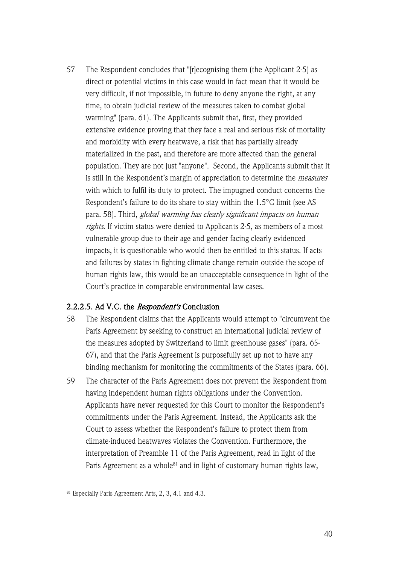57 The Respondent concludes that "[r]ecognising them (the Applicant 2-5) as direct or potential victims in this case would in fact mean that it would be very difficult, if not impossible, in future to deny anyone the right, at any time, to obtain judicial review of the measures taken to combat global warming" (para. 61). The Applicants submit that, first, they provided extensive evidence proving that they face a real and serious risk of mortality and morbidity with every heatwave, a risk that has partially already materialized in the past, and therefore are more affected than the general population. They are not just "anyone". Second, the Applicants submit that it is still in the Respondent's margin of appreciation to determine the measures with which to fulfil its duty to protect. The impugned conduct concerns the Respondent's failure to do its share to stay within the 1.5°C limit (see AS para. 58). Third, global warming has clearly significant impacts on human rights. If victim status were denied to Applicants 2-5, as members of a most vulnerable group due to their age and gender facing clearly evidenced impacts, it is questionable who would then be entitled to this status. If acts and failures by states in fighting climate change remain outside the scope of human rights law, this would be an unacceptable consequence in light of the Court's practice in comparable environmental law cases.

# 2.2.2.5. Ad V.C. the Respondent's Conclusion

- 58 The Respondent claims that the Applicants would attempt to "circumvent the Paris Agreement by seeking to construct an international judicial review of the measures adopted by Switzerland to limit greenhouse gases" (para. 65- 67), and that the Paris Agreement is purposefully set up not to have any binding mechanism for monitoring the commitments of the States (para. 66).
- 59 The character of the Paris Agreement does not prevent the Respondent from having independent human rights obligations under the Convention. Applicants have never requested for this Court to monitor the Respondent's commitments under the Paris Agreement. Instead, the Applicants ask the Court to assess whether the Respondent's failure to protect them from climate-induced heatwaves violates the Convention. Furthermore, the interpretation of Preamble 11 of the Paris Agreement, read in light of the Paris Agreement as a whole<sup>81</sup> and in light of customary human rights law,

<sup>&</sup>lt;sup>81</sup> Especially Paris Agreement Arts, 2, 3, 4.1 and 4.3.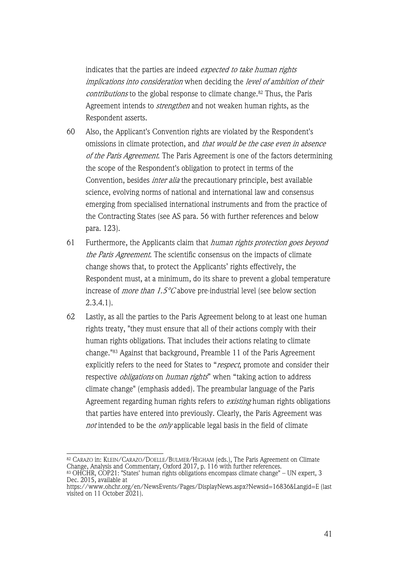indicates that the parties are indeed expected to take human rights implications into consideration when deciding the level of ambition of their contributions to the global response to climate change.<sup>82</sup> Thus, the Paris Agreement intends to *strengthen* and not weaken human rights, as the Respondent asserts.

- 60 Also, the Applicant's Convention rights are violated by the Respondent's omissions in climate protection, and that would be the case even in absence of the Paris Agreement. The Paris Agreement is one of the factors determining the scope of the Respondent's obligation to protect in terms of the Convention, besides *inter alia* the precautionary principle, best available science, evolving norms of national and international law and consensus emerging from specialised international instruments and from the practice of the Contracting States (see AS para. 56 with further references and below para. 123).
- 61 Furthermore, the Applicants claim that *human rights protection goes beyond* the Paris Agreement. The scientific consensus on the impacts of climate change shows that, to protect the Applicants' rights effectively, the Respondent must, at a minimum, do its share to prevent a global temperature increase of *more than* 1.5 $\degree$ C above pre-industrial level (see below section  $2.3.4.1$ ).
- 62 Lastly, as all the parties to the Paris Agreement belong to at least one human rights treaty, "they must ensure that all of their actions comply with their human rights obligations. That includes their actions relating to climate change."83 Against that background, Preamble 11 of the Paris Agreement explicitly refers to the need for States to "respect, promote and consider their respective *obligations* on *human rights*" when "taking action to address climate change" (emphasis added). The preambular language of the Paris Agreement regarding human rights refers to existing human rights obligations that parties have entered into previously. Clearly, the Paris Agreement was not intended to be the only applicable legal basis in the field of climate

<sup>82</sup> CARAZO in: KLEIN/CARAZO/DOELLE/BULMER/HIGHAM (eds.), The Paris Agreement on Climate Change, Analysis and Commentary, Oxford 2017, p. 116 with further references.

 $^{83}$  OHCHR, COP21: "States' human rights obligations encompass climate change" – UN expert, 3 Dec. 2015, available at

https://www.ohchr.org/en/NewsEvents/Pages/DisplayNews.aspx?Newsid=16836&Langid=E (last visited on 11 October 2021).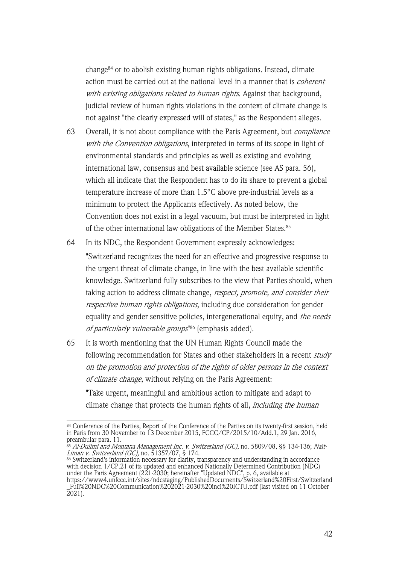change84 or to abolish existing human rights obligations. Instead, climate action must be carried out at the national level in a manner that is *coherent* with existing obligations related to human rights. Against that background, judicial review of human rights violations in the context of climate change is not against "the clearly expressed will of states," as the Respondent alleges.

- 63 Overall, it is not about compliance with the Paris Agreement, but *compliance* with the Convention obligations, interpreted in terms of its scope in light of environmental standards and principles as well as existing and evolving international law, consensus and best available science (see AS para. 56), which all indicate that the Respondent has to do its share to prevent a global temperature increase of more than 1.5°C above pre-industrial levels as a minimum to protect the Applicants effectively. As noted below, the Convention does not exist in a legal vacuum, but must be interpreted in light of the other international law obligations of the Member States. 85
- 64 In its NDC, the Respondent Government expressly acknowledges: "Switzerland recognizes the need for an effective and progressive response to the urgent threat of climate change, in line with the best available scientific knowledge. Switzerland fully subscribes to the view that Parties should, when taking action to address climate change, *respect, promote, and consider their* respective human rights obligations, including due consideration for gender equality and gender sensitive policies, intergenerational equity, and the needs of particularly vulnerable groups<sup>"86</sup> (emphasis added).
- 65 It is worth mentioning that the UN Human Rights Council made the following recommendation for States and other stakeholders in a recent study on the promotion and protection of the rights of older persons in the context of climate change, without relying on the Paris Agreement:

"Take urgent, meaningful and ambitious action to mitigate and adapt to climate change that protects the human rights of all, *including the human* 

<sup>84</sup> Conference of the Parties, Report of the Conference of the Parties on its twenty-first session, held in Paris from 30 November to 13 December 2015, FCCC/CP/2015/10/Add.1, 29 Jan. 2016, preambular para. 11.

<sup>&</sup>lt;sup>85</sup> Al-Dulimi and Montana Management Inc. v. Switzerland (GC), no. 5809/08, §§ 134-136; Naït-Liman v. Switzerland (GC), no. 51357/07, § 174.

 $86$  Switzerland's information necessary for clarity, transparency and understanding in accordance with decision 1/CP.21 of its updated and enhanced Nationally Determined Contribution (NDC) under the Paris Agreement (221-2030; hereinafter "Updated NDC", p. 6, available at

https://www4.unfccc.int/sites/ndcstaging/PublishedDocuments/Switzerland%20First/Switzerland \_Full%20NDC%20Communication%202021-2030%20incl%20ICTU.pdf (last visited on 11 October  $2021$ ).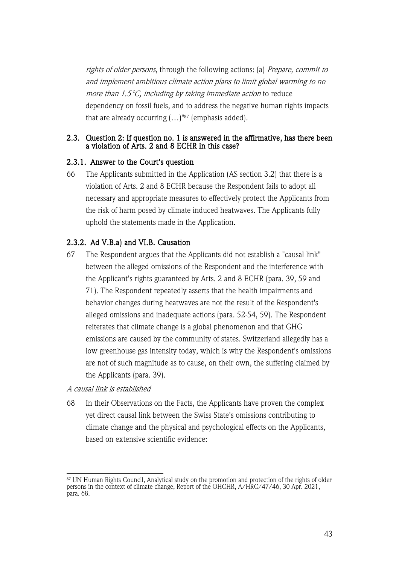rights of older persons, through the following actions: (a) Prepare, commit to and implement ambitious climate action plans to limit global warming to no more than 1.5°C, including by taking immediate action to reduce dependency on fossil fuels, and to address the negative human rights impacts that are already occurring  $(...)$ "87 (emphasis added).

#### 2.3. Question 2: If question no. 1 is answered in the affirmative, has there been a violation of Arts. 2 and 8 ECHR in this case?

#### 2.3.1. Answer to the Court's question

66 The Applicants submitted in the Application (AS section 3.2) that there is a violation of Arts. 2 and 8 ECHR because the Respondent fails to adopt all necessary and appropriate measures to effectively protect the Applicants from the risk of harm posed by climate induced heatwaves. The Applicants fully uphold the statements made in the Application.

#### 2.3.2. Ad V.B.a) and VI.B. Causation

67 The Respondent argues that the Applicants did not establish a "causal link" between the alleged omissions of the Respondent and the interference with the Applicant's rights guaranteed by Arts. 2 and 8 ECHR (para. 39, 59 and 71). The Respondent repeatedly asserts that the health impairments and behavior changes during heatwaves are not the result of the Respondent's alleged omissions and inadequate actions (para. 52-54, 59). The Respondent reiterates that climate change is a global phenomenon and that GHG emissions are caused by the community of states. Switzerland allegedly has a low greenhouse gas intensity today, which is why the Respondent's omissions are not of such magnitude as to cause, on their own, the suffering claimed by the Applicants (para. 39).

#### A causal link is established

68 In their Observations on the Facts, the Applicants have proven the complex yet direct causal link between the Swiss State's omissions contributing to climate change and the physical and psychological effects on the Applicants, based on extensive scientific evidence:

<sup>&</sup>lt;sup>87</sup> UN Human Rights Council, Analytical study on the promotion and protection of the rights of older persons in the context of climate change, Report of the OHCHR, A/HRC/47/46, 30 Apr. 2021, para. 68.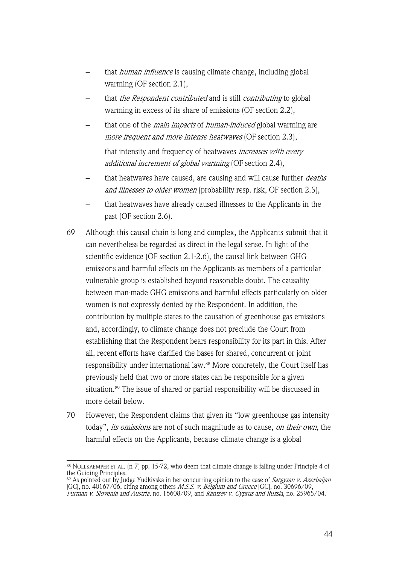- that *human influence* is causing climate change, including global warming (OF section 2.1),
- that the Respondent contributed and is still contributing to global warming in excess of its share of emissions (OF section 2.2),
- that one of the *main impacts* of *human-induced* global warming are more frequent and more intense heatwaves (OF section 2.3),
- that intensity and frequency of heatwaves *increases with every* additional increment of global warming (OF section 2.4),
- that heatwaves have caused, are causing and will cause further deaths and illnesses to older women (probability resp. risk, OF section 2.5).
- that heatwaves have already caused illnesses to the Applicants in the past (OF section 2.6).
- 69 Although this causal chain is long and complex, the Applicants submit that it can nevertheless be regarded as direct in the legal sense. In light of the scientific evidence (OF section 2.1-2.6), the causal link between GHG emissions and harmful effects on the Applicants as members of a particular vulnerable group is established beyond reasonable doubt. The causality between man-made GHG emissions and harmful effects particularly on older women is not expressly denied by the Respondent. In addition, the contribution by multiple states to the causation of greenhouse gas emissions and, accordingly, to climate change does not preclude the Court from establishing that the Respondent bears responsibility for its part in this. After all, recent efforts have clarified the bases for shared, concurrent or joint responsibility under international law. <sup>88</sup> More concretely, the Court itself has previously held that two or more states can be responsible for a given situation.89 The issue of shared or partial responsibility will be discussed in more detail below.
- 70 However, the Respondent claims that given its "low greenhouse gas intensity today", its omissions are not of such magnitude as to cause, on their own, the harmful effects on the Applicants, because climate change is a global

<sup>88</sup> NOLLKAEMPER ET AL. (n 7) pp. 15-72, who deem that climate change is falling under Principle 4 of the Guiding Principles.

<sup>&</sup>lt;sup>89</sup> As pointed out by Judge Yudkivska in her concurring opinion to the case of *Sargysan v. Azerbaijan* [GC], no. 40167/06, citing among others *M.S.S. v. Belgium and Greece* [GC], no. 30696/09, Furman v. Slovenia and Austria, no. 16608/09, and Rantsev v. Cyprus and Russia, no. 25965/04.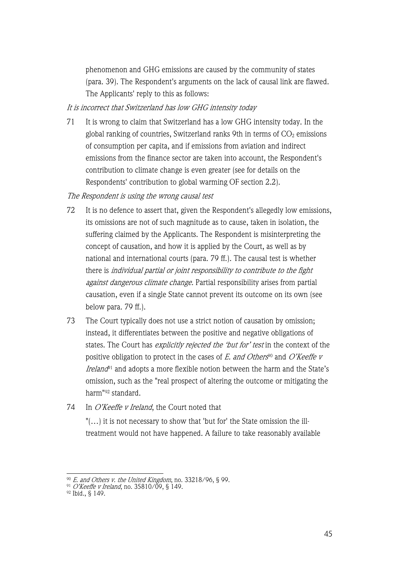phenomenon and GHG emissions are caused by the community of states (para. 39). The Respondent's arguments on the lack of causal link are flawed. The Applicants' reply to this as follows:

# It is incorrect that Switzerland has low GHG intensity today

71 It is wrong to claim that Switzerland has a low GHG intensity today. In the global ranking of countries, Switzerland ranks 9th in terms of  $CO<sub>2</sub>$  emissions of consumption per capita, and if emissions from aviation and indirect emissions from the finance sector are taken into account, the Respondent's contribution to climate change is even greater (see for details on the Respondents' contribution to global warming OF section 2.2).

#### The Respondent is using the wrong causal test

- 72 It is no defence to assert that, given the Respondent's allegedly low emissions, its omissions are not of such magnitude as to cause, taken in isolation, the suffering claimed by the Applicants. The Respondent is misinterpreting the concept of causation, and how it is applied by the Court, as well as by national and international courts (para. 79 ff.). The causal test is whether there is individual partial or joint responsibility to contribute to the fight against dangerous climate change. Partial responsibility arises from partial causation, even if a single State cannot prevent its outcome on its own (see below para. 79 ff.).
- 73 The Court typically does not use a strict notion of causation by omission; instead, it differentiates between the positive and negative obligations of states. The Court has *explicitly rejected the 'but for' test* in the context of the positive obligation to protect in the cases of  $E$ . and Others<sup>90</sup> and O'Keeffe v Ireland<sup>91</sup> and adopts a more flexible notion between the harm and the State's omission, such as the "real prospect of altering the outcome or mitigating the harm"92 standard.
- 74 In O'Keeffe v Ireland, the Court noted that

"(…) it is not necessary to show that 'but for' the State omission the illtreatment would not have happened. A failure to take reasonably available

 $^{90}$  *E. and Others v. the United Kingdom*, no. 33218/96, § 99.

<sup>&</sup>lt;sup>91</sup> *O'Keeffe v Ireland*, no. 35810/09, § 149.

<sup>92</sup> Ibid., § 149.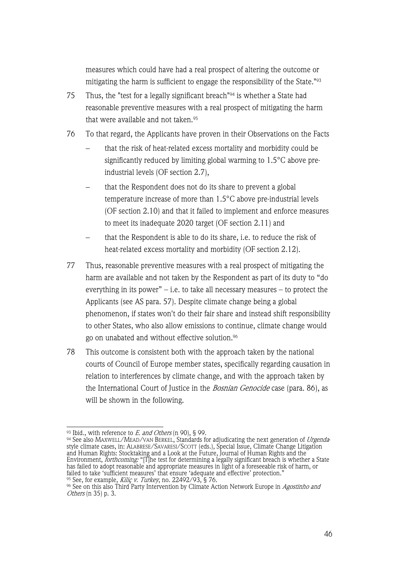measures which could have had a real prospect of altering the outcome or mitigating the harm is sufficient to engage the responsibility of the State."93

- 75 Thus, the "test for a legally significant breach"94 is whether a State had reasonable preventive measures with a real prospect of mitigating the harm that were available and not taken.<sup>95</sup>
- 76 To that regard, the Applicants have proven in their Observations on the Facts
	- that the risk of heat-related excess mortality and morbidity could be significantly reduced by limiting global warming to 1.5°C above preindustrial levels (OF section 2.7),
	- that the Respondent does not do its share to prevent a global temperature increase of more than 1.5°C above pre-industrial levels (OF section 2.10) and that it failed to implement and enforce measures to meet its inadequate 2020 target (OF section 2.11) and
	- that the Respondent is able to do its share, i.e. to reduce the risk of heat-related excess mortality and morbidity (OF section 2.12).
- 77 Thus, reasonable preventive measures with a real prospect of mitigating the harm are available and not taken by the Respondent as part of its duty to "do everything in its power"  $-$  i.e. to take all necessary measures  $-$  to protect the Applicants (see AS para. 57). Despite climate change being a global phenomenon, if states won't do their fair share and instead shift responsibility to other States, who also allow emissions to continue, climate change would go on unabated and without effective solution. 96
- 78 This outcome is consistent both with the approach taken by the national courts of Council of Europe member states, specifically regarding causation in relation to interferences by climate change, and with the approach taken by the International Court of Justice in the *Bosnian Genocide* case (para. 86), as will be shown in the following.

 $93$  Ibid., with reference to *E. and Others* (n 90), § 99.

<sup>&</sup>lt;sup>94</sup> See also MAxwELL/MEAD/VAN BERKEL, Standards for adjudicating the next generation of *Urgenda*-<br>style climate cases, in: ALABRESE/SAVARESI/SCOTT (eds.), Special Issue, Climate Change Litigation and Human Rights: Stocktaking and a Look at the Future, Journal of Human Rights and the Environment, *forthcoming:* "[T]he test for determining a legally significant breach is whether a State has failed to adopt reasonable and appropriate measures in light of a foreseeable risk of harm, or failed to take 'sufficient measures' that ensure 'adequate and effective' protection." <sup>95</sup> See, for example, *Kiliç v. Turkey*, no. 22492/93, § 76.

<sup>%</sup> See on this also Third Party Intervention by Climate Action Network Europe in *Agostinho and* Others (n 35) p. 3.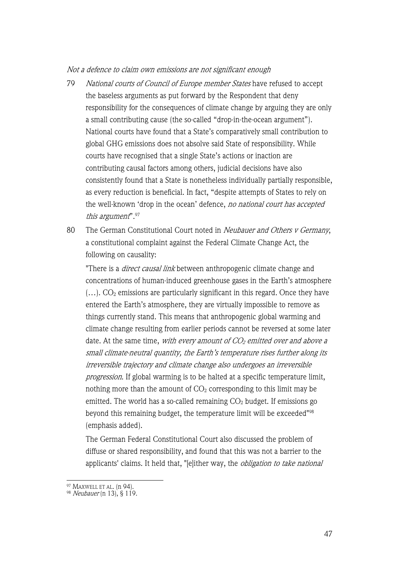Not a defence to claim own emissions are not significant enough

- 79 National courts of Council of Europe member States have refused to accept the baseless arguments as put forward by the Respondent that deny responsibility for the consequences of climate change by arguing they are only a small contributing cause (the so-called "drop-in-the-ocean argument"). National courts have found that a State's comparatively small contribution to global GHG emissions does not absolve said State of responsibility. While courts have recognised that a single State's actions or inaction are contributing causal factors among others, judicial decisions have also consistently found that a State is nonetheless individually partially responsible, as every reduction is beneficial. In fact, "despite attempts of States to rely on the well-known 'drop in the ocean' defence, no national court has accepted this argument".97
- 80 The German Constitutional Court noted in Neubauer and Others v Germany, a constitutional complaint against the Federal Climate Change Act, the following on causality:

"There is a *direct causal link* between anthropogenic climate change and concentrations of human-induced greenhouse gases in the Earth's atmosphere  $(...)$ . CO<sub>2</sub> emissions are particularly significant in this regard. Once they have entered the Earth's atmosphere, they are virtually impossible to remove as things currently stand. This means that anthropogenic global warming and climate change resulting from earlier periods cannot be reversed at some later date. At the same time, with every amount of  $CO<sub>2</sub>$  emitted over and above a small climate-neutral quantity, the Earth's temperature rises further along its irreversible trajectory and climate change also undergoes an irreversible progression. If global warming is to be halted at a specific temperature limit, nothing more than the amount of  $CO<sub>2</sub>$  corresponding to this limit may be emitted. The world has a so-called remaining  $CO<sub>2</sub>$  budget. If emissions go beyond this remaining budget, the temperature limit will be exceeded"98 (emphasis added).

The German Federal Constitutional Court also discussed the problem of diffuse or shared responsibility, and found that this was not a barrier to the applicants' claims. It held that, "[e]ither way, the *obligation to take national* 

<sup>97</sup> MAXWELL ET AL. (n 94).

 $98$  Neubauer (n 13), § 119.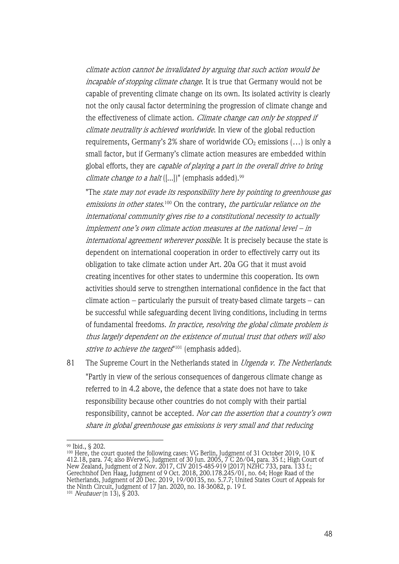climate action cannot be invalidated by arguing that such action would be incapable of stopping climate change. It is true that Germany would not be capable of preventing climate change on its own. Its isolated activity is clearly not the only causal factor determining the progression of climate change and the effectiveness of climate action. Climate change can only be stopped if climate neutrality is achieved worldwide. In view of the global reduction requirements, Germany's 2% share of worldwide  $CO<sub>2</sub>$  emissions  $(...)$  is only a small factor, but if Germany's climate action measures are embedded within global efforts, they are capable of playing a part in the overall drive to bring *climate change to a halt*  $([-...]$ " (emphasis added).<sup>99</sup>

"The state may not evade its responsibility here by pointing to greenhouse gas emissions in other states.<sup>100</sup> On the contrary, *the particular reliance on the* international community gives rise to a constitutional necessity to actually implement one's own climate action measures at the national level – in international agreement wherever possible. It is precisely because the state is dependent on international cooperation in order to effectively carry out its obligation to take climate action under Art. 20a GG that it must avoid creating incentives for other states to undermine this cooperation. Its own activities should serve to strengthen international confidence in the fact that climate action – particularly the pursuit of treaty-based climate targets – can be successful while safeguarding decent living conditions, including in terms of fundamental freedoms. In practice, resolving the global climate problem is thus largely dependent on the existence of mutual trust that others will also strive to achieve the targets<sup>"101</sup> (emphasis added).

81 The Supreme Court in the Netherlands stated in *Urgenda v. The Netherlands*: "Partly in view of the serious consequences of dangerous climate change as referred to in 4.2 above, the defence that a state does not have to take responsibility because other countries do not comply with their partial responsibility, cannot be accepted. Nor can the assertion that a country's own share in global greenhouse gas emissions is very small and that reducing

<sup>99</sup> Ibid., § 202.

<sup>&</sup>lt;sup>100</sup> Here, the court quoted the following cases: VG Berlin, Judgment of 31 October 2019, 10 K 412.18, para. 74; also BVerwG, Judgment of 30 Jun. 2005, 7 C 26/04, para. 35 f.; High Court of New Zealand, Judgment of 2 Nov. 2017, CIV 2015-485-919 [2017] NZHC 733, para. 133 f.; Gerechtshof Den Haag, Judgment of 9 Oct. 2018, 200.178.245/01, no. 64; Hoge Raad of the Netherlands, Judgment of 20 Dec. 2019, 19/00135, no. 5.7.7; United States Court of Appeals for the Ninth Circuit, Judgment of 17 Jan. 2020, no. 18-36082, p. 19 f. <sup>101</sup> Neubauer (n 13), § 203.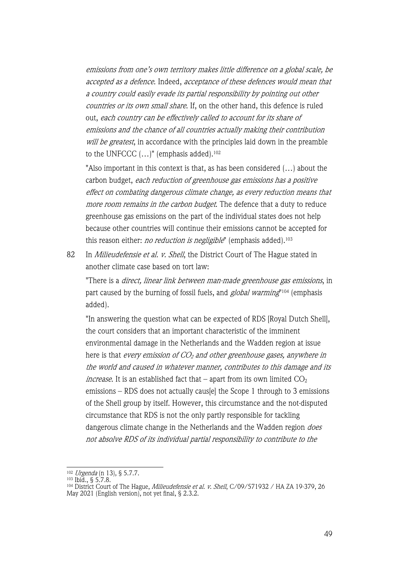emissions from one's own territory makes little difference on a global scale, be accepted as a defence. Indeed, acceptance of these defences would mean that a country could easily evade its partial responsibility by pointing out other countries or its own small share. If, on the other hand, this defence is ruled out, each country can be effectively called to account for its share of emissions and the chance of all countries actually making their contribution will be greatest, in accordance with the principles laid down in the preamble to the UNFCCC  $(...)$ " (emphasis added).<sup>102</sup>

"Also important in this context is that, as has been considered (…) about the carbon budget, each reduction of greenhouse gas emissions has a positive effect on combating dangerous climate change, as every reduction means that more room remains in the carbon budget. The defence that a duty to reduce greenhouse gas emissions on the part of the individual states does not help because other countries will continue their emissions cannot be accepted for this reason either: no reduction is negligible" (emphasis added).<sup>103</sup>

82 In *Milieudefensie et al. v. Shell*, the District Court of The Hague stated in another climate case based on tort law:

"There is a *direct, linear link between man-made greenhouse gas emissions*, in part caused by the burning of fossil fuels, and *global warming*"<sup>104</sup> (emphasis added).

"In answering the question what can be expected of RDS [Royal Dutch Shell], the court considers that an important characteristic of the imminent environmental damage in the Netherlands and the Wadden region at issue here is that every emission of  $CO<sub>2</sub>$  and other greenhouse gases, anywhere in the world and caused in whatever manner, contributes to this damage and its *increase*. It is an established fact that – apart from its own limited  $CO<sub>2</sub>$ emissions – RDS does not actually caus[e] the Scope 1 through to 3 emissions of the Shell group by itself. However, this circumstance and the not-disputed circumstance that RDS is not the only partly responsible for tackling dangerous climate change in the Netherlands and the Wadden region *does* not absolve RDS of its individual partial responsibility to contribute to the

<sup>102</sup> Urgenda (n 13), § 5.7.7.

<sup>103</sup> Ibid., § 5.7.8.

<sup>&</sup>lt;sup>104</sup> District Court of The Hague, *Milieudefensie et al. v. Shell*, C/09/571932 / HA ZA 19-379, 26 May 2021 (English version), not yet final, § 2.3.2.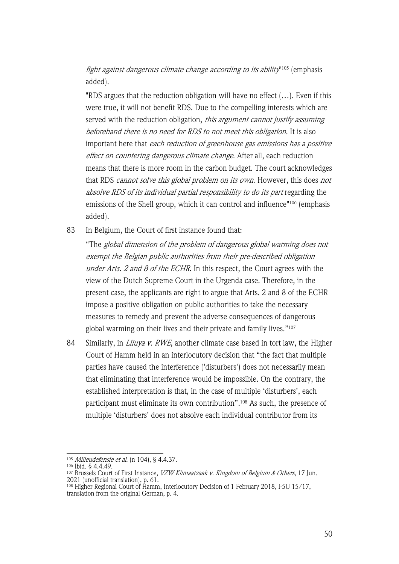fight against dangerous climate change according to its ability"105 (emphasis added).

"RDS argues that the reduction obligation will have no effect (…). Even if this were true, it will not benefit RDS. Due to the compelling interests which are served with the reduction obligation, this argument cannot justify assuming beforehand there is no need for RDS to not meet this obligation. It is also important here that each reduction of greenhouse gas emissions has a positive effect on countering dangerous climate change. After all, each reduction means that there is more room in the carbon budget. The court acknowledges that RDS cannot solve this global problem on its own. However, this does not absolve RDS of its individual partial responsibility to do its part regarding the emissions of the Shell group, which it can control and influence"106 (emphasis added).

83 In Belgium, the Court of first instance found that:

"The global dimension of the problem of dangerous global warming does not exempt the Belgian public authorities from their pre-described obligation under Arts. 2 and 8 of the ECHR. In this respect, the Court agrees with the view of the Dutch Supreme Court in the Urgenda case. Therefore, in the present case, the applicants are right to argue that Arts. 2 and 8 of the ECHR impose a positive obligation on public authorities to take the necessary measures to remedy and prevent the adverse consequences of dangerous global warming on their lives and their private and family lives."107

84 Similarly, in *Lliuya v. RWE*, another climate case based in tort law, the Higher Court of Hamm held in an interlocutory decision that "the fact that multiple parties have caused the interference ('disturbers') does not necessarily mean that eliminating that interference would be impossible. On the contrary, the established interpretation is that, in the case of multiple 'disturbers', each participant must eliminate its own contribution".108 As such, the presence of multiple 'disturbers' does not absolve each individual contributor from its

<sup>105</sup> *Milieudefensie et al.* (n 104), § 4.4.37.

<sup>106</sup> Ibid. § 4.4.49.

<sup>&</sup>lt;sup>107</sup> Brussels Court of First Instance, *VZW Klimaatzaak v. Kingdom of Belgium & Others*, 17 Jun. 2021 (unofficial translation), p. 61.

<sup>108</sup> Higher Regional Court of Hamm, Interlocutory Decision of 1 February 2018, I-5U 15/17, translation from the original German, p. 4.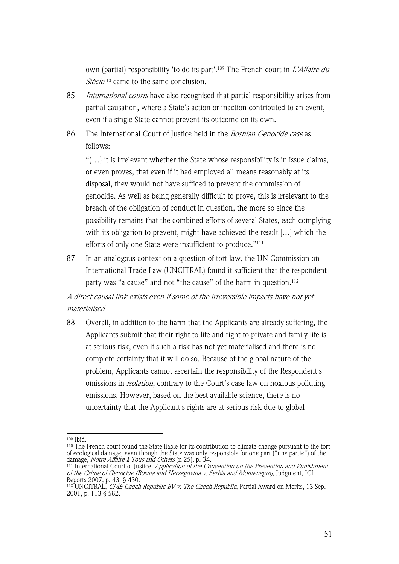own (partial) responsibility 'to do its part'.<sup>109</sup> The French court in *L'Affaire du*  $Si\acute{e}cle^{110}$  came to the same conclusion.

- 85 International courts have also recognised that partial responsibility arises from partial causation, where a State's action or inaction contributed to an event, even if a single State cannot prevent its outcome on its own.
- 86 The International Court of Justice held in the *Bosnian Genocide case* as follows:

"(…) it is irrelevant whether the State whose responsibility is in issue claims, or even proves, that even if it had employed all means reasonably at its disposal, they would not have sufficed to prevent the commission of genocide. As well as being generally difficult to prove, this is irrelevant to the breach of the obligation of conduct in question, the more so since the possibility remains that the combined efforts of several States, each complying with its obligation to prevent, might have achieved the result […] which the efforts of only one State were insufficient to produce."<sup>111</sup>

87 In an analogous context on a question of tort law, the UN Commission on International Trade Law (UNCITRAL) found it sufficient that the respondent party was "a cause" and not "the cause" of the harm in question.<sup>112</sup>

A direct causal link exists even if some of the irreversible impacts have not yet materialised

88 Overall, in addition to the harm that the Applicants are already suffering, the Applicants submit that their right to life and right to private and family life is at serious risk, even if such a risk has not yet materialised and there is no complete certainty that it will do so. Because of the global nature of the problem, Applicants cannot ascertain the responsibility of the Respondent's omissions in *isolation*, contrary to the Court's case law on noxious polluting emissions. However, based on the best available science, there is no uncertainty that the Applicant's rights are at serious risk due to global

<sup>109</sup> Ibid.

<sup>&</sup>lt;sup>110</sup> The French court found the State liable for its contribution to climate change pursuant to the tort of ecological damage, even though the State was only responsible for one part ("une partie") of the damage, *Notre Affaire à Tous and Others* (n 25), p. 34.

<sup>&</sup>lt;sup>111</sup> International Court of Justice, *Application of the Convention on the Prevention and Punishment* of the Crime of Genocide (Bosnia and Herzegovina v. Serbia and Montenegro), Judgment, ICJ Reports 2007, p. 43, § 430.

<sup>&</sup>lt;sup>112</sup> UNCITRAL, *CME Czech Republic BV v. The Czech Republic*, Partial Award on Merits, 13 Sep. 2001, p. 113 § 582.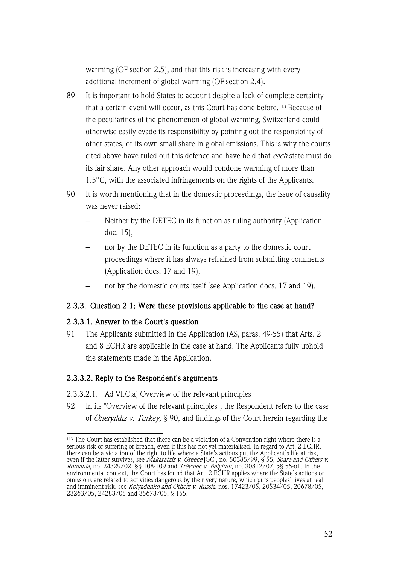warming (OF section 2.5), and that this risk is increasing with every additional increment of global warming (OF section 2.4).

- 89 It is important to hold States to account despite a lack of complete certainty that a certain event will occur, as this Court has done before.<sup>113</sup> Because of the peculiarities of the phenomenon of global warming, Switzerland could otherwise easily evade its responsibility by pointing out the responsibility of other states, or its own small share in global emissions. This is why the courts cited above have ruled out this defence and have held that each state must do its fair share. Any other approach would condone warming of more than 1.5°C, with the associated infringements on the rights of the Applicants.
- 90 It is worth mentioning that in the domestic proceedings, the issue of causality was never raised:
	- Neither by the DETEC in its function as ruling authority (Application doc. 15),
	- nor by the DETEC in its function as a party to the domestic court proceedings where it has always refrained from submitting comments (Application docs. 17 and 19),
	- nor by the domestic courts itself (see Application docs. 17 and 19).

# 2.3.3. Question 2.1: Were these provisions applicable to the case at hand?

# 2.3.3.1. Answer to the Court's question

91 The Applicants submitted in the Application (AS, paras. 49-55) that Arts. 2 and 8 ECHR are applicable in the case at hand. The Applicants fully uphold the statements made in the Application.

# 2.3.3.2. Reply to the Respondent's arguments

- 2.3.3.2.1. Ad VI.C.a) Overview of the relevant principles
- 92 In its "Overview of the relevant principles", the Respondent refers to the case of Öneryıldız v. Turkey, § 90, and findings of the Court herein regarding the

<sup>113</sup> The Court has established that there can be a violation of a Convention right where there is a serious risk of suffering or breach, even if this has not yet materialised. In regard to Art. 2 ECHR, there can be a violation of the right to life where a State's actions put the Applicant's life at risk, even if the latter survives, see *Makaratzis v. Greece* [GC], no. 50385/99, § 55, *Soare and Others v.* Romania, no. 24329/02, §§ 108-109 and Trévalec v. Belgium, no. 30812/07, §§ 55-61. In the environmental context, the Court has found that Art. 2 ECHR applies where the State's actions or omissions are related to activities dangerous by their very nature, which puts peoples' lives at real and imminent risk, see *Kolyadenko and Others v. Russia*, nos. 17423/05, 20534/05, 20678/05, 23263/05, 24283/05 and 35673/05, § 155.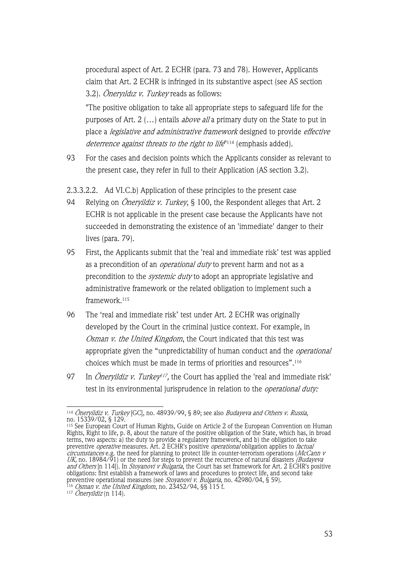procedural aspect of Art. 2 ECHR (para. 73 and 78). However, Applicants claim that Art. 2 ECHR is infringed in its substantive aspect (see AS section 3.2). Öneryildiz v. Turkey reads as follows:

"The positive obligation to take all appropriate steps to safeguard life for the purposes of Art. 2 (...) entails *above all* a primary duty on the State to put in place a legislative and administrative framework designed to provide effective deterrence against threats to the right to life<sup>"114</sup> (emphasis added).

- 93 For the cases and decision points which the Applicants consider as relevant to the present case, they refer in full to their Application (AS section 3.2).
- 2.3.3.2.2. Ad VI.C.b) Application of these principles to the present case
- 94 Relying on *Öneryildiz v. Turkey*, § 100, the Respondent alleges that Art. 2 ECHR is not applicable in the present case because the Applicants have not succeeded in demonstrating the existence of an 'immediate' danger to their lives (para. 79).
- 95 First, the Applicants submit that the 'real and immediate risk' test was applied as a precondition of an *operational duty* to prevent harm and not as a precondition to the systemic duty to adopt an appropriate legislative and administrative framework or the related obligation to implement such a framework.115
- 96 The 'real and immediate risk' test under Art. 2 ECHR was originally developed by the Court in the criminal justice context. For example, in Osman v. the United Kingdom, the Court indicated that this test was appropriate given the "unpredictability of human conduct and the *operational* choices which must be made in terms of priorities and resources". $^{\rm 116}$
- 97 In *Öneryildiz v. Turkey<sup>117</sup>*, the Court has applied the 'real and immediate risk' test in its environmental jurisprudence in relation to the *operational duty*:

<sup>&</sup>lt;sup>114</sup> *Öneryildiz v. Turkey* [GC], no. 48939/99, § 89; see also *Budayeva and Others v. Russia*, no. 15339/02, § 129.<br>no. 15339/02, § 129.<br><sup>115</sup> See European Court of Human Rights, Guide on Article 2 of the European Conve

<sup>115</sup> See European Court of Human Rights, Guide on Article 2 of the European Convention on Human Rights, Right to life, p. 8, about the nature of the positive obligation of the State, which has, in broad terms, two aspects: a) the duty to provide a regulatory framework, and b) the obligation to take preventive *operative* measures. Art. 2 ECHR's positive *operational* obligation applies to *factual* circumstances e.g. the need for planning to protect life in counter-terrorism operations (McCann v UK, no. 18984/91) or the need for steps to prevent the recurrence of natural disasters *(Budayeva*) and Others [n 114]). In *Stoyanovi v Bulgaria*, the Court has set framework for Art. 2 ECHR's positive obligations: first establish a framework of laws and procedures to protect life, and second take preventive operational measures (see *Stoyanovi v. Bulgaria*, no. 42980/04, § 59).

<sup>&</sup>lt;sup>116</sup> *Osman v. the United Kingdom*, no. 23452/94, §§ 115 f.

 $117$  Öneryildiz (n 114).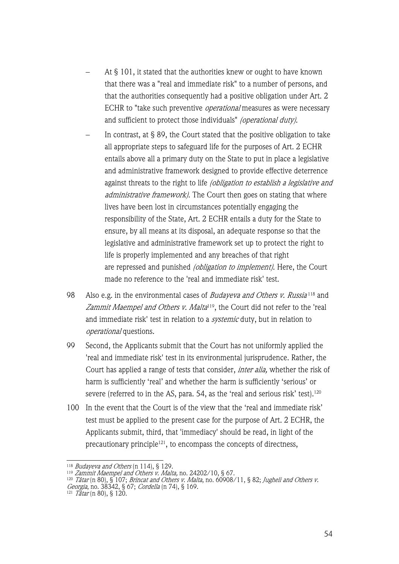- At § 101, it stated that the authorities knew or ought to have known that there was a "real and immediate risk" to a number of persons, and that the authorities consequently had a positive obligation under Art. 2 ECHR to "take such preventive *operational* measures as were necessary and sufficient to protect those individuals" (operational duty).
- In contrast, at § 89, the Court stated that the positive obligation to take all appropriate steps to safeguard life for the purposes of Art. 2 ECHR entails above all a primary duty on the State to put in place a legislative and administrative framework designed to provide effective deterrence against threats to the right to life *(obligation to establish a legislative and* administrative framework). The Court then goes on stating that where lives have been lost in circumstances potentially engaging the responsibility of the State, Art. 2 ECHR entails a duty for the State to ensure, by all means at its disposal, an adequate response so that the legislative and administrative framework set up to protect the right to life is properly implemented and any breaches of that right are repressed and punished *(obligation to implement)*. Here, the Court made no reference to the 'real and immediate risk' test.
- 98 Also e.g. in the environmental cases of *Budaveva and Others v. Russia*<sup>118</sup> and Zammit Maempel and Others v. Malta<sup>119</sup>, the Court did not refer to the 'real and immediate risk' test in relation to a *systemic* duty, but in relation to operational questions.
- 99 Second, the Applicants submit that the Court has not uniformly applied the 'real and immediate risk' test in its environmental jurisprudence. Rather, the Court has applied a range of tests that consider, *inter alia*, whether the risk of harm is sufficiently 'real' and whether the harm is sufficiently 'serious' or severe (referred to in the AS, para. 54, as the 'real and serious risk' test). 120
- 100 In the event that the Court is of the view that the 'real and immediate risk' test must be applied to the present case for the purpose of Art. 2 ECHR, the Applicants submit, third, that 'immediacy' should be read, in light of the precautionary principle<sup>121</sup>, to encompass the concepts of directness,

<sup>118</sup> Budayeva and Others (n 114), § 129.

<sup>&</sup>lt;sup>119</sup> Zammit Maempel and Others v. Malta, no. 24202/10, § 67.

<sup>&</sup>lt;sup>120</sup> Tâtar (n 80), § 107; *Brincat and Others v. Malta*, no. 60908/11, § 82; *Jugheli and Others v.* Georgia, no. 38342, § 67; Cordella (n 74), § 169.

 $121$  Tâtar (n 80), § 120.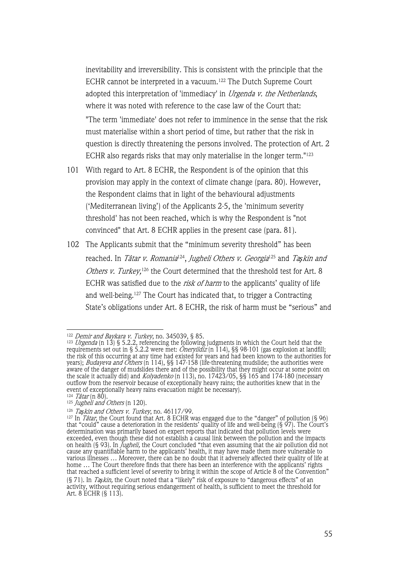inevitability and irreversibility. This is consistent with the principle that the ECHR cannot be interpreted in a vacuum. <sup>122</sup> The Dutch Supreme Court adopted this interpretation of 'immediacy' in *Urgenda v. the Netherlands*, where it was noted with reference to the case law of the Court that:

"The term 'immediate' does not refer to imminence in the sense that the risk must materialise within a short period of time, but rather that the risk in question is directly threatening the persons involved. The protection of Art. 2 ECHR also regards risks that may only materialise in the longer term."123

- 101 With regard to Art. 8 ECHR, the Respondent is of the opinion that this provision may apply in the context of climate change (para. 80). However, the Respondent claims that in light of the behavioural adjustments ('Mediterranean living') of the Applicants 2-5, the 'minimum severity threshold' has not been reached, which is why the Respondent is "not convinced" that Art. 8 ECHR applies in the present case (para. 81).
- 102 The Applicants submit that the "minimum severity threshold" has been reached. In Tâtar v. Romania<sup>124</sup>, Jugheli Others v. Georgia<sup>125</sup> and Taşkin and Others v. Turkey,<sup>126</sup> the Court determined that the threshold test for Art. 8 ECHR was satisfied due to the risk of harm to the applicants' quality of life and well-being.127 The Court has indicated that, to trigger a Contracting State's obligations under Art. 8 ECHR, the risk of harm must be "serious" and

<sup>&</sup>lt;sup>122</sup> *Demir and Baykara v. Turkey*, no. 345039, § 85.

<sup>&</sup>lt;sup>123</sup> *Urgenda* (n 13) § 5.2.2, referencing the following judgments in which the Court held that the requirements set out in § 5.2.2 were met: *Öneryildiz* (n 114), §§ 98-101 (gas explosion at landfill; the risk of this occurring at any time had existed for years and had been known to the authorities for years); *Budayeva and Others* (n 114), §§ 147-158 (life-threatening mudslide; the authorities were aware of the danger of mudslides there and of the possibility that they might occur at some point on the scale it actually did) and *Kolyadenko* (n 113), no. 17423/05, §§ 165 and 174-180 (necessary outflow from the reservoir because of exceptionally heavy rains; the authorities knew that in the event of exceptionally heavy rains evacuation might be necessary).

 $124$  Tâtar (n 80).

 $125$  Jugheli and Others (n 120).

<sup>126</sup> Ta*ş*kin and Others v. Turkey, no. 46117/99.

<sup>&</sup>lt;sup>127</sup> In *Tâtar*, the Court found that Art. 8 ECHR was engaged due to the "danger" of pollution (§ 96) that "could" cause a deterioration in the residents' quality of life and well-being (§ 97). The Court's determination was primarily based on expert reports that indicated that pollution levels were exceeded, even though these did not establish a causal link between the pollution and the impacts on health (§ 93). In *Jugheli,* the Court concluded "that even assuming that the air pollution did not cause any quantifiable harm to the applicants' health, it may have made them more vulnerable to various illnesses … Moreover, there can be no doubt that it adversely affected their quality of life at home … The Court therefore finds that there has been an interference with the applicants' rights that reached a sufficient level of severity to bring it within the scope of Article 8 of the Convention" (§ 71). In Ta*ş*kin, the Court noted that a "likely" risk of exposure to "dangerous effects" of an activity, without requiring serious endangerment of health, is sufficient to meet the threshold for Art. 8 ECHR (§ 113).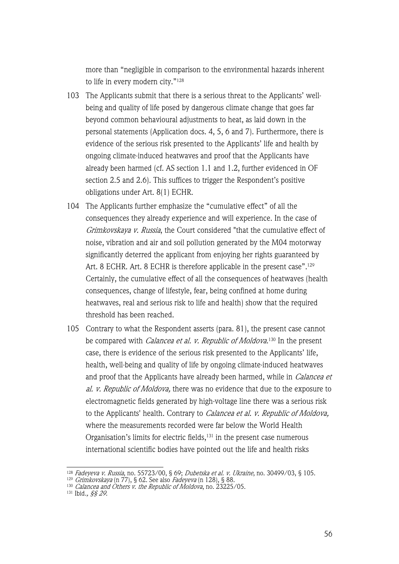more than "negligible in comparison to the environmental hazards inherent to life in every modern city."128

- 103 The Applicants submit that there is a serious threat to the Applicants' wellbeing and quality of life posed by dangerous climate change that goes far beyond common behavioural adjustments to heat, as laid down in the personal statements (Application docs. 4, 5, 6 and 7). Furthermore, there is evidence of the serious risk presented to the Applicants' life and health by ongoing climate-induced heatwaves and proof that the Applicants have already been harmed (cf. AS section 1.1 and 1.2, further evidenced in OF section 2.5 and 2.6). This suffices to trigger the Respondent's positive obligations under Art. 8(1) ECHR.
- 104 The Applicants further emphasize the "cumulative effect" of all the consequences they already experience and will experience. In the case of Grimkovskaya v. Russia, the Court considered "that the cumulative effect of noise, vibration and air and soil pollution generated by the M04 motorway significantly deterred the applicant from enjoying her rights guaranteed by Art. 8 ECHR. Art. 8 ECHR is therefore applicable in the present case".<sup>129</sup> Certainly, the cumulative effect of all the consequences of heatwaves (health consequences, change of lifestyle, fear, being confined at home during heatwaves, real and serious risk to life and health) show that the required threshold has been reached.
- 105 Contrary to what the Respondent asserts (para. 81), the present case cannot be compared with *Calancea et al. v. Republic of Moldova*.<sup>130</sup> In the present case, there is evidence of the serious risk presented to the Applicants' life, health, well-being and quality of life by ongoing climate-induced heatwaves and proof that the Applicants have already been harmed, while in *Calancea et* al. v. Republic of Moldova, there was no evidence that due to the exposure to electromagnetic fields generated by high-voltage line there was a serious risk to the Applicants' health. Contrary to *Calancea et al. v. Republic of Moldova*, where the measurements recorded were far below the World Health Organisation's limits for electric fields,<sup>131</sup> in the present case numerous international scientific bodies have pointed out the life and health risks

<sup>128</sup> Fadeyeva v. Russia, no. 55723/00, § 69; Dubetska et al. v. Ukraine, no. 30499/03, § 105.

<sup>&</sup>lt;sup>129</sup> *Grimkovskaya* (n 77), § 62. See also *Fadeyeva* (n 128), § 88.

<sup>&</sup>lt;sup>130</sup> *Calancea and Others v. the Republic of Moldova*, no. 23225/05.

<sup>131</sup> Ibid., §§ 29.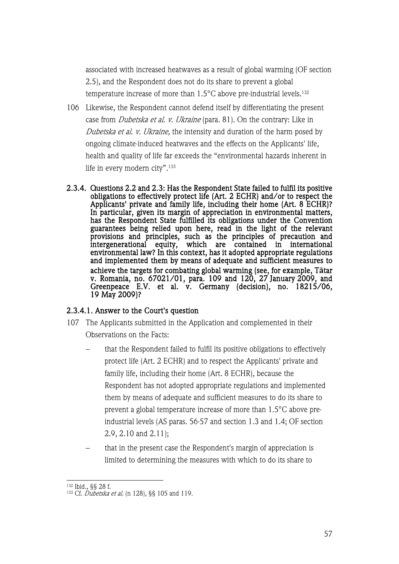associated with increased heatwaves as a result of global warming (OF section 2.5), and the Respondent does not do its share to prevent a global temperature increase of more than 1.5°C above pre-industrial levels.<sup>132</sup>

- 106 Likewise, the Respondent cannot defend itself by differentiating the present case from Dubetska et al. v. Ukraine (para. 81). On the contrary: Like in Dubetska et al. v. Ukraine, the intensity and duration of the harm posed by ongoing climate-induced heatwaves and the effects on the Applicants' life, health and quality of life far exceeds the "environmental hazards inherent in life in every modern city".133
- 2.3.4. Questions 2.2 and 2.3: Has the Respondent State failed to fulfil its positive obligations to effectively protect life (Art. 2 ECHR) and/or to respect the Applicants' private and family life, including their home (Art. 8 ECHR)? In particular, given its margin of appreciation in environmental matters, has the Respondent State fulfilled its obligations under the Convention guarantees being relied upon here, read in the light of the relevant provisions and principles, such as the principles of precaution and intergenerational equity, which are contained in international environmental law? In this context, has it adopted appropriate regulations and implemented them by means of adequate and sufficient measures to achieve the targets for combating global warming (see, for example, T**ă**tar v. Romania, no. 67021/01, para. 109 and 120, 27 January 2009, and Greenpeace E.V. et al. v. Germany (decision), no. 18215/06, 19 May 2009)?

# 2.3.4.1. Answer to the Court's question

- 107 The Applicants submitted in the Application and complemented in their Observations on the Facts:
	- that the Respondent failed to fulfil its positive obligations to effectively protect life (Art. 2 ECHR) and to respect the Applicants' private and family life, including their home (Art. 8 ECHR), because the Respondent has not adopted appropriate regulations and implemented them by means of adequate and sufficient measures to do its share to prevent a global temperature increase of more than 1.5°C above preindustrial levels (AS paras. 56-57 and section 1.3 and 1.4; OF section 2.9, 2.10 and 2.11);
	- that in the present case the Respondent's margin of appreciation is limited to determining the measures with which to do its share to

<sup>132</sup> Ibid., §§ 28 f.

<sup>&</sup>lt;sup>133</sup> Cf. Dubetska et al. (n 128), §§ 105 and 119.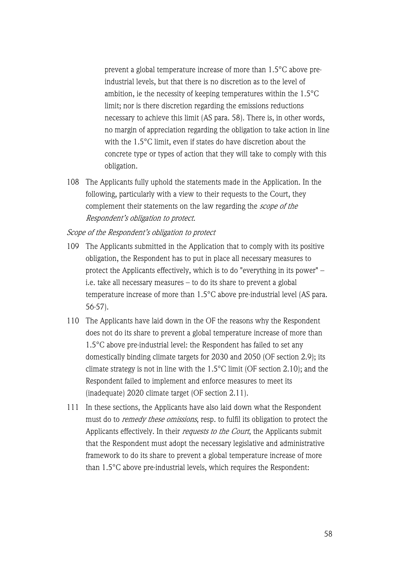prevent a global temperature increase of more than 1.5°C above preindustrial levels, but that there is no discretion as to the level of ambition, ie the necessity of keeping temperatures within the 1.5°C limit; nor is there discretion regarding the emissions reductions necessary to achieve this limit (AS para. 58). There is, in other words, no margin of appreciation regarding the obligation to take action in line with the 1.5°C limit, even if states do have discretion about the concrete type or types of action that they will take to comply with this obligation.

108 The Applicants fully uphold the statements made in the Application. In the following, particularly with a view to their requests to the Court, they complement their statements on the law regarding the scope of the Respondent's obligation to protect.

Scope of the Respondent's obligation to protect

- 109 The Applicants submitted in the Application that to comply with its positive obligation, the Respondent has to put in place all necessary measures to protect the Applicants effectively, which is to do "everything in its power" – i.e. take all necessary measures – to do its share to prevent a global temperature increase of more than 1.5°C above pre-industrial level (AS para. 56-57).
- 110 The Applicants have laid down in the OF the reasons why the Respondent does not do its share to prevent a global temperature increase of more than 1.5°C above pre-industrial level: the Respondent has failed to set any domestically binding climate targets for 2030 and 2050 (OF section 2.9); its climate strategy is not in line with the 1.5°C limit (OF section 2.10); and the Respondent failed to implement and enforce measures to meet its (inadequate) 2020 climate target (OF section 2.11).
- 111 In these sections, the Applicants have also laid down what the Respondent must do to remedy these omissions, resp. to fulfil its obligation to protect the Applicants effectively. In their requests to the Court, the Applicants submit that the Respondent must adopt the necessary legislative and administrative framework to do its share to prevent a global temperature increase of more than 1.5°C above pre-industrial levels, which requires the Respondent: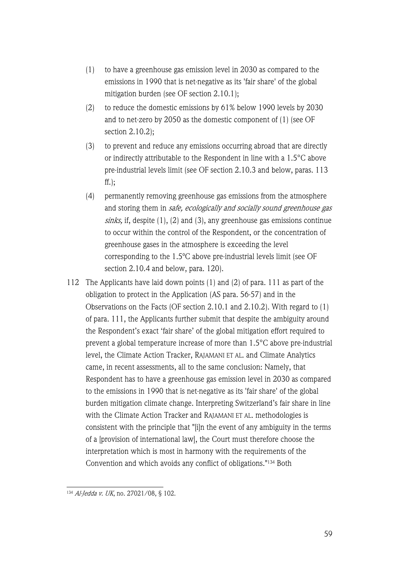- (1) to have a greenhouse gas emission level in 2030 as compared to the emissions in 1990 that is net-negative as its 'fair share' of the global mitigation burden (see OF section 2.10.1);
- (2) to reduce the domestic emissions by 61% below 1990 levels by 2030 and to net-zero by 2050 as the domestic component of (1) (see OF section 2.10.2);
- (3) to prevent and reduce any emissions occurring abroad that are directly or indirectly attributable to the Respondent in line with a 1.5°C above pre-industrial levels limit (see OF section 2.10.3 and below, paras. 113 ff.);
- (4) permanently removing greenhouse gas emissions from the atmosphere and storing them in safe, ecologically and socially sound greenhouse gas sinks, if, despite  $(1)$ ,  $(2)$  and  $(3)$ , any greenhouse gas emissions continue to occur within the control of the Respondent, or the concentration of greenhouse gases in the atmosphere is exceeding the level corresponding to the 1.5ºC above pre-industrial levels limit (see OF section 2.10.4 and below, para. 120).
- 112 The Applicants have laid down points (1) and (2) of para. 111 as part of the obligation to protect in the Application (AS para. 56-57) and in the Observations on the Facts (OF section 2.10.1 and 2.10.2). With regard to (1) of para. 111, the Applicants further submit that despite the ambiguity around the Respondent's exact 'fair share' of the global mitigation effort required to prevent a global temperature increase of more than 1.5°C above pre-industrial level, the Climate Action Tracker, RAJAMANI ET AL. and Climate Analytics came, in recent assessments, all to the same conclusion: Namely, that Respondent has to have a greenhouse gas emission level in 2030 as compared to the emissions in 1990 that is net-negative as its 'fair share' of the global burden mitigation climate change. Interpreting Switzerland's fair share in line with the Climate Action Tracker and RAJAMANI ET AL. methodologies is consistent with the principle that "[i]n the event of any ambiguity in the terms of a [provision of international law], the Court must therefore choose the interpretation which is most in harmony with the requirements of the Convention and which avoids any conflict of obligations."134 Both

<sup>134</sup> Al-Jedda v. UK, no. 27021/08, § 102.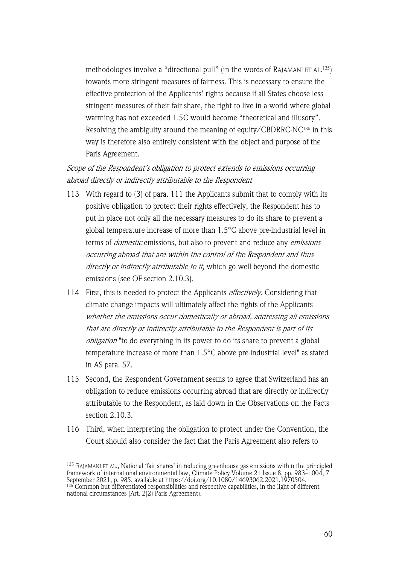methodologies involve a "directional pull" (in the words of RAJAMANI ET AL. 135) towards more stringent measures of fairness. This is necessary to ensure the effective protection of the Applicants' rights because if all States choose less stringent measures of their fair share, the right to live in a world where global warming has not exceeded 1.5C would become "theoretical and illusory". Resolving the ambiguity around the meaning of equity/CBDRRC-NC136 in this way is therefore also entirely consistent with the object and purpose of the Paris Agreement.

# Scope of the Respondent's obligation to protect extends to emissions occurring abroad directly or indirectly attributable to the Respondent

- 113 With regard to (3) of para. 111 the Applicants submit that to comply with its positive obligation to protect their rights effectively, the Respondent has to put in place not only all the necessary measures to do its share to prevent a global temperature increase of more than 1.5°C above pre-industrial level in terms of *domestic* emissions, but also to prevent and reduce any *emissions* occurring abroad that are within the control of the Respondent and thus directly or indirectly attributable to it, which go well beyond the domestic emissions (see OF section 2.10.3).
- 114 First, this is needed to protect the Applicants *effectively*. Considering that climate change impacts will ultimately affect the rights of the Applicants whether the emissions occur domestically or abroad, addressing all emissions that are directly or indirectly attributable to the Respondent is part of its obligation "to do everything in its power to do its share to prevent a global temperature increase of more than 1.5°C above pre-industrial level" as stated in AS para. 57.
- 115 Second, the Respondent Government seems to agree that Switzerland has an obligation to reduce emissions occurring abroad that are directly or indirectly attributable to the Respondent, as laid down in the Observations on the Facts section 2.10.3.
- 116 Third, when interpreting the obligation to protect under the Convention, the Court should also consider the fact that the Paris Agreement also refers to

<sup>&</sup>lt;sup>135</sup> RAJAMANI ET AL., National 'fair shares' in reducing greenhouse gas emissions within the principled framework of international environmental law, Climate Policy Volume 21 Issue 8, pp. 983–1004, 7 September 2021, p. 985, available at https://doi.org/10.1080/14693062.2021.1970504.

<sup>136</sup> Common but differentiated responsibilities and respective capabilities, in the light of different national circumstances (Art. 2(2) Paris Agreement).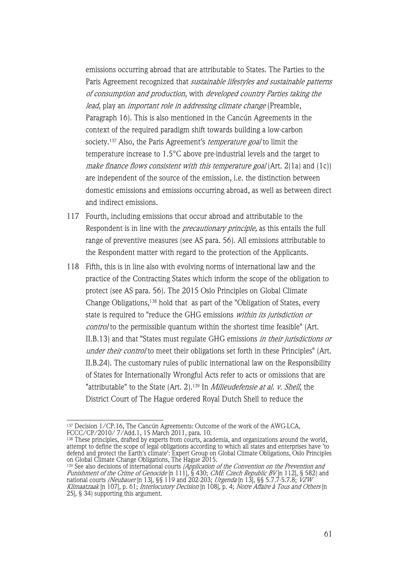emissions occurring abroad that are attributable to States. The Parties to the Paris Agreement recognized that sustainable lifestyles and sustainable patterns of consumption and production, with developed country Parties taking the lead, play an *important role in addressing climate change* (Preamble, Paragraph 16). This is also mentioned in the Cancún Agreements in the context of the required paradigm shift towards building a low-carbon society.<sup>137</sup> Also, the Paris Agreement's *temperature goal* to limit the temperature increase to 1.5°C above pre-industrial levels and the target to make finance flows consistent with this temperature goal (Art. 2(1a) and (1c)) are independent of the source of the emission, i.e. the distinction between domestic emissions and emissions occurring abroad, as well as between direct and indirect emissions.

- 117 Fourth, including emissions that occur abroad and attributable to the Respondent is in line with the *precautionary principle*, as this entails the full range of preventive measures (see AS para. 56). All emissions attributable to the Respondent matter with regard to the protection of the Applicants.
- 118 Fifth, this is in line also with evolving norms of international law and the practice of the Contracting States which inform the scope of the obligation to protect (see AS para. 56). The 2015 Oslo Principles on Global Climate Change Obligations,138 hold that as part of the "Obligation of States, every state is required to "reduce the GHG emissions within its jurisdiction or control to the permissible quantum within the shortest time feasible" (Art. II.B.13) and that "States must regulate GHG emissions in their jurisdictions or under their control to meet their obligations set forth in these Principles" (Art. II.B.24). The customary rules of public international law on the Responsibility of States for Internationally Wrongful Acts refer to acts or omissions that are "attributable" to the State (Art. 2).<sup>139</sup> In *Milieudefensie at al. v. Shell*, the District Court of The Hague ordered Royal Dutch Shell to reduce the

<sup>137</sup> Decision 1/CP.16, The Cancún Agreements: Outcome of the work of the AWG-LCA, FCCC/CP/2010/ 7/Add.1, 15 March 2011, para. 10.

<sup>&</sup>lt;sup>138</sup> These principles, drafted by experts from courts, academia, and organizations around the world, attempt to define the scope of legal obligations according to which all states and enterprises have 'to defend and protect the Earth's climate': Expert Group on Global Climate Obligations, Oslo Principles on Global Climate Change Obligations, The Hague 2015.

<sup>&</sup>lt;sup>139</sup> See also decisions of international courts *(Application of the Convention on the Prevention and* Punishment of the Crime of Genocide [n 111], § 430; CME Czech Republic BV [n 112], § 582) and national courts *(Neubauer* [n 13], §§ 119 and 202-203; *Urgenda* [n 13], §§ 5.7.7-5.7.8; *VZW* Klimaatzaak [n 107], p. 61; Interlocutory Decision [n 108], p. 4; Notre Affaire à Tous and Others [n 25], § 34) supporting this argument.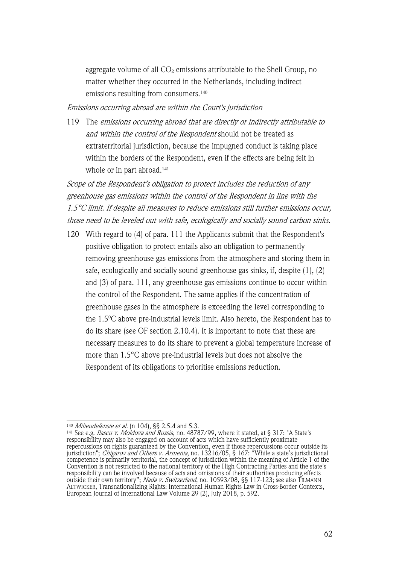aggregate volume of all  $CO<sub>2</sub>$  emissions attributable to the Shell Group, no matter whether they occurred in the Netherlands, including indirect emissions resulting from consumers.140

#### Emissions occurring abroad are within the Court's jurisdiction

119 The emissions occurring abroad that are directly or indirectly attributable to and within the control of the Respondent should not be treated as extraterritorial jurisdiction, because the impugned conduct is taking place within the borders of the Respondent, even if the effects are being felt in whole or in part abroad.<sup>141</sup>

Scope of the Respondent's obligation to protect includes the reduction of any greenhouse gas emissions within the control of the Respondent in line with the 1.5°C limit. If despite all measures to reduce emissions still further emissions occur, those need to be leveled out with safe, ecologically and socially sound carbon sinks.

120 With regard to (4) of para. 111 the Applicants submit that the Respondent's positive obligation to protect entails also an obligation to permanently removing greenhouse gas emissions from the atmosphere and storing them in safe, ecologically and socially sound greenhouse gas sinks, if, despite (1), (2) and (3) of para. 111, any greenhouse gas emissions continue to occur within the control of the Respondent. The same applies if the concentration of greenhouse gases in the atmosphere is exceeding the level corresponding to the 1.5ºC above pre-industrial levels limit. Also hereto, the Respondent has to do its share (see OF section 2.10.4). It is important to note that these are necessary measures to do its share to prevent a global temperature increase of more than 1.5°C above pre-industrial levels but does not absolve the Respondent of its obligations to prioritise emissions reduction.

<sup>&</sup>lt;sup>140</sup> *Milieudefensie et al.* (n 104), §§ 2.5.4 and 5.3.

<sup>&</sup>lt;sup>141</sup> See e.g. *Ilascu v. Moldova and Russia*, no. 48787/99, where it stated, at § 317: "A State's responsibility may also be engaged on account of acts which have sufficiently proximate repercussions on rights guaranteed by the Convention, even if those repercussions occur outside its jurisdiction"; *Chigarov and Others v. Armenia*, no. 13216/05, § 167: "While a state's jurisdictional competence is primarily territorial, the concept of jurisdiction within the meaning of Article 1 of the Convention is not restricted to the national territory of the High Contracting Parties and the state's responsibility can be involved because of acts and omissions of their authorities producing effects outside their own territory"; *Nada v. Switzerland*, no. 10593/08, §§ 117-123; see also TilMANN ALTWICKER, Transnationalizing Rights: International Human Rights Law in Cross-Border Contexts, European Journal of International Law Volume 29 (2), July 2018, p. 592.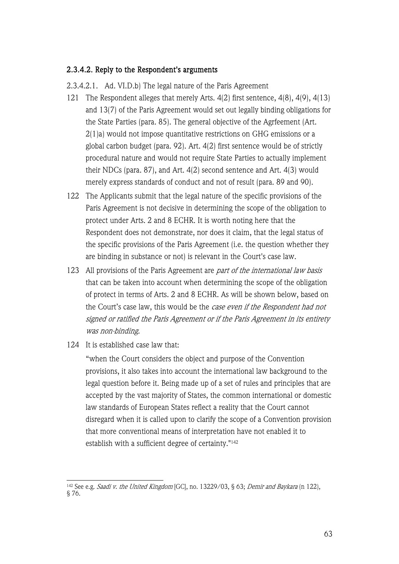# 2.3.4.2. Reply to the Respondent's arguments

2.3.4.2.1. Ad. VI.D.b) The legal nature of the Paris Agreement

- 121 The Respondent alleges that merely Arts. 4(2) first sentence, 4(8), 4(9), 4(13) and 13(7) of the Paris Agreement would set out legally binding obligations for the State Parties (para. 85). The general objective of the Agrfeement (Art. 2(1)a) would not impose quantitative restrictions on GHG emissions or a global carbon budget (para. 92). Art. 4(2) first sentence would be of strictly procedural nature and would not require State Parties to actually implement their NDCs (para. 87), and Art. 4(2) second sentence and Art. 4(3) would merely express standards of conduct and not of result (para. 89 and 90).
- 122 The Applicants submit that the legal nature of the specific provisions of the Paris Agreement is not decisive in determining the scope of the obligation to protect under Arts. 2 and 8 ECHR. It is worth noting here that the Respondent does not demonstrate, nor does it claim, that the legal status of the specific provisions of the Paris Agreement (i.e. the question whether they are binding in substance or not) is relevant in the Court's case law.
- 123 All provisions of the Paris Agreement are *part of the international law basis* that can be taken into account when determining the scope of the obligation of protect in terms of Arts. 2 and 8 ECHR. As will be shown below, based on the Court's case law, this would be the case even if the Respondent had not signed or ratified the Paris Agreement or if the Paris Agreement in its entirety was non-binding.
- 124 It is established case law that:

"when the Court considers the object and purpose of the Convention provisions, it also takes into account the international law background to the legal question before it. Being made up of a set of rules and principles that are accepted by the vast majority of States, the common international or domestic law standards of European States reflect a reality that the Court cannot disregard when it is called upon to clarify the scope of a Convention provision that more conventional means of interpretation have not enabled it to establish with a sufficient degree of certainty."142

<sup>&</sup>lt;sup>142</sup> See e.g. *Saadi v. the United Kingdom* [GC], no. 13229/03, § 63; *Demir and Baykara* (n 122), § 76.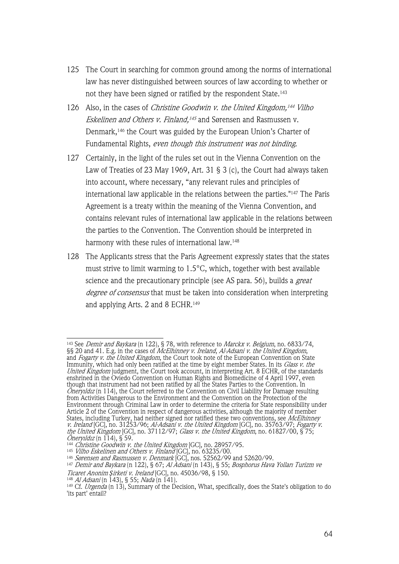- 125 The Court in searching for common ground among the norms of international law has never distinguished between sources of law according to whether or not they have been signed or ratified by the respondent State.143
- 126 Also, in the cases of *Christine Goodwin v. the United Kingdom*,<sup>144</sup> Vilho Eskelinen and Others v. Finland,<sup>145</sup> and Sørensen and Rasmussen v. Denmark,146 the Court was guided by the European Union's Charter of Fundamental Rights, even though this instrument was not binding.
- 127 Certainly, in the light of the rules set out in the Vienna Convention on the Law of Treaties of 23 May 1969, Art. 31 § 3 (c), the Court had always taken into account, where necessary, "any relevant rules and principles of international law applicable in the relations between the parties."147 The Paris Agreement is a treaty within the meaning of the Vienna Convention, and contains relevant rules of international law applicable in the relations between the parties to the Convention. The Convention should be interpreted in harmony with these rules of international law.<sup>148</sup>
- 128 The Applicants stress that the Paris Agreement expressly states that the states must strive to limit warming to 1.5°C, which, together with best available science and the precautionary principle (see AS para. 56), builds a *great* degree of consensus that must be taken into consideration when interpreting and applying Arts. 2 and 8 ECHR.149

<sup>143</sup> See Demir and Baykara (n 122), § 78, with reference to Marckx v. Belgium, no. 6833/74, §§ 20 and 41. E.g. in the cases of *McElhinney v. Ireland, Al-Adsani v. the United Kingdom,* and *Fogarty v. the United Kingdom*, the Court took note of the European Convention on State Immunity, which had only been ratified at the time by eight member States. In its *Glass v. the* United Kingdom judgment, the Court took account, in interpreting Art. 8 ECHR, of the standards enshrined in the Oviedo Convention on Human Rights and Biomedicine of 4 April 1997, even though that instrument had not been ratified by all the States Parties to the Convention. In  $\ddot{\text{O}}$ neryildiz (n 114), the Court referred to the Convention on Civil Liability for Damage resulting from Activities Dangerous to the Environment and the Convention on the Protection of the Environment through Criminal Law in order to determine the criteria for State responsibility under Article 2 of the Convention in respect of dangerous activities, although the majority of member States, including Turkey, had neither signed nor ratified these two conventions, see *McElhinney* v. Ireland [GC], no. 31253/96; Al-Adsani v. the United Kingdom [GC], no. 35763/97; Fogarty v. the United Kingdom  $[GC]$ , no. 37112/97; Glass v. the United Kingdom, no. 61827/00, § 75; Öneryildiz (n 114), § 59. 144 Christine Goodwin v. the United Kingdom [GC], no. 28957/95.

<sup>&</sup>lt;sup>145</sup> *Vilho Eskelinen and Others v. Finland* [GC], no. 63235/00.

<sup>&</sup>lt;sup>146</sup> *Sørensen and Rasmussen v. Denmark* [GC], nos. 52562/99 and 52620/99.

<sup>147</sup> Demir and Baykara (n 122), § 67; Al Adsani (n 143), § 55; Bosphorus Hava Yolları Turizm ve Ticaret Anonim *Ş*irketi v. Ireland [GC], no. 45036/98, § 150.

<sup>&</sup>lt;sup>148</sup> *Al Adsani* (n 143), § 55; *Nada* (n 141).

<sup>&</sup>lt;sup>149</sup> Cf. *Urgenda* (n 13), Summary of the Decision, What, specifically, does the State's obligation to do 'its part' entail?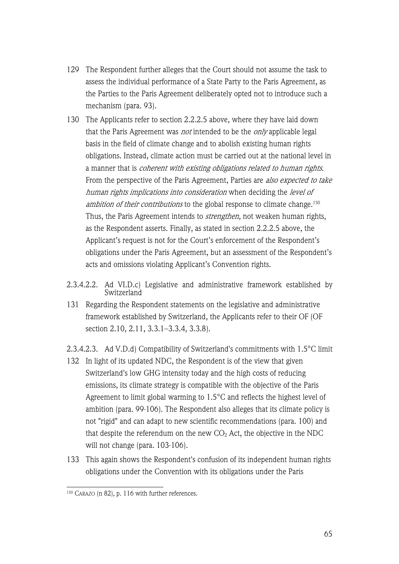- 129 The Respondent further alleges that the Court should not assume the task to assess the individual performance of a State Party to the Paris Agreement, as the Parties to the Paris Agreement deliberately opted not to introduce such a mechanism (para. 93).
- 130 The Applicants refer to section 2.2.2.5 above, where they have laid down that the Paris Agreement was *not* intended to be the *only* applicable legal basis in the field of climate change and to abolish existing human rights obligations. Instead, climate action must be carried out at the national level in a manner that is coherent with existing obligations related to human rights. From the perspective of the Paris Agreement, Parties are also expected to take human rights implications into consideration when deciding the level of ambition of their contributions to the global response to climate change.<sup>150</sup> Thus, the Paris Agreement intends to *strengthen*, not weaken human rights, as the Respondent asserts. Finally, as stated in section 2.2.2.5 above, the Applicant's request is not for the Court's enforcement of the Respondent's obligations under the Paris Agreement, but an assessment of the Respondent's acts and omissions violating Applicant's Convention rights.
- 2.3.4.2.2. Ad VI.D.c) Legislative and administrative framework established by **Switzerland**
- 131 Regarding the Respondent statements on the legislative and administrative framework established by Switzerland, the Applicants refer to their OF (OF section 2.10, 2.11, 3.3.1–3.3.4, 3.3.8).

2.3.4.2.3. Ad V.D.d) Compatibility of Switzerland's commitments with 1.5°C limit

- 132 In light of its updated NDC, the Respondent is of the view that given Switzerland's low GHG intensity today and the high costs of reducing emissions, its climate strategy is compatible with the objective of the Paris Agreement to limit global warming to 1.5°C and reflects the highest level of ambition (para. 99-106). The Respondent also alleges that its climate policy is not "rigid" and can adapt to new scientific recommendations (para. 100) and that despite the referendum on the new  $CO<sub>2</sub>$  Act, the objective in the NDC will not change (para. 103-106).
- 133 This again shows the Respondent's confusion of its independent human rights obligations under the Convention with its obligations under the Paris

<sup>150</sup> CARAZO (n 82), p. 116 with further references.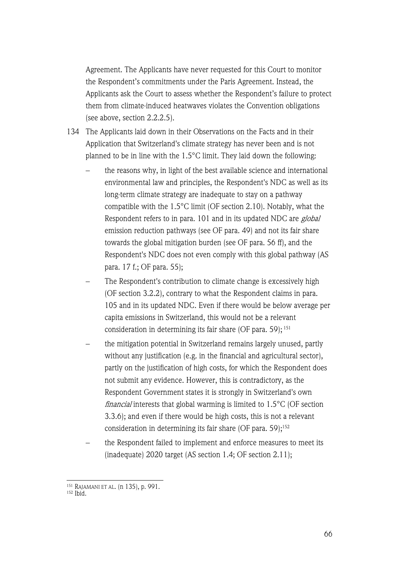Agreement. The Applicants have never requested for this Court to monitor the Respondent's commitments under the Paris Agreement. Instead, the Applicants ask the Court to assess whether the Respondent's failure to protect them from climate-induced heatwaves violates the Convention obligations (see above, section 2.2.2.5).

- 134 The Applicants laid down in their Observations on the Facts and in their Application that Switzerland's climate strategy has never been and is not planned to be in line with the 1.5°C limit. They laid down the following:
	- the reasons why, in light of the best available science and international environmental law and principles, the Respondent's NDC as well as its long-term climate strategy are inadequate to stay on a pathway compatible with the 1.5°C limit (OF section 2.10). Notably, what the Respondent refers to in para. 101 and in its updated NDC are global emission reduction pathways (see OF para. 49) and not its fair share towards the global mitigation burden (see OF para. 56 ff), and the Respondent's NDC does not even comply with this global pathway (AS para. 17 f.; OF para. 55);
	- The Respondent's contribution to climate change is excessively high (OF section 3.2.2), contrary to what the Respondent claims in para. 105 and in its updated NDC. Even if there would be below average per capita emissions in Switzerland, this would not be a relevant consideration in determining its fair share (OF para. 59); <sup>151</sup>
	- the mitigation potential in Switzerland remains largely unused, partly without any justification (e.g. in the financial and agricultural sector), partly on the justification of high costs, for which the Respondent does not submit any evidence. However, this is contradictory, as the Respondent Government states it is strongly in Switzerland's own *financial* interests that global warming is limited to  $1.5^{\circ}$ C (OF section 3.3.6); and even if there would be high costs, this is not a relevant consideration in determining its fair share (OF para.  $59$ );<sup>152</sup>
	- the Respondent failed to implement and enforce measures to meet its (inadequate) 2020 target (AS section 1.4; OF section 2.11);

<sup>151</sup> RAJAMANI ET AL. (n 135), p. 991.

 $152$  Ibid.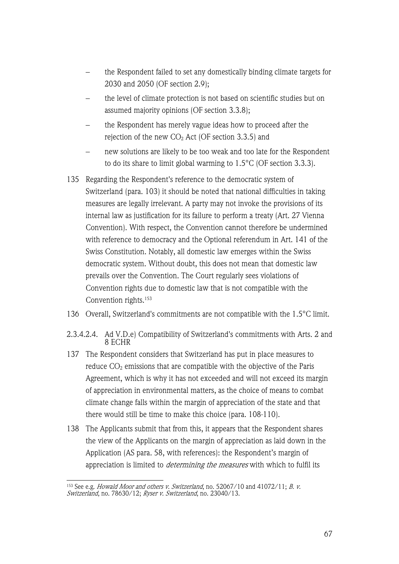- the Respondent failed to set any domestically binding climate targets for 2030 and 2050 (OF section 2.9);
- the level of climate protection is not based on scientific studies but on assumed majority opinions (OF section 3.3.8);
- the Respondent has merely vague ideas how to proceed after the rejection of the new  $CO<sub>2</sub>$  Act (OF section 3.3.5) and
- new solutions are likely to be too weak and too late for the Respondent to do its share to limit global warming to 1.5°C (OF section 3.3.3).
- 135 Regarding the Respondent's reference to the democratic system of Switzerland (para. 103) it should be noted that national difficulties in taking measures are legally irrelevant. A party may not invoke the provisions of its internal law as justification for its failure to perform a treaty (Art. 27 Vienna Convention). With respect, the Convention cannot therefore be undermined with reference to democracy and the Optional referendum in Art. 141 of the Swiss Constitution. Notably, all domestic law emerges within the Swiss democratic system. Without doubt, this does not mean that domestic law prevails over the Convention. The Court regularly sees violations of Convention rights due to domestic law that is not compatible with the Convention rights.153
- 136 Overall, Switzerland's commitments are not compatible with the 1.5°C limit.
- 2.3.4.2.4. Ad V.D.e) Compatibility of Switzerland's commitments with Arts. 2 and 8 ECHR
- 137 The Respondent considers that Switzerland has put in place measures to reduce  $CO<sub>2</sub>$  emissions that are compatible with the objective of the Paris Agreement, which is why it has not exceeded and will not exceed its margin of appreciation in environmental matters, as the choice of means to combat climate change falls within the margin of appreciation of the state and that there would still be time to make this choice (para. 108-110).
- 138 The Applicants submit that from this, it appears that the Respondent shares the view of the Applicants on the margin of appreciation as laid down in the Application (AS para. 58, with references): the Respondent's margin of appreciation is limited to *determining the measures* with which to fulfil its

<sup>&</sup>lt;sup>153</sup> See e.g. *Howald Moor and others v. Switzerland*, no. 52067/10 and 41072/11; *B. v.* Switzerland, no. 78630/12; Ryser v. Switzerland, no. 23040/13.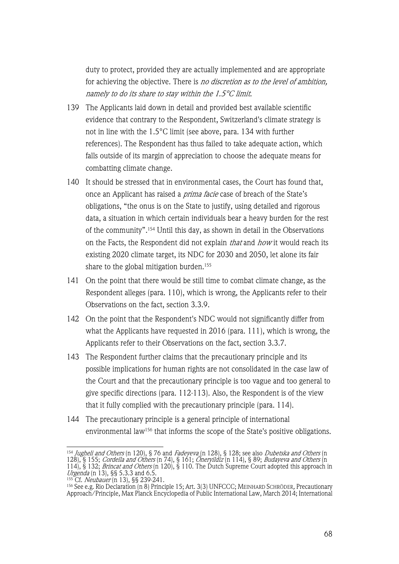duty to protect, provided they are actually implemented and are appropriate for achieving the objective. There is no discretion as to the level of ambition, namely to do its share to stay within the 1.5°C limit.

- 139 The Applicants laid down in detail and provided best available scientific evidence that contrary to the Respondent, Switzerland's climate strategy is not in line with the 1.5°C limit (see above, para. 134 with further references). The Respondent has thus failed to take adequate action, which falls outside of its margin of appreciation to choose the adequate means for combatting climate change.
- 140 It should be stressed that in environmental cases, the Court has found that, once an Applicant has raised a *prima facie* case of breach of the State's obligations, "the onus is on the State to justify, using detailed and rigorous data, a situation in which certain individuals bear a heavy burden for the rest of the community".154 Until this day, as shown in detail in the Observations on the Facts, the Respondent did not explain *that* and *how* it would reach its existing 2020 climate target, its NDC for 2030 and 2050, let alone its fair share to the global mitigation burden.<sup>155</sup>
- 141 On the point that there would be still time to combat climate change, as the Respondent alleges (para. 110), which is wrong, the Applicants refer to their Observations on the fact, section 3.3.9.
- 142 On the point that the Respondent's NDC would not significantly differ from what the Applicants have requested in 2016 (para. 111), which is wrong, the Applicants refer to their Observations on the fact, section 3.3.7.
- 143 The Respondent further claims that the precautionary principle and its possible implications for human rights are not consolidated in the case law of the Court and that the precautionary principle is too vague and too general to give specific directions (para. 112-113). Also, the Respondent is of the view that it fully complied with the precautionary principle (para. 114).
- 144 The precautionary principle is a general principle of international environmental law<sup>156</sup> that informs the scope of the State's positive obligations.

<sup>&</sup>lt;sup>154</sup> *Jugheli and Others* (n 120), § 76 and *Fadeyeva* (n 128), § 128; see also *Dubetska and Others* (n 128), § 155; *Cordella and Others* (n 74), § 161; *Öneryildiz* (n 114), § 89; *Budayeva and Others* (n

<sup>114), § 132;</sup> Brincat and Others (n 120), § 110. The Dutch Supreme Court adopted this approach in Urgenda (n 13), §§ 5.3.3 and 6.5.

<sup>155</sup> Cf. Neubauer (n 13), §§ 239-241.

<sup>156</sup> See e.g. Rio Declaration (n 8) Principle 15; Art. 3(3) UNFCCC; MEINHARD SCHRÖDER, Precautionary Approach/Principle, Max Planck Encyclopedia of Public International Law, March 2014; International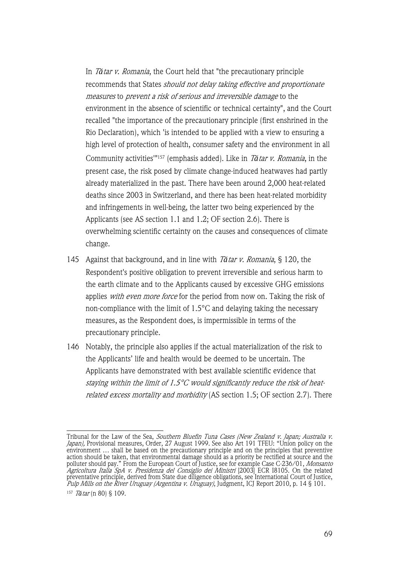In T*ă*tar v. Romania, the Court held that "the precautionary principle recommends that States should not delay taking effective and proportionate measures to prevent a risk of serious and irreversible damage to the environment in the absence of scientific or technical certainty", and the Court recalled "the importance of the precautionary principle (first enshrined in the Rio Declaration), which 'is intended to be applied with a view to ensuring a high level of protection of health, consumer safety and the environment in all Community activities'"157 (emphasis added). Like in T*ă*tar v. Romania, in the present case, the risk posed by climate change-induced heatwaves had partly already materialized in the past. There have been around 2,000 heat-related deaths since 2003 in Switzerland, and there has been heat-related morbidity and infringements in well-being, the latter two being experienced by the Applicants (see AS section 1.1 and 1.2; OF section 2.6). There is overwhelming scientific certainty on the causes and consequences of climate change.

- 145 Against that background, and in line with T*ă*tar v. Romania, § 120, the Respondent's positive obligation to prevent irreversible and serious harm to the earth climate and to the Applicants caused by excessive GHG emissions applies with even more force for the period from now on. Taking the risk of non-compliance with the limit of 1.5°C and delaying taking the necessary measures, as the Respondent does, is impermissible in terms of the precautionary principle.
- 146 Notably, the principle also applies if the actual materialization of the risk to the Applicants' life and health would be deemed to be uncertain. The Applicants have demonstrated with best available scientific evidence that staying within the limit of 1.5°C would significantly reduce the risk of heatrelated excess mortality and morbidity (AS section 1.5; OF section 2.7). There

Tribunal for the Law of the Sea, *Southern Bluefin Tuna Cases (New Zealand v. Japan; Australia v.* Japan), Provisional measures, Order, 27 August 1999. See also Art 191 TFEU: "Union policy on the environment … shall be based on the precautionary principle and on the principles that preventive action should be taken, that environmental damage should as a priority be rectified at source and the polluter should pay." From the European Court of Justice, see for example Case C-236/01, Monsanto Agricoltura Italia SpA v. Presidenza del Consiglio dei Ministri [2003] ECR I8105. On the related preventative principle, derived from State due diligence obligations, see International Court of Justice, Pulp Mills on the River Uruguay (Argentina v. Uruguay), Judgment, ICJ Report 2010, p. 14 § 101. <sup>157</sup> <sup>T</sup>*ă*tar (n 80) § 109.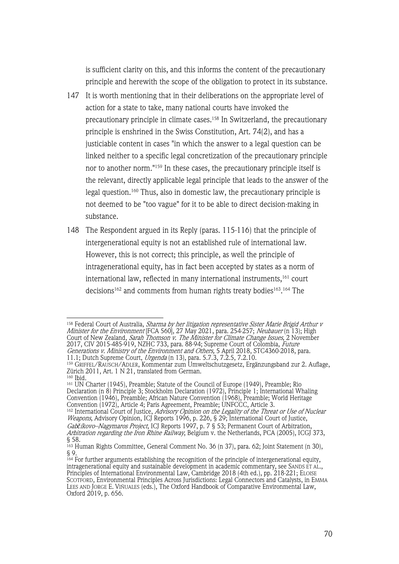is sufficient clarity on this, and this informs the content of the precautionary principle and herewith the scope of the obligation to protect in its substance.

- 147 It is worth mentioning that in their deliberations on the appropriate level of action for a state to take, many national courts have invoked the precautionary principle in climate cases.158 In Switzerland, the precautionary principle is enshrined in the Swiss Constitution, Art. 74(2), and has a justiciable content in cases "in which the answer to a legal question can be linked neither to a specific legal concretization of the precautionary principle nor to another norm."159 In these cases, the precautionary principle itself is the relevant, directly applicable legal principle that leads to the answer of the legal question.160 Thus, also in domestic law, the precautionary principle is not deemed to be "too vague" for it to be able to direct decision-making in substance.
- 148 The Respondent argued in its Reply (paras. 115-116) that the principle of intergenerational equity is not an established rule of international law. However, this is not correct; this principle, as well the principle of intragenerational equity, has in fact been accepted by states as a norm of international law, reflected in many international instruments,161 court decisions162 and comments from human rights treaty bodies163. <sup>164</sup> The

<sup>&</sup>lt;sup>158</sup> Federal Court of Australia, *Sharma by her litigation representative Sister Marie Brigid Arthur v Minister for the Environment* [FCA 560], 27 May 2021, para. 254-257; *Neubauer* (n 13); High Court of New Zealand, *Sarah Thomson v. The Minister for Climate Change Issues*, 2 November 2017, CIV 2015-485-919, NZHC 733, para. 88-94; Supreme Court of Colombia, *Future* Generations v. Ministry of the Environment and Others, 5 April 2018, STC4360-2018, para. 11.1; Dutch Supreme Court, Urgenda (n 13), para. 5.7.3, 7.2.5, 7.2.10.

<sup>159</sup> GRIFFEL/RAUSCH/ADLER, Kommentar zum Umweltschutzgesetz, Ergänzungsband zur 2. Auflage, Zürich 2011, Art. 1 N 21, translated from German.<br><sup>160</sup> Ibid.

<sup>161</sup> UN Charter (1945), Preamble; Statute of the Council of Europe (1949), Preamble; Rio Declaration (n 8) Principle 3; Stockholm Declaration (1972), Principle 1; International Whaling Convention (1946), Preamble; African Nature Convention (1968), Preamble; World Heritage Convention (1972), Article 4; Paris Agreement, Preamble; UNFCCC, Article 3.

<sup>&</sup>lt;sup>162</sup> International Court of Justice, *Advisory Opinion on the Legality of the Threat or Use of Nuclear* Weapons, Advisory Opinion, ICJ Reports 1996, p. 226, § 29; International Court of Justice, Gab*č*íkovo–Nagymaros Project, ICJ Reports 1997, p. 7 § 53; Permanent Court of Arbitration, Arbitration regarding the Iron Rhine Railway, Belgium v. the Netherlands, PCA (2005), ICGJ 373, § 58.

<sup>163</sup> Human Rights Committee, General Comment No. 36 (n 37), para. 62; Joint Statement (n 30), § 9.

<sup>164</sup> For further arguments establishing the recognition of the principle of intergenerational equity, intragenerational equity and sustainable development in academic commentary, see SANDS ET AL., Principles of International Environmental Law, Cambridge 2018 (4th ed.), pp. 218-221; ELOISE SCOTFORD, Environmental Principles Across Jurisdictions: Legal Connectors and Catalysts, in EMMA LEES AND JORGE E. VIÑUALES (eds.), The Oxford Handbook of Comparative Environmental Law, Oxford 2019, p. 656.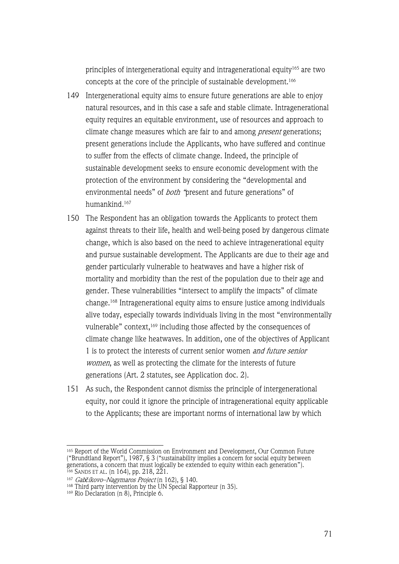principles of intergenerational equity and intragenerational equity165 are two concepts at the core of the principle of sustainable development.166

- 149 Intergenerational equity aims to ensure future generations are able to enjoy natural resources, and in this case a safe and stable climate. Intragenerational equity requires an equitable environment, use of resources and approach to climate change measures which are fair to and among *present* generations; present generations include the Applicants, who have suffered and continue to suffer from the effects of climate change. Indeed, the principle of sustainable development seeks to ensure economic development with the protection of the environment by considering the "developmental and environmental needs" of both "present and future generations" of humankind.167
- 150 The Respondent has an obligation towards the Applicants to protect them against threats to their life, health and well-being posed by dangerous climate change, which is also based on the need to achieve intragenerational equity and pursue sustainable development. The Applicants are due to their age and gender particularly vulnerable to heatwaves and have a higher risk of mortality and morbidity than the rest of the population due to their age and gender. These vulnerabilities "intersect to amplify the impacts" of climate change.168 Intragenerational equity aims to ensure justice among individuals alive today, especially towards individuals living in the most "environmentally vulnerable" context,<sup>169</sup> including those affected by the consequences of climate change like heatwaves. In addition, one of the objectives of Applicant 1 is to protect the interests of current senior women and future senior women, as well as protecting the climate for the interests of future generations (Art. 2 statutes, see Application doc. 2).
- 151 As such, the Respondent cannot dismiss the principle of intergenerational equity, nor could it ignore the principle of intragenerational equity applicable to the Applicants; these are important norms of international law by which

<sup>165</sup> Report of the World Commission on Environment and Development, Our Common Future ("Brundtland Report"), 1987, § 3 ("sustainability implies a concern for social equity between generations, a concern that must logically be extended to equity within each generation"). <sup>166</sup> SANDS ET AL. (n 164), pp. 218, 221.

<sup>167</sup> Gab*č*íkovo–Nagymaros Project (n 162), § 140.

<sup>168</sup> Third party intervention by the UN Special Rapporteur (n 35).

<sup>169</sup> Rio Declaration (n 8), Principle 6.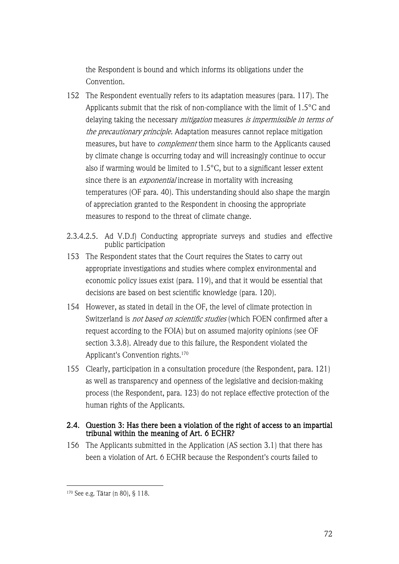the Respondent is bound and which informs its obligations under the Convention.

- 152 The Respondent eventually refers to its adaptation measures (para. 117). The Applicants submit that the risk of non-compliance with the limit of 1.5°C and delaying taking the necessary *mitigation* measures *is impermissible in terms of* the precautionary principle. Adaptation measures cannot replace mitigation measures, but have to complement them since harm to the Applicants caused by climate change is occurring today and will increasingly continue to occur also if warming would be limited to 1.5°C, but to a significant lesser extent since there is an *exponential* increase in mortality with increasing temperatures (OF para. 40). This understanding should also shape the margin of appreciation granted to the Respondent in choosing the appropriate measures to respond to the threat of climate change.
- 2.3.4.2.5. Ad V.D.f) Conducting appropriate surveys and studies and effective public participation
- 153 The Respondent states that the Court requires the States to carry out appropriate investigations and studies where complex environmental and economic policy issues exist (para. 119), and that it would be essential that decisions are based on best scientific knowledge (para. 120).
- 154 However, as stated in detail in the OF, the level of climate protection in Switzerland is *not based on scientific studies* (which FOEN confirmed after a request according to the FOIA) but on assumed majority opinions (see OF section 3.3.8). Already due to this failure, the Respondent violated the Applicant's Convention rights.170
- 155 Clearly, participation in a consultation procedure (the Respondent, para. 121) as well as transparency and openness of the legislative and decision-making process (the Respondent, para. 123) do not replace effective protection of the human rights of the Applicants.

# 2.4. Question 3: Has there been a violation of the right of access to an impartial tribunal within the meaning of Art. 6 ECHR?

156 The Applicants submitted in the Application (AS section 3.1) that there has been a violation of Art. 6 ECHR because the Respondent's courts failed to

<sup>170</sup> See e.g. Tătar (n 80), § 118.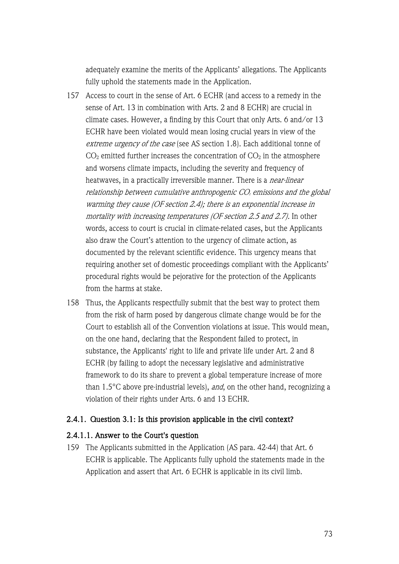adequately examine the merits of the Applicants' allegations. The Applicants fully uphold the statements made in the Application.

- 157 Access to court in the sense of Art. 6 ECHR (and access to a remedy in the sense of Art. 13 in combination with Arts. 2 and 8 ECHR) are crucial in climate cases. However, a finding by this Court that only Arts. 6 and/or 13 ECHR have been violated would mean losing crucial years in view of the extreme urgency of the case (see AS section 1.8). Each additional tonne of  $CO<sub>2</sub>$  emitted further increases the concentration of  $CO<sub>2</sub>$  in the atmosphere and worsens climate impacts, including the severity and frequency of heatwaves, in a practically irreversible manner. There is a *near-linear* relationship between cumulative anthropogenic  $CO<sub>2</sub>$  emissions and the global warming they cause (OF section 2.4); there is an exponential increase in mortality with increasing temperatures (OF section 2.5 and 2.7). In other words, access to court is crucial in climate-related cases, but the Applicants also draw the Court's attention to the urgency of climate action, as documented by the relevant scientific evidence. This urgency means that requiring another set of domestic proceedings compliant with the Applicants' procedural rights would be pejorative for the protection of the Applicants from the harms at stake.
- 158 Thus, the Applicants respectfully submit that the best way to protect them from the risk of harm posed by dangerous climate change would be for the Court to establish all of the Convention violations at issue. This would mean, on the one hand, declaring that the Respondent failed to protect, in substance, the Applicants' right to life and private life under Art. 2 and 8 ECHR (by failing to adopt the necessary legislative and administrative framework to do its share to prevent a global temperature increase of more than  $1.5^{\circ}$ C above pre-industrial levels), and, on the other hand, recognizing a violation of their rights under Arts. 6 and 13 ECHR.

### 2.4.1. Question 3.1: Is this provision applicable in the civil context?

#### 2.4.1.1. Answer to the Court's question

159 The Applicants submitted in the Application (AS para. 42-44) that Art. 6 ECHR is applicable. The Applicants fully uphold the statements made in the Application and assert that Art. 6 ECHR is applicable in its civil limb.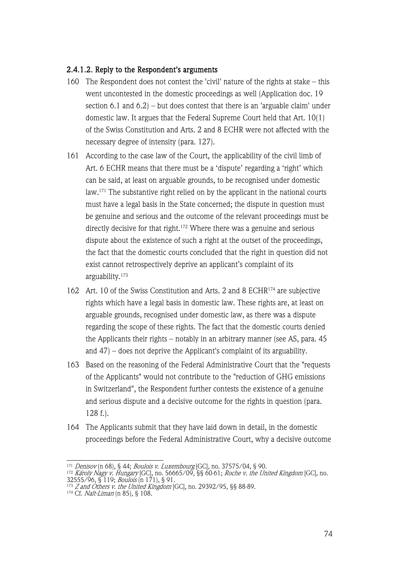### 2.4.1.2. Reply to the Respondent's arguments

- 160 The Respondent does not contest the 'civil' nature of the rights at stake this went uncontested in the domestic proceedings as well (Application doc. 19 section 6.1 and 6.2) – but does contest that there is an 'arguable claim' under domestic law. It argues that the Federal Supreme Court held that Art. 10(1) of the Swiss Constitution and Arts. 2 and 8 ECHR were not affected with the necessary degree of intensity (para. 127).
- 161 According to the case law of the Court, the applicability of the civil limb of Art. 6 ECHR means that there must be a 'dispute' regarding a 'right' which can be said, at least on arguable grounds, to be recognised under domestic law. <sup>171</sup> The substantive right relied on by the applicant in the national courts must have a legal basis in the State concerned; the dispute in question must be genuine and serious and the outcome of the relevant proceedings must be directly decisive for that right.<sup>172</sup> Where there was a genuine and serious dispute about the existence of such a right at the outset of the proceedings, the fact that the domestic courts concluded that the right in question did not exist cannot retrospectively deprive an applicant's complaint of its arguability.173
- 162 Art. 10 of the Swiss Constitution and Arts. 2 and 8 ECHR174 are subjective rights which have a legal basis in domestic law. These rights are, at least on arguable grounds, recognised under domestic law, as there was a dispute regarding the scope of these rights. The fact that the domestic courts denied the Applicants their rights – notably in an arbitrary manner (see AS, para. 45 and 47) – does not deprive the Applicant's complaint of its arguability.
- 163 Based on the reasoning of the Federal Administrative Court that the "requests of the Applicants" would not contribute to the "reduction of GHG emissions in Switzerland", the Respondent further contests the existence of a genuine and serious dispute and a decisive outcome for the rights in question (para. 128 f.).
- 164 The Applicants submit that they have laid down in detail, in the domestic proceedings before the Federal Administrative Court, why a decisive outcome

<sup>&</sup>lt;sup>171</sup> *Denisov* (n 68), § 44; *Boulois v. Luxembourg* [GC], no. 37575/04, § 90.

<sup>172</sup> Károly Nagy v. Hungary [GC], no. 56665/09, §§ 60-61; Roche v. the United Kingdom [GC], no. 32555/96, § 119; *Boulois* (n 171), § 91.

<sup>&</sup>lt;sup>173</sup> *Z and Others v. the United Kingdom* [GC], no. 29392/95, §§ 88-89.

<sup>174</sup> Cf. Naït-Liman (n 85), § 108.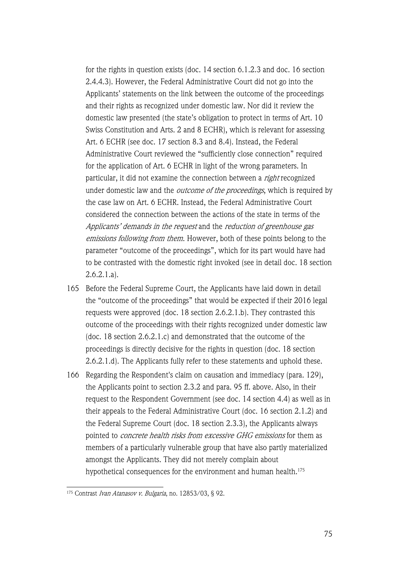for the rights in question exists (doc. 14 section 6.1.2.3 and doc. 16 section 2.4.4.3). However, the Federal Administrative Court did not go into the Applicants' statements on the link between the outcome of the proceedings and their rights as recognized under domestic law. Nor did it review the domestic law presented (the state's obligation to protect in terms of Art. 10 Swiss Constitution and Arts. 2 and 8 ECHR), which is relevant for assessing Art. 6 ECHR (see doc. 17 section 8.3 and 8.4). Instead, the Federal Administrative Court reviewed the "sufficiently close connection" required for the application of Art. 6 ECHR in light of the wrong parameters. In particular, it did not examine the connection between a *right* recognized under domestic law and the *outcome of the proceedings*, which is required by the case law on Art. 6 ECHR. Instead, the Federal Administrative Court considered the connection between the actions of the state in terms of the Applicants' demands in the request and the reduction of greenhouse gas emissions following from them. However, both of these points belong to the parameter "outcome of the proceedings", which for its part would have had to be contrasted with the domestic right invoked (see in detail doc. 18 section 2.6.2.1.a).

- 165 Before the Federal Supreme Court, the Applicants have laid down in detail the "outcome of the proceedings" that would be expected if their 2016 legal requests were approved (doc. 18 section 2.6.2.1.b). They contrasted this outcome of the proceedings with their rights recognized under domestic law (doc. 18 section 2.6.2.1.c) and demonstrated that the outcome of the proceedings is directly decisive for the rights in question (doc. 18 section 2.6.2.1.d). The Applicants fully refer to these statements and uphold these.
- 166 Regarding the Respondent's claim on causation and immediacy (para. 129), the Applicants point to section 2.3.2 and para. 95 ff. above. Also, in their request to the Respondent Government (see doc. 14 section 4.4) as well as in their appeals to the Federal Administrative Court (doc. 16 section 2.1.2) and the Federal Supreme Court (doc. 18 section 2.3.3), the Applicants always pointed to concrete health risks from excessive GHG emissions for them as members of a particularly vulnerable group that have also partly materialized amongst the Applicants. They did not merely complain about hypothetical consequences for the environment and human health.<sup>175</sup>

<sup>&</sup>lt;sup>175</sup> Contrast Ivan Atanasov v. Bulgaria, no. 12853/03, § 92.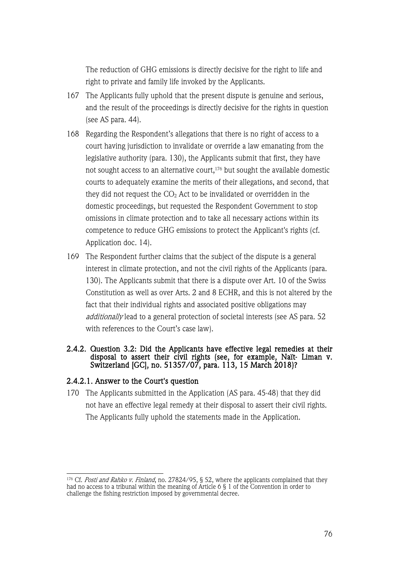The reduction of GHG emissions is directly decisive for the right to life and right to private and family life invoked by the Applicants.

- 167 The Applicants fully uphold that the present dispute is genuine and serious, and the result of the proceedings is directly decisive for the rights in question (see AS para. 44).
- 168 Regarding the Respondent's allegations that there is no right of access to a court having jurisdiction to invalidate or override a law emanating from the legislative authority (para. 130), the Applicants submit that first, they have not sought access to an alternative court,176 but sought the available domestic courts to adequately examine the merits of their allegations, and second, that they did not request the  $CO<sub>2</sub>$  Act to be invalidated or overridden in the domestic proceedings, but requested the Respondent Government to stop omissions in climate protection and to take all necessary actions within its competence to reduce GHG emissions to protect the Applicant's rights (cf. Application doc. 14).
- 169 The Respondent further claims that the subject of the dispute is a general interest in climate protection, and not the civil rights of the Applicants (para. 130). The Applicants submit that there is a dispute over Art. 10 of the Swiss Constitution as well as over Arts. 2 and 8 ECHR, and this is not altered by the fact that their individual rights and associated positive obligations may additionally lead to a general protection of societal interests (see AS para. 52 with references to the Court's case law).

#### 2.4.2. Question 3.2: Did the Applicants have effective legal remedies at their disposal to assert their civil rights (see, for example, Naït- Liman v. Switzerland [GC], no. 51357/07, para. 113, 15 March 2018)?

#### 2.4.2.1. Answer to the Court's question

170 The Applicants submitted in the Application (AS para. 45-48) that they did not have an effective legal remedy at their disposal to assert their civil rights. The Applicants fully uphold the statements made in the Application.

<sup>&</sup>lt;sup>176</sup> Cf. *Posti and Rahko v. Finland*, no. 27824/95, § 52, where the applicants complained that they had no access to a tribunal within the meaning of Article 6 § 1 of the Convention in order to challenge the fishing restriction imposed by governmental decree.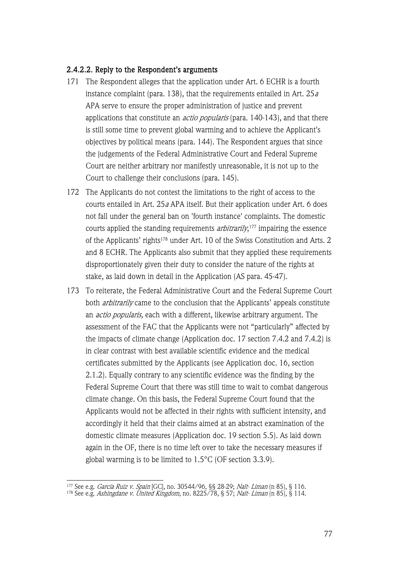#### 2.4.2.2. Reply to the Respondent's arguments

- 171 The Respondent alleges that the application under Art. 6 ECHR is a fourth instance complaint (para. 138), that the requirements entailed in Art.  $25a$ APA serve to ensure the proper administration of justice and prevent applications that constitute an *actio popularis* (para. 140-143), and that there is still some time to prevent global warming and to achieve the Applicant's objectives by political means (para. 144). The Respondent argues that since the judgements of the Federal Administrative Court and Federal Supreme Court are neither arbitrary nor manifestly unreasonable, it is not up to the Court to challenge their conclusions (para. 145).
- 172 The Applicants do not contest the limitations to the right of access to the courts entailed in Art. 25<sup>a</sup> APA itself. But their application under Art. 6 does not fall under the general ban on 'fourth instance' complaints. The domestic courts applied the standing requirements *arbitrarily*,<sup>177</sup> impairing the essence of the Applicants' rights<sup>178</sup> under Art. 10 of the Swiss Constitution and Arts. 2 and 8 ECHR. The Applicants also submit that they applied these requirements disproportionately given their duty to consider the nature of the rights at stake, as laid down in detail in the Application (AS para. 45-47).
- 173 To reiterate, the Federal Administrative Court and the Federal Supreme Court both *arbitrarily* came to the conclusion that the Applicants' appeals constitute an *actio popularis*, each with a different, likewise arbitrary argument. The assessment of the FAC that the Applicants were not "particularly" affected by the impacts of climate change (Application doc. 17 section 7.4.2 and 7.4.2) is in clear contrast with best available scientific evidence and the medical certificates submitted by the Applicants (see Application doc. 16, section 2.1.2). Equally contrary to any scientific evidence was the finding by the Federal Supreme Court that there was still time to wait to combat dangerous climate change. On this basis, the Federal Supreme Court found that the Applicants would not be affected in their rights with sufficient intensity, and accordingly it held that their claims aimed at an abstract examination of the domestic climate measures (Application doc. 19 section 5.5). As laid down again in the OF, there is no time left over to take the necessary measures if global warming is to be limited to 1.5°C (OF section 3.3.9).

<sup>&</sup>lt;sup>177</sup> See e.g. *García Ruiz v. Spain* [GC], no. 30544/96, §§ 28-29; *Naït- Liman* (n 85), § 116.

<sup>&</sup>lt;sup>178</sup> See e.g. *Ashingdane v. United Kingdom,* no. 8225/78, § 57; *Naït- Liman* (n 85), § 114.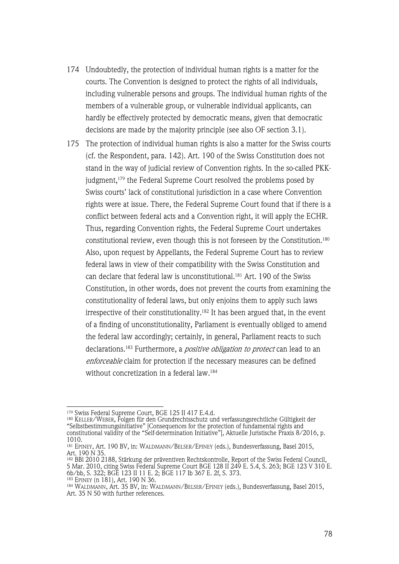- 174 Undoubtedly, the protection of individual human rights is a matter for the courts. The Convention is designed to protect the rights of all individuals, including vulnerable persons and groups. The individual human rights of the members of a vulnerable group, or vulnerable individual applicants, can hardly be effectively protected by democratic means, given that democratic decisions are made by the majority principle (see also OF section 3.1).
- 175 The protection of individual human rights is also a matter for the Swiss courts (cf. the Respondent, para. 142). Art. 190 of the Swiss Constitution does not stand in the way of judicial review of Convention rights. In the so-called PKKjudgment,<sup>179</sup> the Federal Supreme Court resolved the problems posed by Swiss courts' lack of constitutional jurisdiction in a case where Convention rights were at issue. There, the Federal Supreme Court found that if there is a conflict between federal acts and a Convention right, it will apply the ECHR. Thus, regarding Convention rights, the Federal Supreme Court undertakes constitutional review, even though this is not foreseen by the Constitution.180 Also, upon request by Appellants, the Federal Supreme Court has to review federal laws in view of their compatibility with the Swiss Constitution and can declare that federal law is unconstitutional.<sup>181</sup> Art. 190 of the Swiss Constitution, in other words, does not prevent the courts from examining the constitutionality of federal laws, but only enjoins them to apply such laws irrespective of their constitutionality.182 It has been argued that, in the event of a finding of unconstitutionality, Parliament is eventually obliged to amend the federal law accordingly; certainly, in general, Parliament reacts to such declarations.<sup>183</sup> Furthermore, a *positive obligation to protect* can lead to an enforceable claim for protection if the necessary measures can be defined without concretization in a federal law.184

<sup>179</sup> Swiss Federal Supreme Court, BGE 125 II 417 E.4.d.

<sup>180</sup> KELLER/WEBER, Folgen für den Grundrechtsschutz und verfassungsrechtliche Gültigkeit der "Selbstbestimmungsinitiative" [Consequences for the protection of fundamental rights and constitutional validity of the "Self-determination Initiative"], Aktuelle Juristische Praxis 8/2016, p. 1010.

<sup>181</sup> EPINEY, Art. 190 BV, in: WALDMANN/BELSER/EPINEY (eds.), Bundesverfassung, Basel 2015, Art. 190 N 35.

<sup>182</sup> BBl 2010 2188, Stärkung der präventiven Rechtskontrolle, Report of the Swiss Federal Council, 5 Mar. 2010, citing Swiss Federal Supreme Court BGE 128 II 249 E. 5.4, S. 263; BGE 123 V 310 E. 6b/bb, S. 322; BGE 123 II 11 E. 2; BGE 117 Ib 367 E. 2f, S. 373.

<sup>183</sup> EPINEY (n 181), Art. 190 N 36. <sup>184</sup> WALDMANN, Art. 35 BV, in: WALDMANN/BELSER/EPINEY (eds.), Bundesverfassung, Basel 2015, Art. 35 N 50 with further references.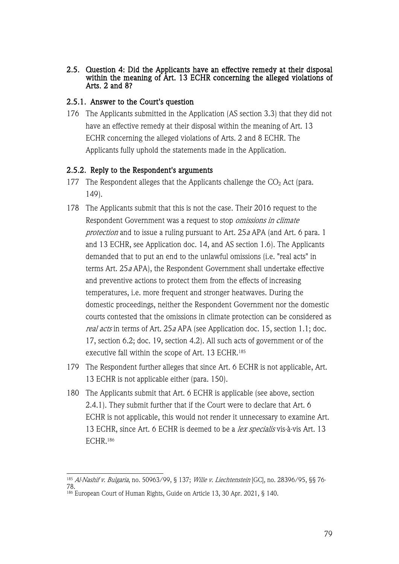2.5. Question 4: Did the Applicants have an effective remedy at their disposal within the meaning of Art. 13 ECHR concerning the alleged violations of Arts. 2 and 8?

### 2.5.1. Answer to the Court's question

176 The Applicants submitted in the Application (AS section 3.3) that they did not have an effective remedy at their disposal within the meaning of Art. 13 ECHR concerning the alleged violations of Arts. 2 and 8 ECHR. The Applicants fully uphold the statements made in the Application.

### 2.5.2. Reply to the Respondent's arguments

- 177 The Respondent alleges that the Applicants challenge the  $CO<sub>2</sub>$  Act (para. 149).
- 178 The Applicants submit that this is not the case. Their 2016 request to the Respondent Government was a request to stop omissions in climate protection and to issue a ruling pursuant to Art. 25a APA (and Art. 6 para. 1 and 13 ECHR, see Application doc. 14, and AS section 1.6). The Applicants demanded that to put an end to the unlawful omissions (i.e. "real acts" in terms Art. 25<sup>a</sup> APA), the Respondent Government shall undertake effective and preventive actions to protect them from the effects of increasing temperatures, i.e. more frequent and stronger heatwaves. During the domestic proceedings, neither the Respondent Government nor the domestic courts contested that the omissions in climate protection can be considered as real acts in terms of Art. 25a APA (see Application doc. 15, section 1.1; doc. 17, section 6.2; doc. 19, section 4.2). All such acts of government or of the executive fall within the scope of Art. 13 ECHR. 185
- 179 The Respondent further alleges that since Art. 6 ECHR is not applicable, Art. 13 ECHR is not applicable either (para. 150).
- 180 The Applicants submit that Art. 6 ECHR is applicable (see above, section 2.4.1). They submit further that if the Court were to declare that Art. 6 ECHR is not applicable, this would not render it unnecessary to examine Art. 13 ECHR, since Art. 6 ECHR is deemed to be a *lex specialis* vis-à-vis Art. 13 ECHR.<sup>186</sup>

<sup>&</sup>lt;sup>185</sup> Al-Nashif v. Bulgaria, no. 50963/99, § 137; Wille v. Liechtenstein [GC], no. 28396/95, §§ 76-78.

<sup>186</sup> European Court of Human Rights, Guide on Article 13, 30 Apr. 2021, § 140.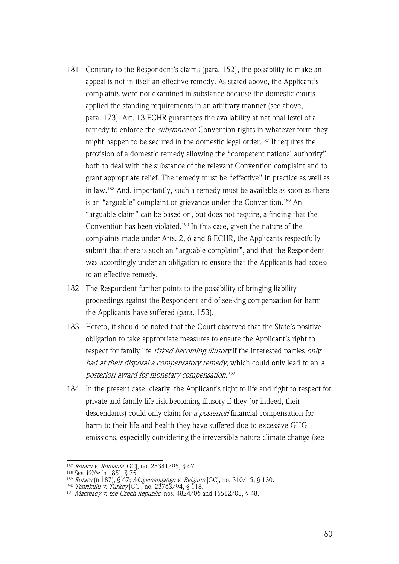- 181 Contrary to the Respondent's claims (para. 152), the possibility to make an appeal is not in itself an effective remedy. As stated above, the Applicant's complaints were not examined in substance because the domestic courts applied the standing requirements in an arbitrary manner (see above, para. 173). Art. 13 ECHR guarantees the availability at national level of a remedy to enforce the *substance* of Convention rights in whatever form they might happen to be secured in the domestic legal order.187 It requires the provision of a domestic remedy allowing the "competent national authority" both to deal with the substance of the relevant Convention complaint and to grant appropriate relief. The remedy must be "effective" in practice as well as in law.188 And, importantly, such a remedy must be available as soon as there is an "arguable" complaint or grievance under the Convention.<sup>189</sup> An "arguable claim" can be based on, but does not require, a finding that the Convention has been violated.190 In this case, given the nature of the complaints made under Arts. 2, 6 and 8 ECHR, the Applicants respectfully submit that there is such an "arguable complaint", and that the Respondent was accordingly under an obligation to ensure that the Applicants had access to an effective remedy.
- 182 The Respondent further points to the possibility of bringing liability proceedings against the Respondent and of seeking compensation for harm the Applicants have suffered (para. 153).
- 183 Hereto, it should be noted that the Court observed that the State's positive obligation to take appropriate measures to ensure the Applicant's right to respect for family life *risked becoming illusory* if the interested parties *only* had at their disposal a compensatory remedy, which could only lead to an a posteriori award for monetary compensation.191
- 184 In the present case, clearly, the Applicant's right to life and right to respect for private and family life risk becoming illusory if they (or indeed, their descendants) could only claim for a posteriori financial compensation for harm to their life and health they have suffered due to excessive GHG emissions, especially considering the irreversible nature climate change (see

<sup>&</sup>lt;sup>187</sup> *Rotaru v. Romania* [GC], no. 28341/95, § 67.

<sup>&</sup>lt;sup>188</sup> See *Wille* (n 185), § 75.

<sup>&</sup>lt;sup>189</sup> *Rotaru* (n 187), § 67; *Mugemangango v. Belgium* [GC], no. 310/15, § 130.

<sup>190</sup> Tanrıkulu v. Turkey [GC], no. 23763/94, § 118.

 $^{191}$  *Macready v. the Czech Republic*, nos. 4824/06 and 15512/08, § 48.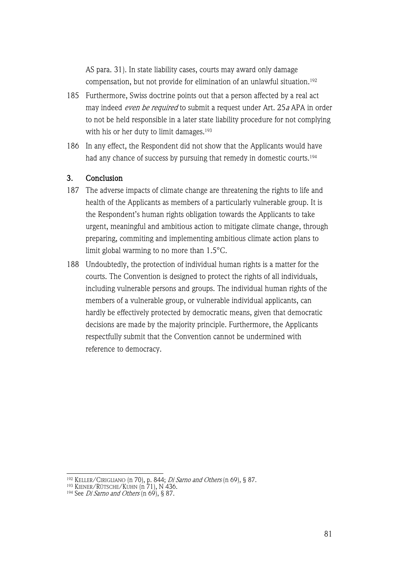AS para. 31). In state liability cases, courts may award only damage compensation, but not provide for elimination of an unlawful situation.192

- 185 Furthermore, Swiss doctrine points out that a person affected by a real act may indeed *even be required* to submit a request under Art. 25a APA in order to not be held responsible in a later state liability procedure for not complying with his or her duty to limit damages.<sup>193</sup>
- 186 In any effect, the Respondent did not show that the Applicants would have had any chance of success by pursuing that remedy in domestic courts.<sup>194</sup>

### 3. Conclusion

- 187 The adverse impacts of climate change are threatening the rights to life and health of the Applicants as members of a particularly vulnerable group. It is the Respondent's human rights obligation towards the Applicants to take urgent, meaningful and ambitious action to mitigate climate change, through preparing, commiting and implementing ambitious climate action plans to limit global warming to no more than 1.5°C.
- 188 Undoubtedly, the protection of individual human rights is a matter for the courts. The Convention is designed to protect the rights of all individuals, including vulnerable persons and groups. The individual human rights of the members of a vulnerable group, or vulnerable individual applicants, can hardly be effectively protected by democratic means, given that democratic decisions are made by the majority principle. Furthermore, the Applicants respectfully submit that the Convention cannot be undermined with reference to democracy.

<sup>&</sup>lt;sup>192</sup> KELLER/CIRIGLIANO (n 70), p. 844; *Di Sarno and Others* (n 69), § 87.

<sup>193</sup> KIENER/RÜTSCHE/KUHN (n 71), N 436.

<sup>&</sup>lt;sup>194</sup> See *Di Sarno and Others*  $(n\ 69)$ , § 87.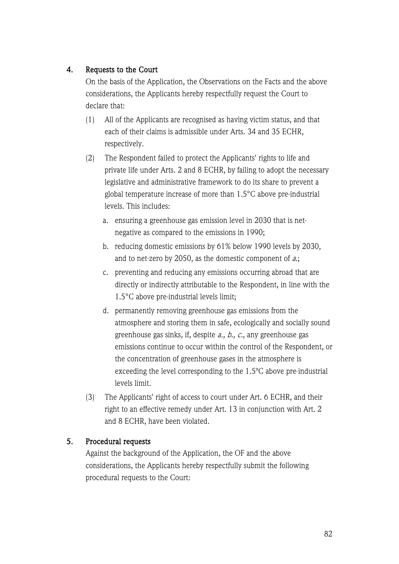# 4. Requests to the Court

On the basis of the Application, the Observations on the Facts and the above considerations, the Applicants hereby respectfully request the Court to declare that:

- (1) All of the Applicants are recognised as having victim status, and that each of their claims is admissible under Arts. 34 and 35 ECHR, respectively.
- (2) The Respondent failed to protect the Applicants' rights to life and private life under Arts. 2 and 8 ECHR, by failing to adopt the necessary legislative and administrative framework to do its share to prevent a global temperature increase of more than 1.5°C above pre-industrial levels. This includes:
	- a. ensuring a greenhouse gas emission level in 2030 that is netnegative as compared to the emissions in 1990;
	- b. reducing domestic emissions by 61% below 1990 levels by 2030, and to net-zero by 2050, as the domestic component of a.;
	- c. preventing and reducing any emissions occurring abroad that are directly or indirectly attributable to the Respondent, in line with the 1.5°C above pre-industrial levels limit;
	- d. permanently removing greenhouse gas emissions from the atmosphere and storing them in safe, ecologically and socially sound greenhouse gas sinks, if, despite a., b., c., any greenhouse gas emissions continue to occur within the control of the Respondent, or the concentration of greenhouse gases in the atmosphere is exceeding the level corresponding to the 1.5ºC above pre-industrial levels limit.
- (3) The Applicants' right of access to court under Art. 6 ECHR, and their right to an effective remedy under Art. 13 in conjunction with Art. 2 and 8 ECHR, have been violated.

## 5. Procedural requests

Against the background of the Application, the OF and the above considerations, the Applicants hereby respectfully submit the following procedural requests to the Court: